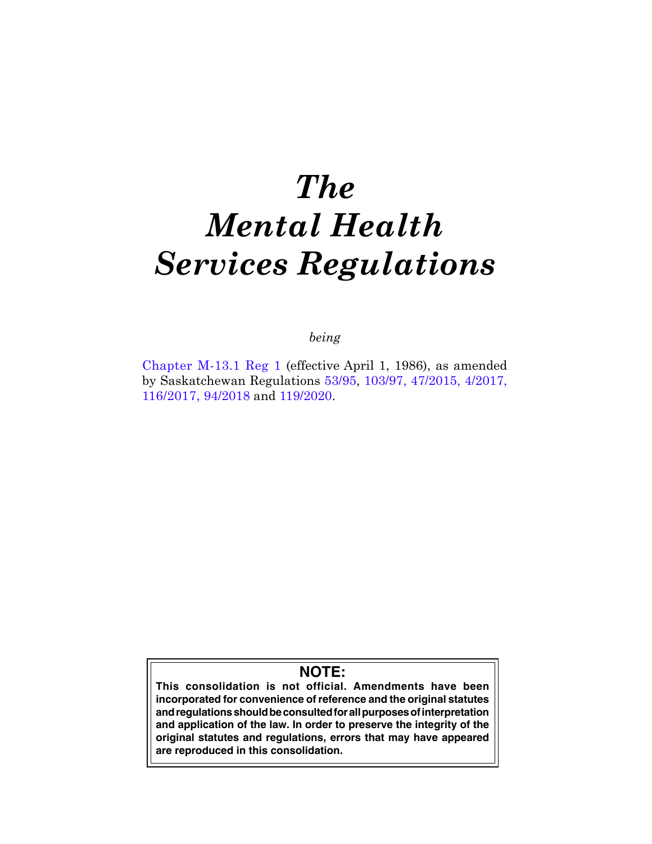# *The Mental Health Services Regulations*

### *being*

[Chapter M-13.1 Reg 1](https://publications.saskatchewan.ca:443/api/v1/products/103820/formats/115206/download) (effective April 1, 1986), as amended by Saskatchewan Regulations [53/95,](https://publications.saskatchewan.ca:443/api/v1/products/3985/formats/7560/download) [103/97,](https://publications.saskatchewan.ca:443/api/v1/products/3929/formats/7448/download) [47/2015](https://publications.saskatchewan.ca:443/api/v1/products/73128/formats/81645/download), [4/2017](https://publications.saskatchewan.ca:443/api/v1/products/84267/formats/97697/download), [116/2017,](https://publications.saskatchewan.ca:443/api/v1/products/88091/formats/104764/download) [94/2018](https://publications.saskatchewan.ca:443/api/v1/products/92717/formats/109749/download) and [119/2020.](https://publications.saskatchewan.ca:443/api/v1/products/109616/formats/123135/download)

## **NOTE:**

**This consolidation is not official. Amendments have been incorporated for convenience of reference and the original statutes and regulations should be consulted for all purposes of interpretation and application of the law. In order to preserve the integrity of the original statutes and regulations, errors that may have appeared are reproduced in this consolidation.**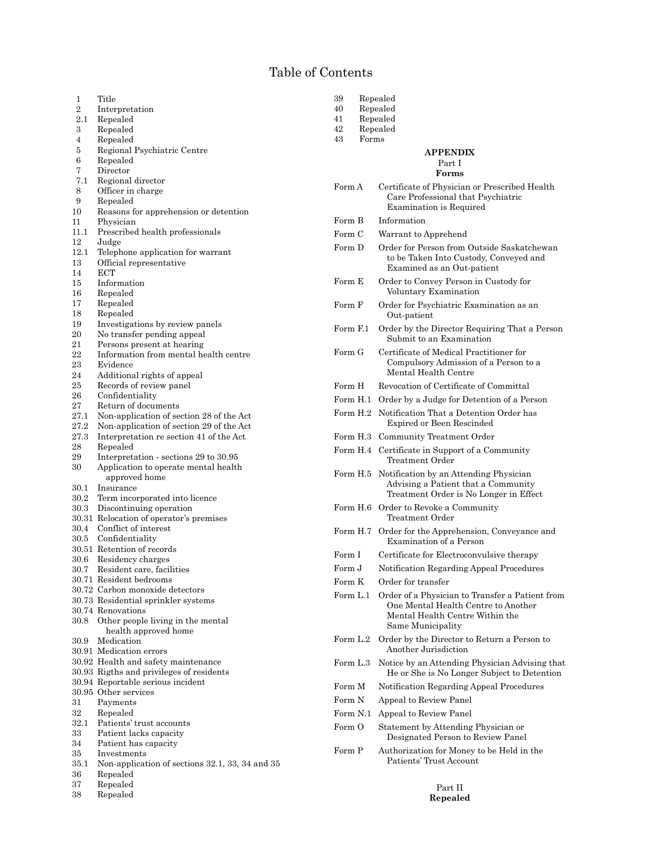# Table of Contents

- 1 Title
- 2.1 Interpretation<br>2.1 Repealed
- Repealed
- 3 Repealed
- 4 Repealed
- 5 Regional Psychiatric Centre
- 6 Repealed
- 7 Director
- 7.1 Regional director
- 8 Officer in charge
- 9 Repealed
- 10 Reasons for apprehension or detention
- 11 Physician
- 11.1 Prescribed health professionals
- 12 Judge
- 12.1 Telephone application for warrant
- 13 Official representative
- 14 ECT
- 15 Information
- 16 Repealed
- 17 Repealed
- 18 Repealed
- 19 Investigations by review panels
- 20 No transfer pending appeal
- 21 Persons present at hearing
- 22 Information from mental health centre
- 23 Evidence<br>24 Additions
- Additional rights of appeal
- 25 Records of review panel
- 26 Confidentiality
- 27 Return of documents
- 27.1 Non-application of section 28 of the Act
- 27.2 Non-application of section 29 of the Act
- 27.3 Interpretation re section 41 of the Act
- 28 Repealed<br>29 Interpret
- 29 Interpretation sections 29 to 30.95 30 Application to operate mental health
- approved home
- 30.1 Insurance
- 30.2 Term incorporated into licence
- 30.3 Discontinuing operation
- 30.31 Relocation of operator's premises
- 30.4 Conflict of interest
- 30.5 Confidentiality
- 30.51 Retention of records
- 30.6 Residency charges
- 30.7 Resident care, facilities
- 30.71 Resident bedrooms
- 30.72 Carbon monoxide detectors
- 30.73 Residential sprinkler systems
- 30.74 Renovations
- 30.8 Other people living in the mental health approved home
- 30.9 Medication
- 30.91 Medication errors
- 30.92 Health and safety maintenance
- 30.93 Rigths and privileges of residents
- 30.94 Reportable serious incident
- 30.95 Other services
- 31 Payments
- 32 Repealed
- 32.1 Patients' trust accounts
- 33 Patient lacks capacity<br>34 Patient has capacity
- Patient has capacity 35 Investments
- 
- 35.1 Non-application of sections 32.1, 33, 34 and 35
- 36 Repealed
- 37 Repealed
- 38 Repealed
- 39 Repealed
- 40 Repealed
- 41 Repealed
- 42 Repealed 43 Forms
- 

#### **APPENDIX** Part I **Forms**

- Form A Certificate of Physician or Prescribed Health Care Professional that Psychiatric Examination is Required
- Form B Information
- Form C Warrant to Apprehend
- Form D Order for Person from Outside Saskatchewan to be Taken Into Custody, Conveyed and Examined as an Out-patient
- Form E Order to Convey Person in Custody for Voluntary Examination
- Form F Order for Psychiatric Examination as an Out-patient
- Form F.1 Order by the Director Requiring That a Person Submit to an Examination
- Form G Certificate of Medical Practitioner for Compulsory Admission of a Person to a Mental Health Centre
- Form H Revocation of Certificate of Committal
- Form H.1 Order by a Judge for Detention of a Person
- Form H.2 Notification That a Detention Order has Expired or Been Rescinded
- Form H.3 Community Treatment Order
- Form H.4 Certificate in Support of a Community Treatment Order
- Form H.5 Notification by an Attending Physician Advising a Patient that a Community Treatment Order is No Longer in Effect
- Form H.6 Order to Revoke a Community Treatment Order
- Form H.7 Order for the Apprehension, Conveyance and Examination of a Person
- Form I Certificate for Electroconvulsive therapy
- Form J Notification Regarding Appeal Procedures
- Form K Order for transfer
- Form L.1 Order of a Physician to Transfer a Patient from One Mental Health Centre to Another Mental Health Centre Within the Same Municipality
- Form L.2 Order by the Director to Return a Person to Another Jurisdiction
- Form L.3 Notice by an Attending Physician Advising that He or She is No Longer Subject to Detention
- Form M Notification Regarding Appeal Procedures
- Form N Appeal to Review Panel
- Form N.1 Appeal to Review Panel
- Form O Statement by Attending Physician or Designated Person to Review Panel

Form P Authorization for Money to be Held in the Patients' Trust Account

> Part II **Repealed**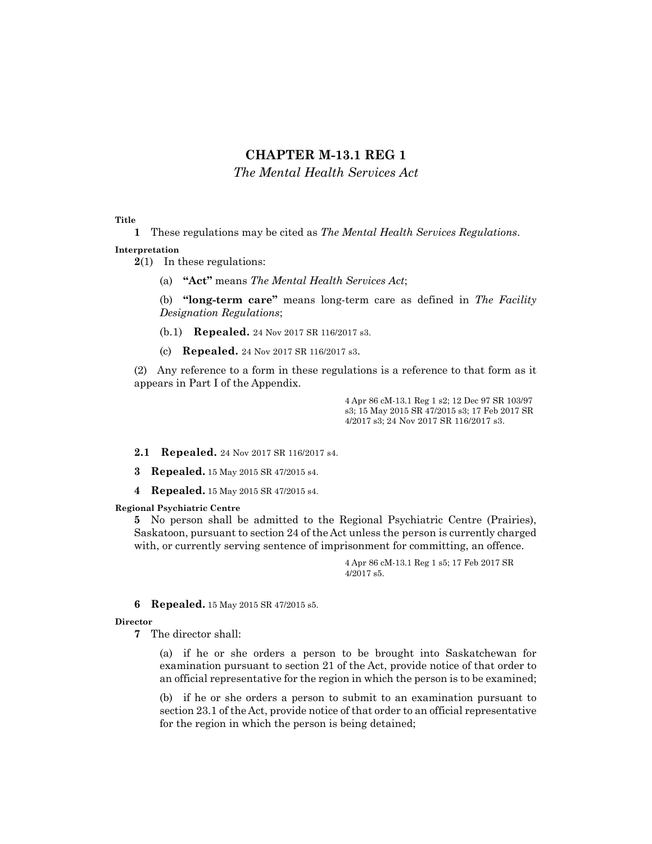### **CHAPTER M-13.1 REG 1**

### *The Mental Health Services Act*

#### **Title**

**1** These regulations may be cited as *The Mental Health Services Regulations*.

#### **Interpretation**

- **2**(1) In these regulations:
	- (a) **"Act"** means *The Mental Health Services Act*;

(b) **"long-term care"** means long-term care as defined in *The Facility Designation Regulations*;

- (b.1) **Repealed.** 24 Nov 2017 SR 116/2017 s3.
- (c) **Repealed.** 24 Nov 2017 SR 116/2017 s3.

(2) Any reference to a form in these regulations is a reference to that form as it appears in Part I of the Appendix.

> 4 Apr 86 cM-13.1 Reg 1 s2; 12 Dec 97 SR 103/97 s3; 15 May 2015 SR 47/2015 s3; 17 Feb 2017 SR 4/2017 s3; 24 Nov 2017 SR 116/2017 s3.

**2.1 Repealed.** 24 Nov 2017 SR 116/2017 s4.

- **3 Repealed.** 15 May 2015 SR 47/2015 s4.
- **4 Repealed.** 15 May 2015 SR 47/2015 s4.

#### **Regional Psychiatric Centre**

**5** No person shall be admitted to the Regional Psychiatric Centre (Prairies), Saskatoon, pursuant to section 24 of the Act unless the person is currently charged with, or currently serving sentence of imprisonment for committing, an offence.

> 4 Apr 86 cM-13.1 Reg 1 s5; 17 Feb 2017 SR 4/2017 s5.

**6 Repealed.** 15 May 2015 SR 47/2015 s5.

### **Director**

**7** The director shall:

(a) if he or she orders a person to be brought into Saskatchewan for examination pursuant to section 21 of the Act, provide notice of that order to an official representative for the region in which the person is to be examined;

(b) if he or she orders a person to submit to an examination pursuant to section 23.1 of the Act, provide notice of that order to an official representative for the region in which the person is being detained;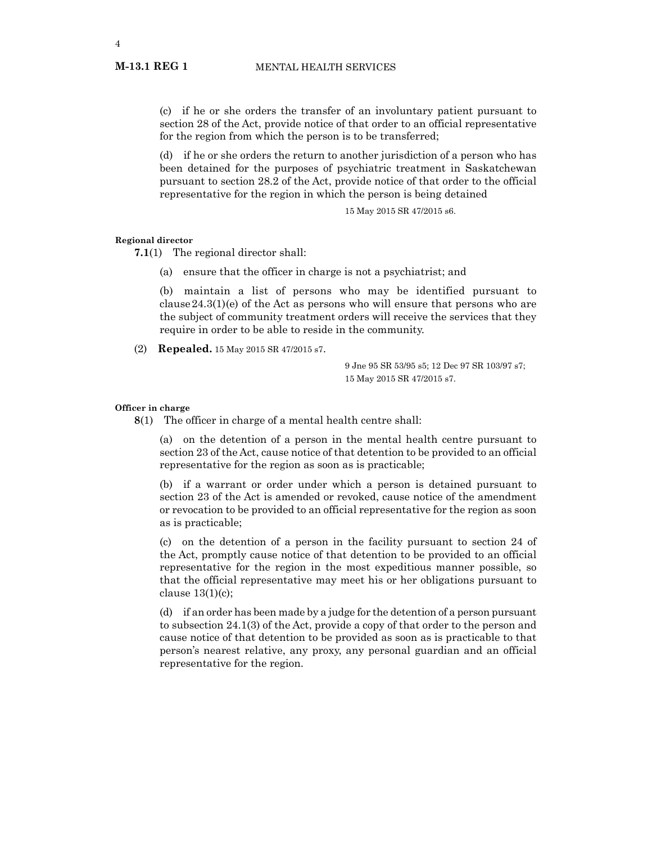**M-13.1 REG 1**

(c) if he or she orders the transfer of an involuntary patient pursuant to section 28 of the Act, provide notice of that order to an official representative for the region from which the person is to be transferred;

(d) if he or she orders the return to another jurisdiction of a person who has been detained for the purposes of psychiatric treatment in Saskatchewan pursuant to section 28.2 of the Act, provide notice of that order to the official representative for the region in which the person is being detained

15 May 2015 SR 47/2015 s6.

#### **Regional director**

**7.1**(1) The regional director shall:

(a) ensure that the officer in charge is not a psychiatrist; and

(b) maintain a list of persons who may be identified pursuant to clause24.3(1)(e) of the Act as persons who will ensure that persons who are the subject of community treatment orders will receive the services that they require in order to be able to reside in the community.

(2) **Repealed.** 15 May 2015 SR 47/2015 s7.

9 Jne 95 SR 53/95 s5; 12 Dec 97 SR 103/97 s7; 15 May 2015 SR 47/2015 s7.

#### **Officer in charge**

**8**(1) The officer in charge of a mental health centre shall:

(a) on the detention of a person in the mental health centre pursuant to section 23 of the Act, cause notice of that detention to be provided to an official representative for the region as soon as is practicable;

(b) if a warrant or order under which a person is detained pursuant to section 23 of the Act is amended or revoked, cause notice of the amendment or revocation to be provided to an official representative for the region as soon as is practicable;

(c) on the detention of a person in the facility pursuant to section 24 of the Act, promptly cause notice of that detention to be provided to an official representative for the region in the most expeditious manner possible, so that the official representative may meet his or her obligations pursuant to clause 13(1)(c);

(d) if an order has been made by a judge for the detention of a person pursuant to subsection 24.1(3) of the Act, provide a copy of that order to the person and cause notice of that detention to be provided as soon as is practicable to that person's nearest relative, any proxy, any personal guardian and an official representative for the region.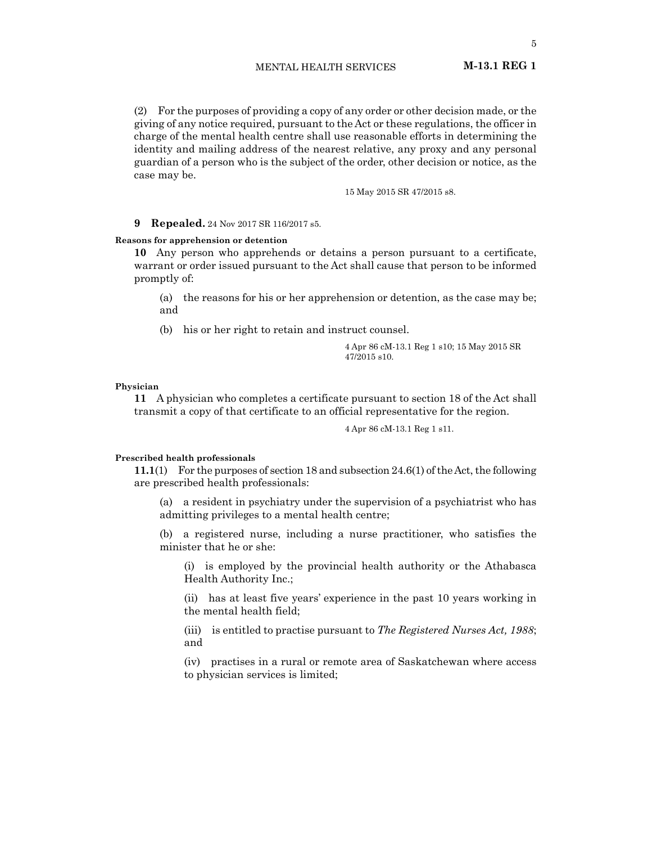#### MENTAL HEALTH SERVICES

**M-13.1 REG 1**

(2) For the purposes of providing a copy of any order or other decision made, or the giving of any notice required, pursuant to the Act or these regulations, the officer in charge of the mental health centre shall use reasonable efforts in determining the identity and mailing address of the nearest relative, any proxy and any personal guardian of a person who is the subject of the order, other decision or notice, as the case may be.

15 May 2015 SR 47/2015 s8.

**9 Repealed.** 24 Nov 2017 SR 116/2017 s5.

#### **Reasons for apprehension or detention**

**10** Any person who apprehends or detains a person pursuant to a certificate, warrant or order issued pursuant to the Act shall cause that person to be informed promptly of:

(a) the reasons for his or her apprehension or detention, as the case may be; and

(b) his or her right to retain and instruct counsel.

4 Apr 86 cM-13.1 Reg 1 s10; 15 May 2015 SR 47/2015 s10.

#### **Physician**

**11** A physician who completes a certificate pursuant to section 18 of the Act shall transmit a copy of that certificate to an official representative for the region.

4 Apr 86 cM-13.1 Reg 1 s11.

#### **Prescribed health professionals**

**11.1**(1) For the purposes of section 18 and subsection 24.6(1) of the Act, the following are prescribed health professionals:

(a) a resident in psychiatry under the supervision of a psychiatrist who has admitting privileges to a mental health centre;

(b) a registered nurse, including a nurse practitioner, who satisfies the minister that he or she:

(i) is employed by the provincial health authority or the Athabasca Health Authority Inc.;

(ii) has at least five years' experience in the past 10 years working in the mental health field;

(iii) is entitled to practise pursuant to *The Registered Nurses Act, 1988*; and

(iv) practises in a rural or remote area of Saskatchewan where access to physician services is limited;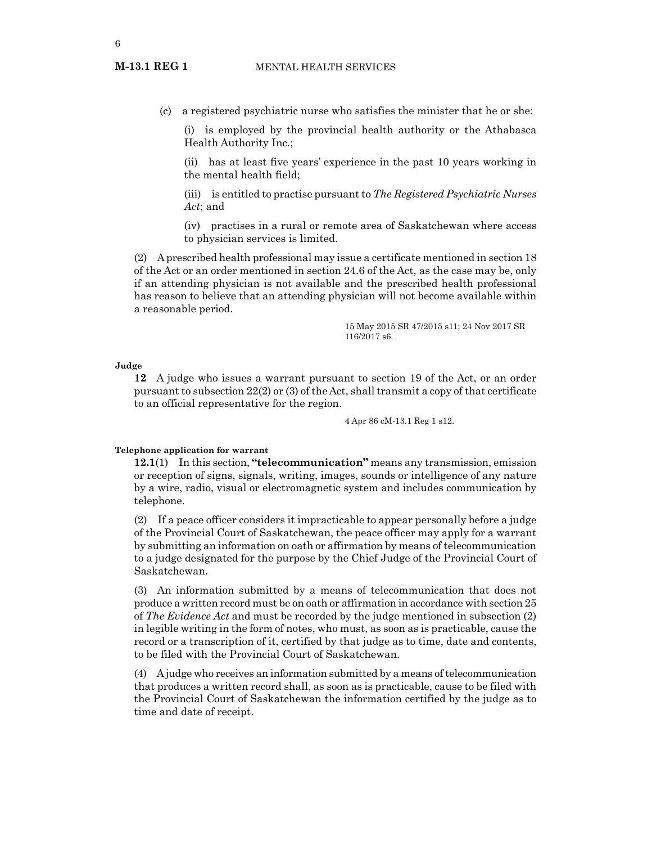(c) a registered psychiatric nurse who satisfies the minister that he or she:

(i) is employed by the provincial health authority or the Athabasca Health Authority Inc.;

(ii) has at least five years' experience in the past 10 years working in the mental health field;

(iii) is entitled to practise pursuant to *The Registered Psychiatric Nurses Act*; and

(iv) practises in a rural or remote area of Saskatchewan where access to physician services is limited.

(2) A prescribed health professional may issue a certificate mentioned in section 18 of the Act or an order mentioned in section 24.6 of the Act, as the case may be, only if an attending physician is not available and the prescribed health professional has reason to believe that an attending physician will not become available within a reasonable period.

> 15 May 2015 SR 47/2015 s11; 24 Nov 2017 SR 116/2017 s6.

#### **Judge**

**12** A judge who issues a warrant pursuant to section 19 of the Act, or an order pursuant to subsection 22(2) or (3) of the Act, shall transmit a copy of that certificate to an official representative for the region.

4 Apr 86 cM-13.1 Reg 1 s12.

#### **Telephone application for warrant**

**12.1**(1) In this section, **"telecommunication"** means any transmission, emission or reception of signs, signals, writing, images, sounds or intelligence of any nature by a wire, radio, visual or electromagnetic system and includes communication by telephone.

(2) If a peace officer considers it impracticable to appear personally before a judge of the Provincial Court of Saskatchewan, the peace officer may apply for a warrant by submitting an information on oath or affirmation by means of telecommunication to a judge designated for the purpose by the Chief Judge of the Provincial Court of Saskatchewan.

(3) An information submitted by a means of telecommunication that does not produce a written record must be on oath or affirmation in accordance with section 25 of *The Evidence Act* and must be recorded by the judge mentioned in subsection (2) in legible writing in the form of notes, who must, as soon as is practicable, cause the record or a transcription of it, certified by that judge as to time, date and contents, to be filed with the Provincial Court of Saskatchewan.

(4) A judge who receives an information submitted by a means of telecommunication that produces a written record shall, as soon as is practicable, cause to be filed with the Provincial Court of Saskatchewan the information certified by the judge as to time and date of receipt.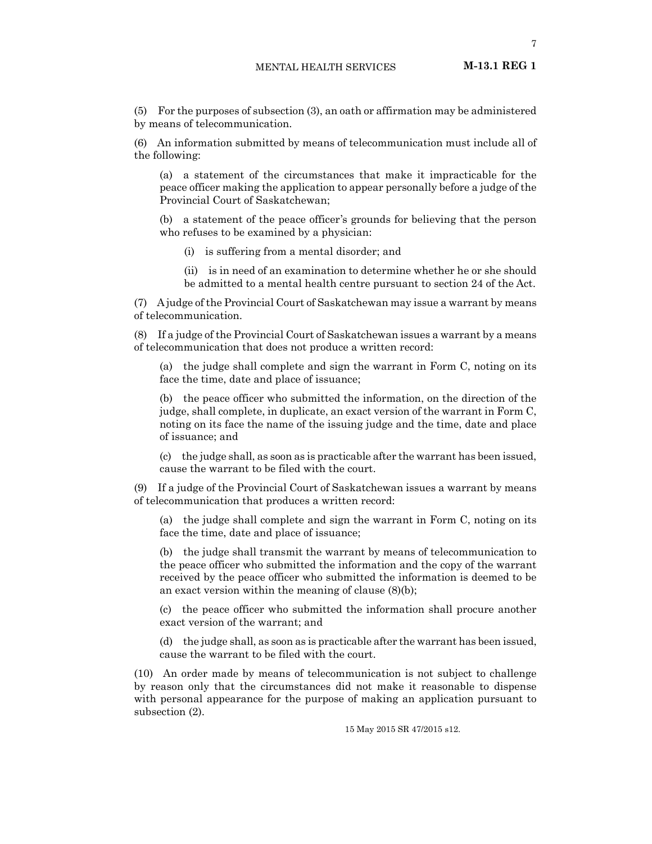(5) For the purposes of subsection (3), an oath or affirmation may be administered by means of telecommunication.

(6) An information submitted by means of telecommunication must include all of the following:

(a) a statement of the circumstances that make it impracticable for the peace officer making the application to appear personally before a judge of the Provincial Court of Saskatchewan;

(b) a statement of the peace officer's grounds for believing that the person who refuses to be examined by a physician:

- (i) is suffering from a mental disorder; and
- (ii) is in need of an examination to determine whether he or she should be admitted to a mental health centre pursuant to section 24 of the Act.

(7) A judge of the Provincial Court of Saskatchewan may issue a warrant by means of telecommunication.

(8) If a judge of the Provincial Court of Saskatchewan issues a warrant by a means of telecommunication that does not produce a written record:

(a) the judge shall complete and sign the warrant in Form C, noting on its face the time, date and place of issuance;

(b) the peace officer who submitted the information, on the direction of the judge, shall complete, in duplicate, an exact version of the warrant in Form C, noting on its face the name of the issuing judge and the time, date and place of issuance; and

(c) the judge shall, as soon as is practicable after the warrant has been issued, cause the warrant to be filed with the court.

(9) If a judge of the Provincial Court of Saskatchewan issues a warrant by means of telecommunication that produces a written record:

(a) the judge shall complete and sign the warrant in Form C, noting on its face the time, date and place of issuance;

(b) the judge shall transmit the warrant by means of telecommunication to the peace officer who submitted the information and the copy of the warrant received by the peace officer who submitted the information is deemed to be an exact version within the meaning of clause (8)(b);

(c) the peace officer who submitted the information shall procure another exact version of the warrant; and

(d) the judge shall, as soon as is practicable after the warrant has been issued, cause the warrant to be filed with the court.

(10) An order made by means of telecommunication is not subject to challenge by reason only that the circumstances did not make it reasonable to dispense with personal appearance for the purpose of making an application pursuant to subsection (2).

15 May 2015 SR 47/2015 s12.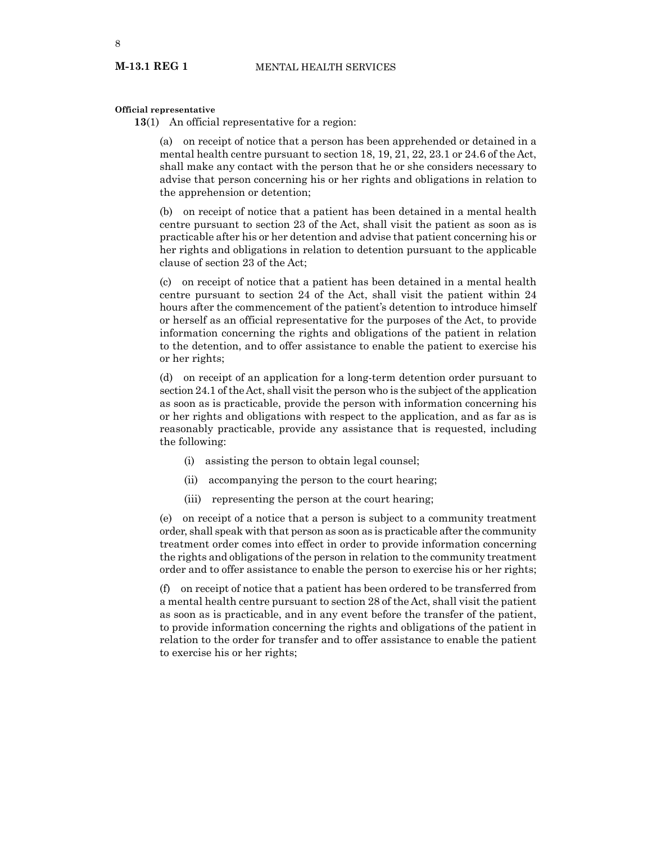#### **Official representative**

**13**(1) An official representative for a region:

(a) on receipt of notice that a person has been apprehended or detained in a mental health centre pursuant to section 18, 19, 21, 22, 23.1 or 24.6 of the Act, shall make any contact with the person that he or she considers necessary to advise that person concerning his or her rights and obligations in relation to the apprehension or detention;

(b) on receipt of notice that a patient has been detained in a mental health centre pursuant to section 23 of the Act, shall visit the patient as soon as is practicable after his or her detention and advise that patient concerning his or her rights and obligations in relation to detention pursuant to the applicable clause of section 23 of the Act;

(c) on receipt of notice that a patient has been detained in a mental health centre pursuant to section 24 of the Act, shall visit the patient within 24 hours after the commencement of the patient's detention to introduce himself or herself as an official representative for the purposes of the Act, to provide information concerning the rights and obligations of the patient in relation to the detention, and to offer assistance to enable the patient to exercise his or her rights;

(d) on receipt of an application for a long-term detention order pursuant to section 24.1 of the Act, shall visit the person who is the subject of the application as soon as is practicable, provide the person with information concerning his or her rights and obligations with respect to the application, and as far as is reasonably practicable, provide any assistance that is requested, including the following:

- (i) assisting the person to obtain legal counsel;
- (ii) accompanying the person to the court hearing;
- (iii) representing the person at the court hearing;

(e) on receipt of a notice that a person is subject to a community treatment order, shall speak with that person as soon as is practicable after the community treatment order comes into effect in order to provide information concerning the rights and obligations of the person in relation to the community treatment order and to offer assistance to enable the person to exercise his or her rights;

(f) on receipt of notice that a patient has been ordered to be transferred from a mental health centre pursuant to section 28 of the Act, shall visit the patient as soon as is practicable, and in any event before the transfer of the patient, to provide information concerning the rights and obligations of the patient in relation to the order for transfer and to offer assistance to enable the patient to exercise his or her rights;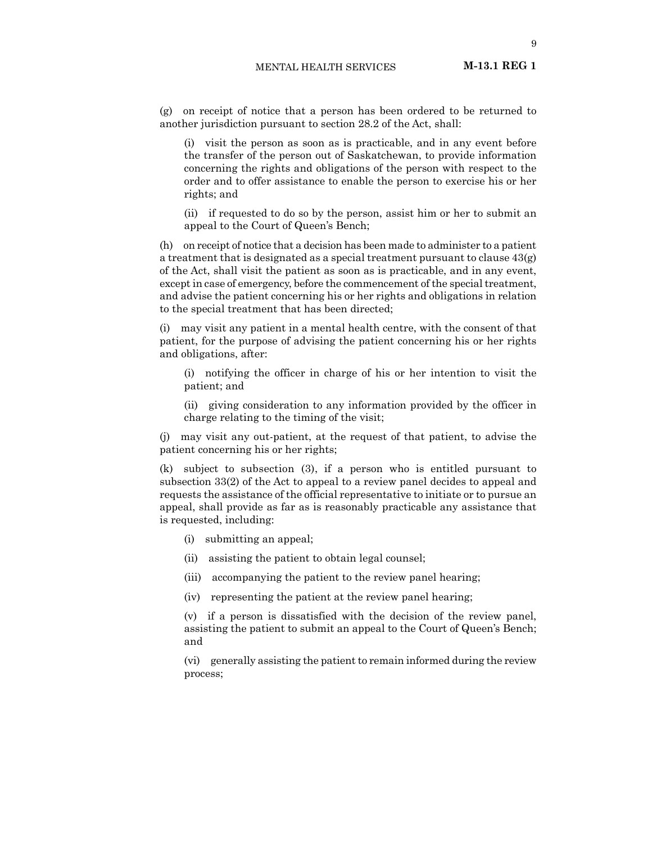(g) on receipt of notice that a person has been ordered to be returned to another jurisdiction pursuant to section 28.2 of the Act, shall:

(i) visit the person as soon as is practicable, and in any event before the transfer of the person out of Saskatchewan, to provide information concerning the rights and obligations of the person with respect to the order and to offer assistance to enable the person to exercise his or her rights; and

(ii) if requested to do so by the person, assist him or her to submit an appeal to the Court of Queen's Bench;

(h) on receipt of notice that a decision has been made to administer to a patient a treatment that is designated as a special treatment pursuant to clause 43(g) of the Act, shall visit the patient as soon as is practicable, and in any event, except in case of emergency, before the commencement of the special treatment, and advise the patient concerning his or her rights and obligations in relation to the special treatment that has been directed;

may visit any patient in a mental health centre, with the consent of that patient, for the purpose of advising the patient concerning his or her rights and obligations, after:

(i) notifying the officer in charge of his or her intention to visit the patient; and

(ii) giving consideration to any information provided by the officer in charge relating to the timing of the visit;

(j) may visit any out-patient, at the request of that patient, to advise the patient concerning his or her rights;

(k) subject to subsection (3), if a person who is entitled pursuant to subsection 33(2) of the Act to appeal to a review panel decides to appeal and requests the assistance of the official representative to initiate or to pursue an appeal, shall provide as far as is reasonably practicable any assistance that is requested, including:

- (i) submitting an appeal;
- (ii) assisting the patient to obtain legal counsel;
- (iii) accompanying the patient to the review panel hearing;
- (iv) representing the patient at the review panel hearing;

(v) if a person is dissatisfied with the decision of the review panel, assisting the patient to submit an appeal to the Court of Queen's Bench; and

(vi) generally assisting the patient to remain informed during the review process;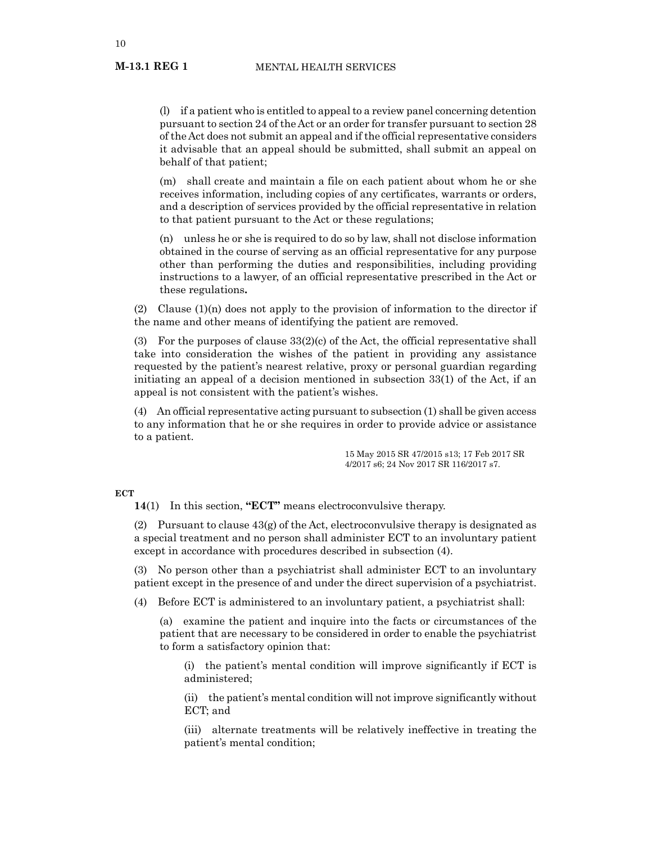**M-13.1 REG 1**

(l) if a patient who is entitled to appeal to a review panel concerning detention pursuant to section 24 of the Act or an order for transfer pursuant to section 28 of the Act does not submit an appeal and if the official representative considers it advisable that an appeal should be submitted, shall submit an appeal on behalf of that patient;

(m) shall create and maintain a file on each patient about whom he or she receives information, including copies of any certificates, warrants or orders, and a description of services provided by the official representative in relation to that patient pursuant to the Act or these regulations;

(n) unless he or she is required to do so by law, shall not disclose information obtained in the course of serving as an official representative for any purpose other than performing the duties and responsibilities, including providing instructions to a lawyer, of an official representative prescribed in the Act or these regulations**.**

(2) Clause  $(1)(n)$  does not apply to the provision of information to the director if the name and other means of identifying the patient are removed.

(3) For the purposes of clause 33(2)(c) of the Act, the official representative shall take into consideration the wishes of the patient in providing any assistance requested by the patient's nearest relative, proxy or personal guardian regarding initiating an appeal of a decision mentioned in subsection 33(1) of the Act, if an appeal is not consistent with the patient's wishes.

(4) An official representative acting pursuant to subsection (1) shall be given access to any information that he or she requires in order to provide advice or assistance to a patient.

> 15 May 2015 SR 47/2015 s13; 17 Feb 2017 SR 4/2017 s6; 24 Nov 2017 SR 116/2017 s7.

#### **ECT**

**14**(1) In this section, **"ECT"** means electroconvulsive therapy.

(2) Pursuant to clause 43(g) of the Act, electroconvulsive therapy is designated as a special treatment and no person shall administer ECT to an involuntary patient except in accordance with procedures described in subsection (4).

(3) No person other than a psychiatrist shall administer ECT to an involuntary patient except in the presence of and under the direct supervision of a psychiatrist.

(4) Before ECT is administered to an involuntary patient, a psychiatrist shall:

(a) examine the patient and inquire into the facts or circumstances of the patient that are necessary to be considered in order to enable the psychiatrist to form a satisfactory opinion that:

(i) the patient's mental condition will improve significantly if ECT is administered;

(ii) the patient's mental condition will not improve significantly without ECT; and

(iii) alternate treatments will be relatively ineffective in treating the patient's mental condition;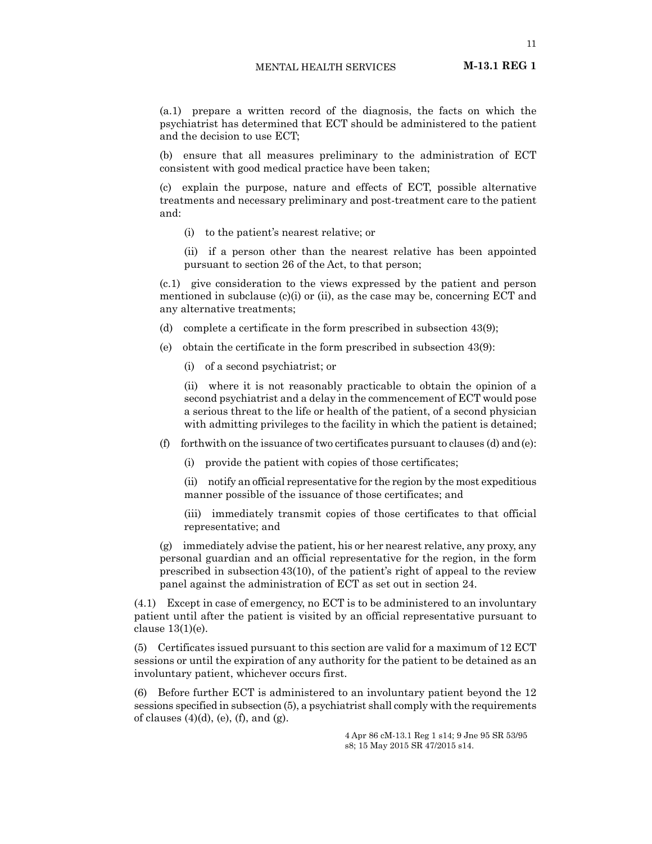11

(a.1) prepare a written record of the diagnosis, the facts on which the psychiatrist has determined that ECT should be administered to the patient and the decision to use ECT;

(b) ensure that all measures preliminary to the administration of ECT consistent with good medical practice have been taken;

(c) explain the purpose, nature and effects of ECT, possible alternative treatments and necessary preliminary and post-treatment care to the patient and:

- (i) to the patient's nearest relative; or
- (ii) if a person other than the nearest relative has been appointed pursuant to section 26 of the Act, to that person;

(c.1) give consideration to the views expressed by the patient and person mentioned in subclause  $(c)(i)$  or  $(ii)$ , as the case may be, concerning ECT and any alternative treatments;

- (d) complete a certificate in the form prescribed in subsection 43(9);
- (e) obtain the certificate in the form prescribed in subsection 43(9):
	- (i) of a second psychiatrist; or

(ii) where it is not reasonably practicable to obtain the opinion of a second psychiatrist and a delay in the commencement of ECT would pose a serious threat to the life or health of the patient, of a second physician with admitting privileges to the facility in which the patient is detained;

- (f) forthwith on the issuance of two certificates pursuant to clauses (d) and (e):
	- (i) provide the patient with copies of those certificates;

(ii) notify an official representative for the region by the most expeditious manner possible of the issuance of those certificates; and

(iii) immediately transmit copies of those certificates to that official representative; and

(g) immediately advise the patient, his or her nearest relative, any proxy, any personal guardian and an official representative for the region, in the form prescribed in subsection43(10), of the patient's right of appeal to the review panel against the administration of ECT as set out in section 24.

(4.1) Except in case of emergency, no ECT is to be administered to an involuntary patient until after the patient is visited by an official representative pursuant to clause 13(1)(e).

(5) Certificates issued pursuant to this section are valid for a maximum of 12 ECT sessions or until the expiration of any authority for the patient to be detained as an involuntary patient, whichever occurs first.

(6) Before further ECT is administered to an involuntary patient beyond the 12 sessions specified in subsection (5), a psychiatrist shall comply with the requirements of clauses  $(4)(d)$ ,  $(e)$ ,  $(f)$ , and  $(g)$ .

> 4 Apr 86 cM-13.1 Reg 1 s14; 9 Jne 95 SR 53/95 s8; 15 May 2015 SR 47/2015 s14.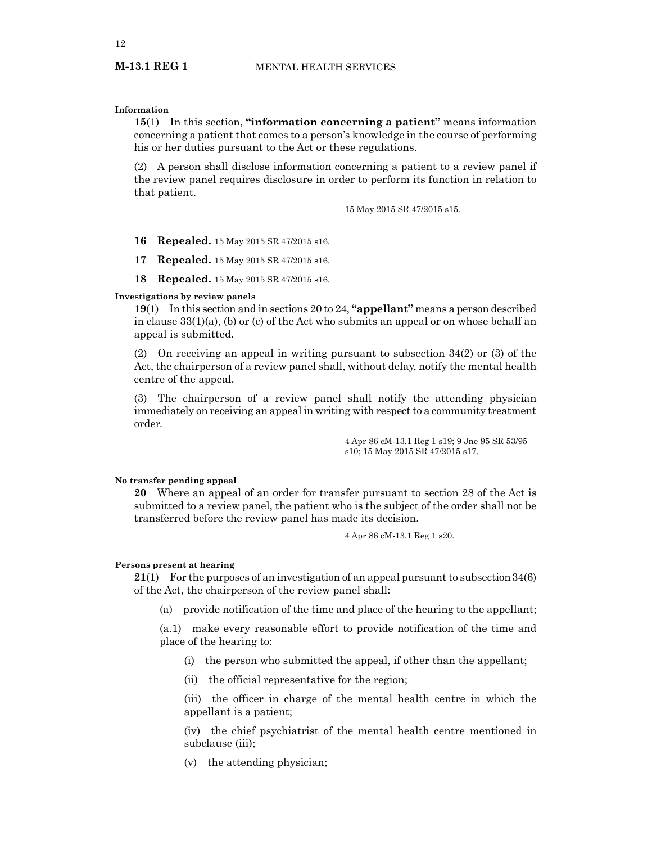**Information**

**M-13.1 REG 1**

**15**(1) In this section, **"information concerning a patient"** means information concerning a patient that comes to a person's knowledge in the course of performing his or her duties pursuant to the Act or these regulations.

(2) A person shall disclose information concerning a patient to a review panel if the review panel requires disclosure in order to perform its function in relation to that patient.

15 May 2015 SR 47/2015 s15.

- **16 Repealed.** 15 May 2015 SR 47/2015 s16.
- **17 Repealed.** 15 May 2015 SR 47/2015 s16.
- **18 Repealed.** 15 May 2015 SR 47/2015 s16.

#### **Investigations by review panels**

**19**(1) In this section and in sections 20 to 24, **"appellant"** means a person described in clause 33(1)(a), (b) or (c) of the Act who submits an appeal or on whose behalf an appeal is submitted.

(2) On receiving an appeal in writing pursuant to subsection 34(2) or (3) of the Act, the chairperson of a review panel shall, without delay, notify the mental health centre of the appeal.

(3) The chairperson of a review panel shall notify the attending physician immediately on receiving an appeal in writing with respect to a community treatment order.

> 4 Apr 86 cM-13.1 Reg 1 s19; 9 Jne 95 SR 53/95 s10; 15 May 2015 SR 47/2015 s17.

#### **No transfer pending appeal**

**20** Where an appeal of an order for transfer pursuant to section 28 of the Act is submitted to a review panel, the patient who is the subject of the order shall not be transferred before the review panel has made its decision.

4 Apr 86 cM-13.1 Reg 1 s20.

#### **Persons present at hearing**

**21**(1) For the purposes of an investigation of an appeal pursuant to subsection34(6) of the Act, the chairperson of the review panel shall:

(a) provide notification of the time and place of the hearing to the appellant;

(a.1) make every reasonable effort to provide notification of the time and place of the hearing to:

- (i) the person who submitted the appeal, if other than the appellant;
- (ii) the official representative for the region;

(iii) the officer in charge of the mental health centre in which the appellant is a patient;

(iv) the chief psychiatrist of the mental health centre mentioned in subclause (iii);

(v) the attending physician;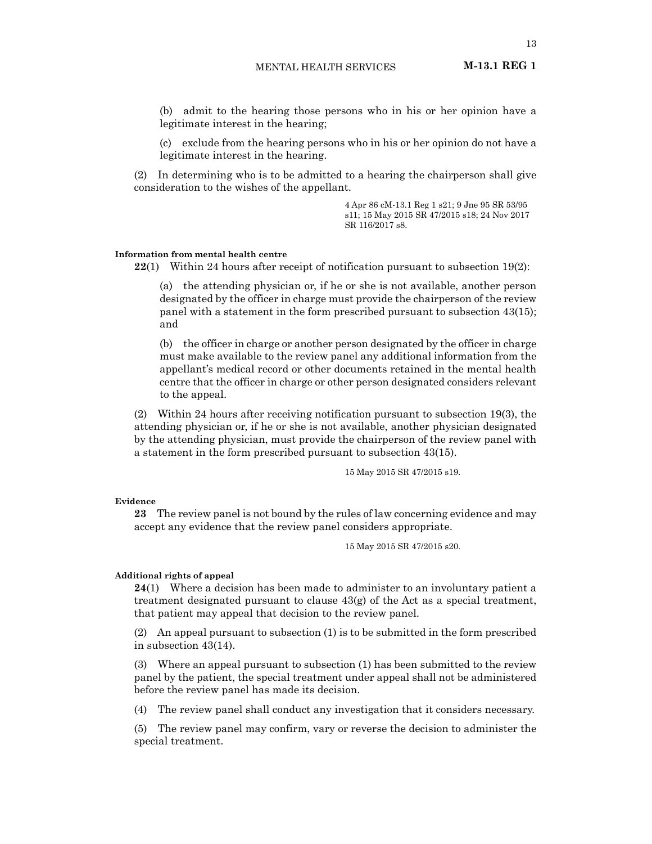(b) admit to the hearing those persons who in his or her opinion have a legitimate interest in the hearing;

(c) exclude from the hearing persons who in his or her opinion do not have a legitimate interest in the hearing.

(2) In determining who is to be admitted to a hearing the chairperson shall give consideration to the wishes of the appellant.

> 4 Apr 86 cM-13.1 Reg 1 s21; 9 Jne 95 SR 53/95 s11; 15 May 2015 SR 47/2015 s18; 24 Nov 2017 SR 116/2017 s8.

#### **Information from mental health centre**

**22**(1) Within 24 hours after receipt of notification pursuant to subsection 19(2):

(a) the attending physician or, if he or she is not available, another person designated by the officer in charge must provide the chairperson of the review panel with a statement in the form prescribed pursuant to subsection 43(15); and

(b) the officer in charge or another person designated by the officer in charge must make available to the review panel any additional information from the appellant's medical record or other documents retained in the mental health centre that the officer in charge or other person designated considers relevant to the appeal.

(2) Within 24 hours after receiving notification pursuant to subsection 19(3), the attending physician or, if he or she is not available, another physician designated by the attending physician, must provide the chairperson of the review panel with a statement in the form prescribed pursuant to subsection 43(15).

15 May 2015 SR 47/2015 s19.

#### **Evidence**

**23** The review panel is not bound by the rules of law concerning evidence and may accept any evidence that the review panel considers appropriate.

15 May 2015 SR 47/2015 s20.

#### **Additional rights of appeal**

**24**(1) Where a decision has been made to administer to an involuntary patient a treatment designated pursuant to clause  $43(g)$  of the Act as a special treatment, that patient may appeal that decision to the review panel.

(2) An appeal pursuant to subsection (1) is to be submitted in the form prescribed in subsection 43(14).

(3) Where an appeal pursuant to subsection (1) has been submitted to the review panel by the patient, the special treatment under appeal shall not be administered before the review panel has made its decision.

(4) The review panel shall conduct any investigation that it considers necessary.

(5) The review panel may confirm, vary or reverse the decision to administer the special treatment.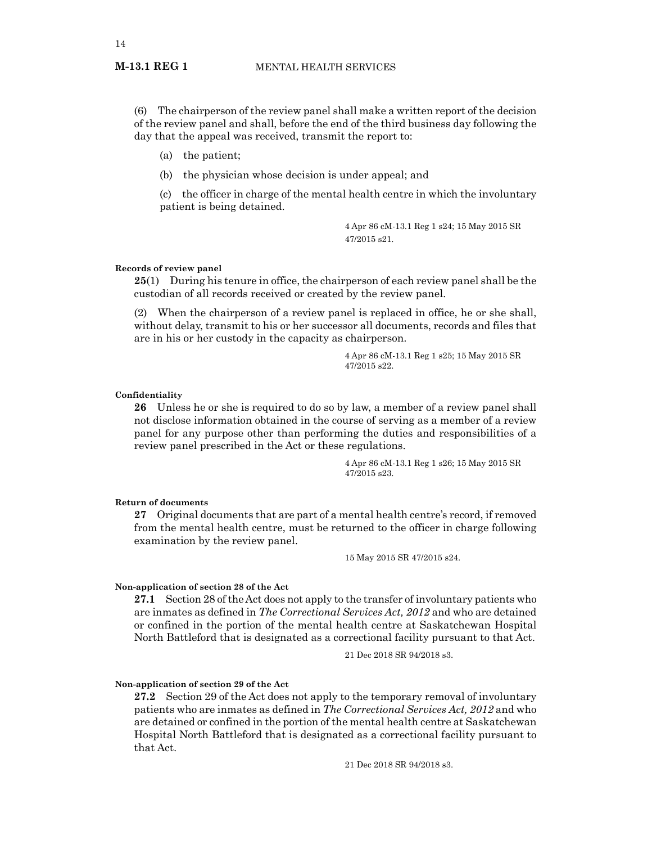(6) The chairperson of the review panel shall make a written report of the decision of the review panel and shall, before the end of the third business day following the day that the appeal was received, transmit the report to:

(a) the patient;

(b) the physician whose decision is under appeal; and

(c) the officer in charge of the mental health centre in which the involuntary patient is being detained.

> 4 Apr 86 cM-13.1 Reg 1 s24; 15 May 2015 SR 47/2015 s21.

#### **Records of review panel**

**25**(1) During his tenure in office, the chairperson of each review panel shall be the custodian of all records received or created by the review panel.

(2) When the chairperson of a review panel is replaced in office, he or she shall, without delay, transmit to his or her successor all documents, records and files that are in his or her custody in the capacity as chairperson.

> 4 Apr 86 cM-13.1 Reg 1 s25; 15 May 2015 SR 47/2015 s22.

#### **Confidentiality**

**26** Unless he or she is required to do so by law, a member of a review panel shall not disclose information obtained in the course of serving as a member of a review panel for any purpose other than performing the duties and responsibilities of a review panel prescribed in the Act or these regulations.

> 4 Apr 86 cM-13.1 Reg 1 s26; 15 May 2015 SR 47/2015 s23.

#### **Return of documents**

**27** Original documents that are part of a mental health centre's record, if removed from the mental health centre, must be returned to the officer in charge following examination by the review panel.

15 May 2015 SR 47/2015 s24.

#### **Non-application of section 28 of the Act**

**27.1** Section 28 of the Act does not apply to the transfer of involuntary patients who are inmates as defined in *The Correctional Services Act, 2012* and who are detained or confined in the portion of the mental health centre at Saskatchewan Hospital North Battleford that is designated as a correctional facility pursuant to that Act.

21 Dec 2018 SR 94/2018 s3.

### **Non-application of section 29 of the Act**

**27.2** Section 29 of the Act does not apply to the temporary removal of involuntary patients who are inmates as defined in *The Correctional Services Act, 2012* and who are detained or confined in the portion of the mental health centre at Saskatchewan Hospital North Battleford that is designated as a correctional facility pursuant to that Act.

21 Dec 2018 SR 94/2018 s3.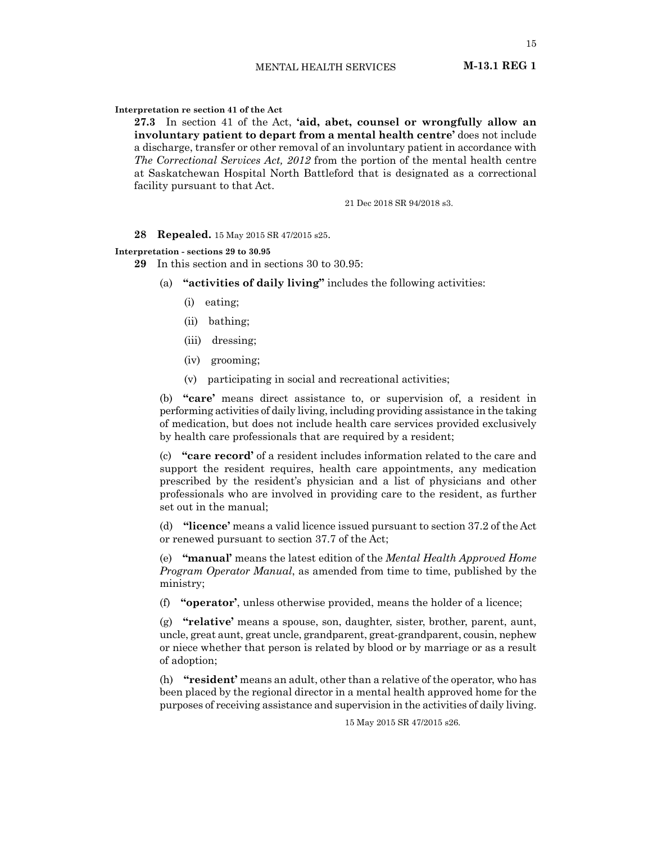**Interpretation re section 41 of the Act**

**27.3** In section 41 of the Act, **'aid, abet, counsel or wrongfully allow an involuntary patient to depart from a mental health centre'** does not include a discharge, transfer or other removal of an involuntary patient in accordance with *The Correctional Services Act, 2012* from the portion of the mental health centre at Saskatchewan Hospital North Battleford that is designated as a correctional facility pursuant to that Act.

21 Dec 2018 SR 94/2018 s3.

**28 Repealed.** 15 May 2015 SR 47/2015 s25.

**Interpretation - sections 29 to 30.95**

- **29** In this section and in sections 30 to 30.95:
	- (a) **"activities of daily living"** includes the following activities:
		- (i) eating;
		- (ii) bathing;
		- (iii) dressing;
		- (iv) grooming;
		- (v) participating in social and recreational activities;

(b) **"care'** means direct assistance to, or supervision of, a resident in performing activities of daily living, including providing assistance in the taking of medication, but does not include health care services provided exclusively by health care professionals that are required by a resident;

(c) **"care record'** of a resident includes information related to the care and support the resident requires, health care appointments, any medication prescribed by the resident's physician and a list of physicians and other professionals who are involved in providing care to the resident, as further set out in the manual;

(d) **"licence'** means a valid licence issued pursuant to section 37.2 of the Act or renewed pursuant to section 37.7 of the Act;

(e) **"manual'** means the latest edition of the *Mental Health Approved Home Program Operator Manual*, as amended from time to time, published by the ministry;

(f) **"operator'**, unless otherwise provided, means the holder of a licence;

(g) **"relative'** means a spouse, son, daughter, sister, brother, parent, aunt, uncle, great aunt, great uncle, grandparent, great-grandparent, cousin, nephew or niece whether that person is related by blood or by marriage or as a result of adoption;

(h) **"resident'** means an adult, other than a relative of the operator, who has been placed by the regional director in a mental health approved home for the purposes of receiving assistance and supervision in the activities of daily living.

15 May 2015 SR 47/2015 s26.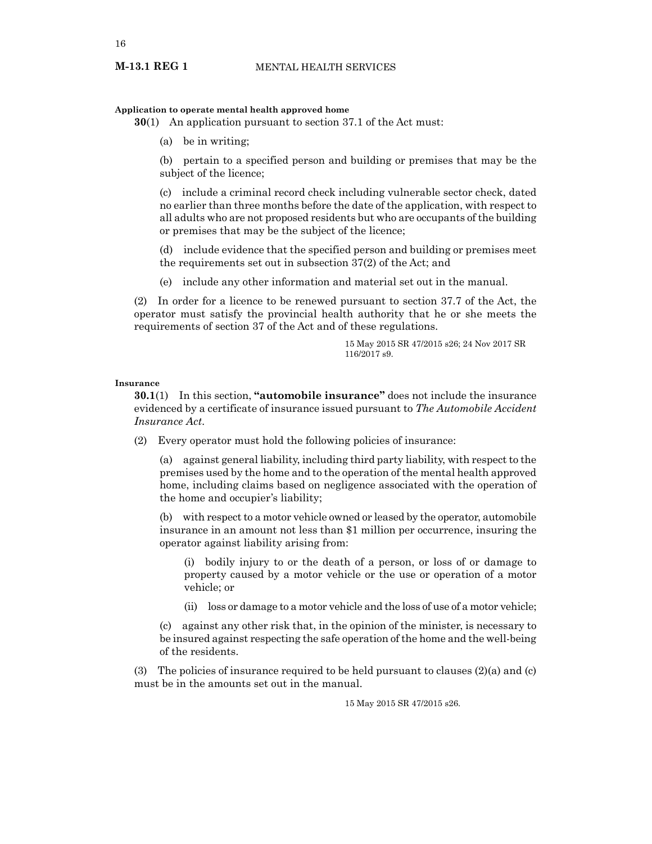#### **Application to operate mental health approved home**

**30**(1) An application pursuant to section 37.1 of the Act must:

(a) be in writing;

(b) pertain to a specified person and building or premises that may be the subject of the licence;

(c) include a criminal record check including vulnerable sector check, dated no earlier than three months before the date of the application, with respect to all adults who are not proposed residents but who are occupants of the building or premises that may be the subject of the licence;

(d) include evidence that the specified person and building or premises meet the requirements set out in subsection 37(2) of the Act; and

(e) include any other information and material set out in the manual.

(2) In order for a licence to be renewed pursuant to section 37.7 of the Act, the operator must satisfy the provincial health authority that he or she meets the requirements of section 37 of the Act and of these regulations.

> 15 May 2015 SR 47/2015 s26; 24 Nov 2017 SR 116/2017 s9.

#### **Insurance**

**30.1**(1) In this section, **"automobile insurance"** does not include the insurance evidenced by a certificate of insurance issued pursuant to *The Automobile Accident Insurance Act*.

(2) Every operator must hold the following policies of insurance:

(a) against general liability, including third party liability, with respect to the premises used by the home and to the operation of the mental health approved home, including claims based on negligence associated with the operation of the home and occupier's liability;

(b) with respect to a motor vehicle owned or leased by the operator, automobile insurance in an amount not less than \$1 million per occurrence, insuring the operator against liability arising from:

(i) bodily injury to or the death of a person, or loss of or damage to property caused by a motor vehicle or the use or operation of a motor vehicle; or

(ii) loss or damage to a motor vehicle and the loss of use of a motor vehicle;

(c) against any other risk that, in the opinion of the minister, is necessary to be insured against respecting the safe operation of the home and the well-being of the residents.

(3) The policies of insurance required to be held pursuant to clauses (2)(a) and (c) must be in the amounts set out in the manual.

15 May 2015 SR 47/2015 s26.

**M-13.1 REG 1**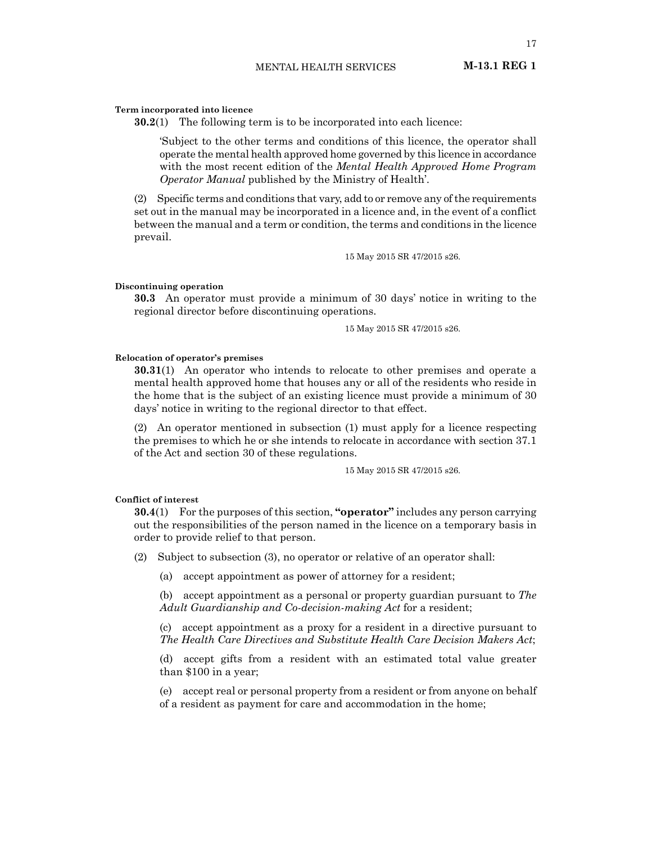#### **Term incorporated into licence**

**30.2**(1) The following term is to be incorporated into each licence:

'Subject to the other terms and conditions of this licence, the operator shall operate the mental health approved home governed by this licence in accordance with the most recent edition of the *Mental Health Approved Home Program Operator Manual* published by the Ministry of Health'.

(2) Specific terms and conditions that vary, add to or remove any of the requirements set out in the manual may be incorporated in a licence and, in the event of a conflict between the manual and a term or condition, the terms and conditions in the licence prevail.

15 May 2015 SR 47/2015 s26.

#### **Discontinuing operation**

**30.3** An operator must provide a minimum of 30 days' notice in writing to the regional director before discontinuing operations.

15 May 2015 SR 47/2015 s26.

#### **Relocation of operator's premises**

**30.31**(1) An operator who intends to relocate to other premises and operate a mental health approved home that houses any or all of the residents who reside in the home that is the subject of an existing licence must provide a minimum of 30 days' notice in writing to the regional director to that effect.

(2) An operator mentioned in subsection (1) must apply for a licence respecting the premises to which he or she intends to relocate in accordance with section 37.1 of the Act and section 30 of these regulations.

15 May 2015 SR 47/2015 s26.

#### **Conflict of interest**

**30.4**(1) For the purposes of this section, **"operator"** includes any person carrying out the responsibilities of the person named in the licence on a temporary basis in order to provide relief to that person.

- (2) Subject to subsection (3), no operator or relative of an operator shall:
	- (a) accept appointment as power of attorney for a resident;

(b) accept appointment as a personal or property guardian pursuant to *The Adult Guardianship and Co-decision-making Act* for a resident;

(c) accept appointment as a proxy for a resident in a directive pursuant to *The Health Care Directives and Substitute Health Care Decision Makers Act*;

(d) accept gifts from a resident with an estimated total value greater than \$100 in a year;

(e) accept real or personal property from a resident or from anyone on behalf of a resident as payment for care and accommodation in the home;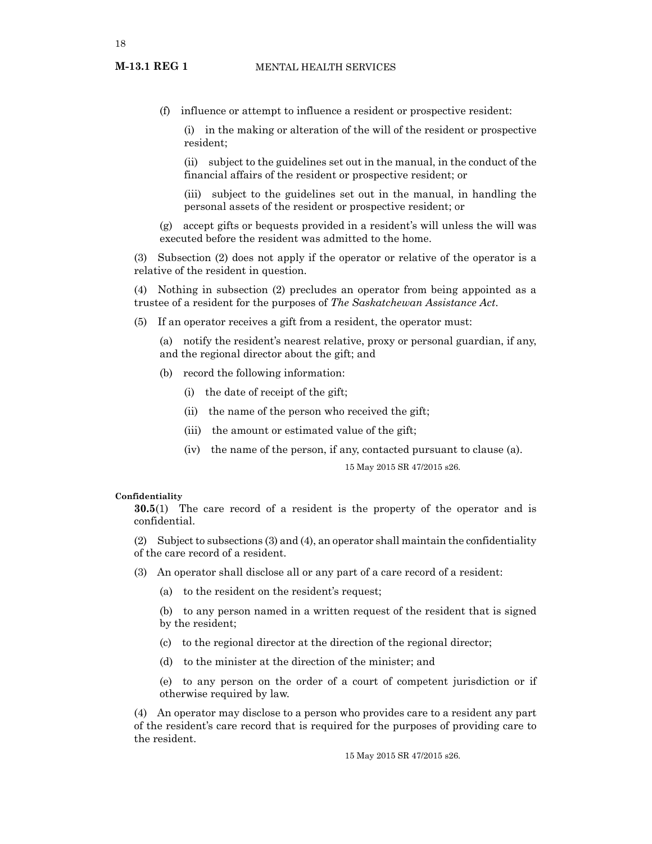(f) influence or attempt to influence a resident or prospective resident:

(i) in the making or alteration of the will of the resident or prospective resident;

(ii) subject to the guidelines set out in the manual, in the conduct of the financial affairs of the resident or prospective resident; or

(iii) subject to the guidelines set out in the manual, in handling the personal assets of the resident or prospective resident; or

(g) accept gifts or bequests provided in a resident's will unless the will was executed before the resident was admitted to the home.

(3) Subsection (2) does not apply if the operator or relative of the operator is a relative of the resident in question.

(4) Nothing in subsection (2) precludes an operator from being appointed as a trustee of a resident for the purposes of *The Saskatchewan Assistance Act*.

(5) If an operator receives a gift from a resident, the operator must:

(a) notify the resident's nearest relative, proxy or personal guardian, if any, and the regional director about the gift; and

- (b) record the following information:
	- (i) the date of receipt of the gift;
	- (ii) the name of the person who received the gift;
	- (iii) the amount or estimated value of the gift;
	- (iv) the name of the person, if any, contacted pursuant to clause (a).

15 May 2015 SR 47/2015 s26.

#### **Confidentiality**

**30.5**(1) The care record of a resident is the property of the operator and is confidential.

(2) Subject to subsections (3) and (4), an operator shall maintain the confidentiality of the care record of a resident.

(3) An operator shall disclose all or any part of a care record of a resident:

(a) to the resident on the resident's request;

(b) to any person named in a written request of the resident that is signed by the resident;

- (c) to the regional director at the direction of the regional director;
- (d) to the minister at the direction of the minister; and

(e) to any person on the order of a court of competent jurisdiction or if otherwise required by law.

(4) An operator may disclose to a person who provides care to a resident any part of the resident's care record that is required for the purposes of providing care to the resident.

15 May 2015 SR 47/2015 s26.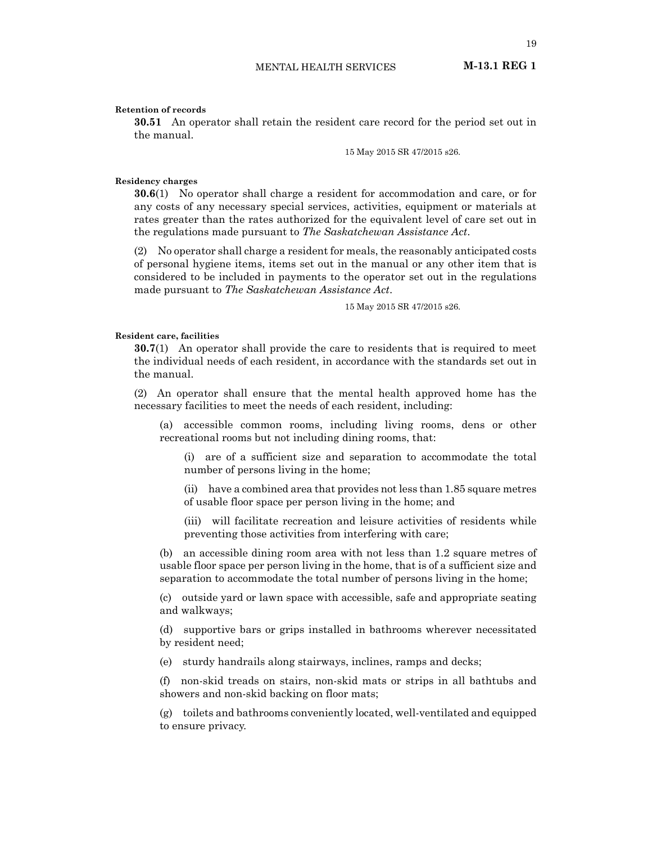19

#### **Retention of records**

**30.51** An operator shall retain the resident care record for the period set out in the manual.

15 May 2015 SR 47/2015 s26.

#### **Residency charges**

**30.6**(1) No operator shall charge a resident for accommodation and care, or for any costs of any necessary special services, activities, equipment or materials at rates greater than the rates authorized for the equivalent level of care set out in the regulations made pursuant to *The Saskatchewan Assistance Act*.

(2) No operator shall charge a resident for meals, the reasonably anticipated costs of personal hygiene items, items set out in the manual or any other item that is considered to be included in payments to the operator set out in the regulations made pursuant to *The Saskatchewan Assistance Act*.

15 May 2015 SR 47/2015 s26.

#### **Resident care, facilities**

**30.7**(1) An operator shall provide the care to residents that is required to meet the individual needs of each resident, in accordance with the standards set out in the manual.

(2) An operator shall ensure that the mental health approved home has the necessary facilities to meet the needs of each resident, including:

(a) accessible common rooms, including living rooms, dens or other recreational rooms but not including dining rooms, that:

(i) are of a sufficient size and separation to accommodate the total number of persons living in the home;

(ii) have a combined area that provides not less than 1.85 square metres of usable floor space per person living in the home; and

(iii) will facilitate recreation and leisure activities of residents while preventing those activities from interfering with care;

(b) an accessible dining room area with not less than 1.2 square metres of usable floor space per person living in the home, that is of a sufficient size and separation to accommodate the total number of persons living in the home;

(c) outside yard or lawn space with accessible, safe and appropriate seating and walkways;

(d) supportive bars or grips installed in bathrooms wherever necessitated by resident need;

(e) sturdy handrails along stairways, inclines, ramps and decks;

(f) non-skid treads on stairs, non-skid mats or strips in all bathtubs and showers and non-skid backing on floor mats;

(g) toilets and bathrooms conveniently located, well-ventilated and equipped to ensure privacy.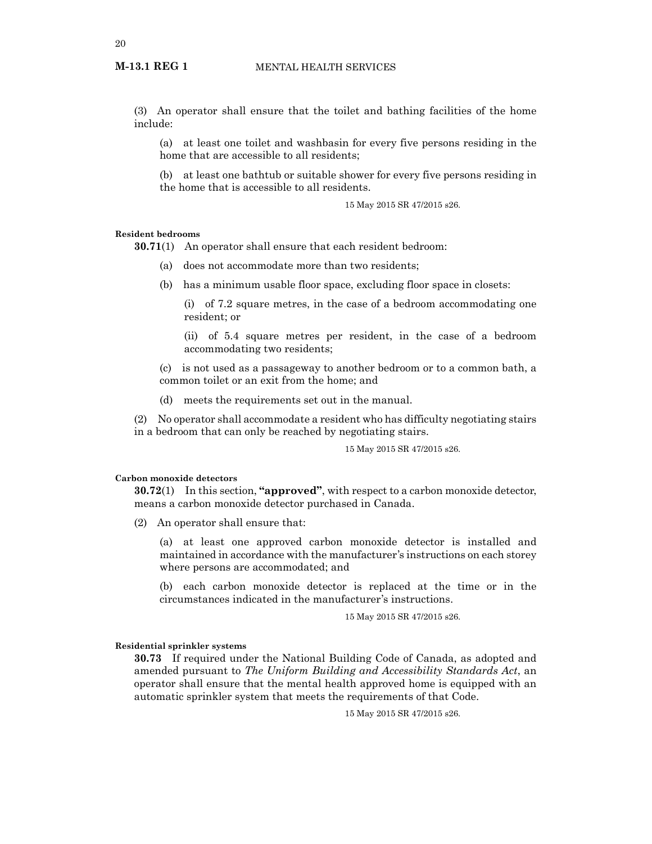(3) An operator shall ensure that the toilet and bathing facilities of the home include:

(a) at least one toilet and washbasin for every five persons residing in the home that are accessible to all residents;

(b) at least one bathtub or suitable shower for every five persons residing in the home that is accessible to all residents.

15 May 2015 SR 47/2015 s26.

#### **Resident bedrooms**

**30.71**(1) An operator shall ensure that each resident bedroom:

- (a) does not accommodate more than two residents;
- (b) has a minimum usable floor space, excluding floor space in closets:

(i) of 7.2 square metres, in the case of a bedroom accommodating one resident; or

(ii) of 5.4 square metres per resident, in the case of a bedroom accommodating two residents;

(c) is not used as a passageway to another bedroom or to a common bath, a common toilet or an exit from the home; and

(d) meets the requirements set out in the manual.

(2) No operator shall accommodate a resident who has difficulty negotiating stairs in a bedroom that can only be reached by negotiating stairs.

15 May 2015 SR 47/2015 s26.

#### **Carbon monoxide detectors**

**30.72**(1) In this section, **"approved"**, with respect to a carbon monoxide detector, means a carbon monoxide detector purchased in Canada.

(2) An operator shall ensure that:

(a) at least one approved carbon monoxide detector is installed and maintained in accordance with the manufacturer's instructions on each storey where persons are accommodated; and

(b) each carbon monoxide detector is replaced at the time or in the circumstances indicated in the manufacturer's instructions.

15 May 2015 SR 47/2015 s26.

#### **Residential sprinkler systems**

**30.73** If required under the National Building Code of Canada, as adopted and amended pursuant to *The Uniform Building and Accessibility Standards Act*, an operator shall ensure that the mental health approved home is equipped with an automatic sprinkler system that meets the requirements of that Code.

15 May 2015 SR 47/2015 s26.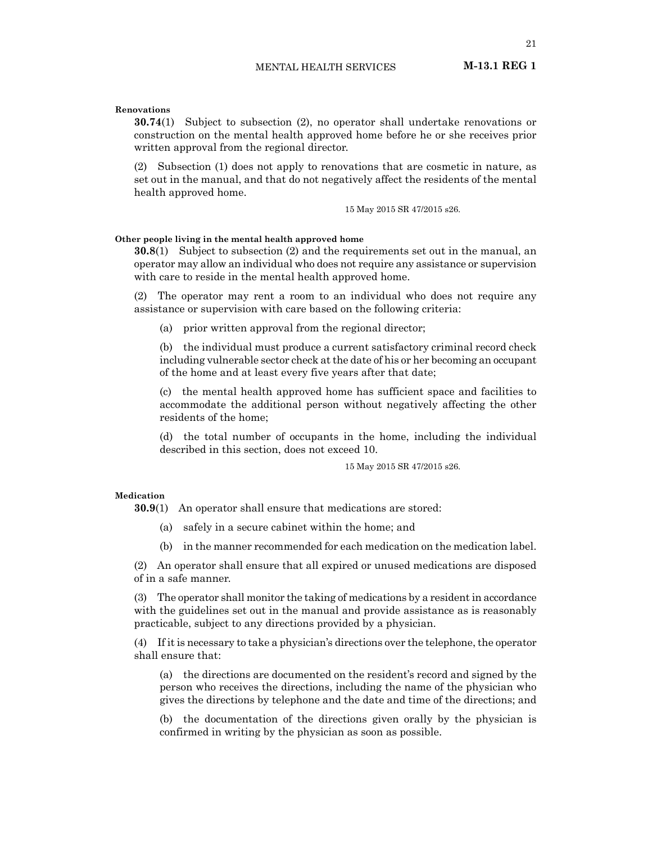### **Renovations**

**30.74**(1) Subject to subsection (2), no operator shall undertake renovations or construction on the mental health approved home before he or she receives prior written approval from the regional director.

(2) Subsection (1) does not apply to renovations that are cosmetic in nature, as set out in the manual, and that do not negatively affect the residents of the mental health approved home.

15 May 2015 SR 47/2015 s26.

#### **Other people living in the mental health approved home**

**30.8**(1) Subject to subsection (2) and the requirements set out in the manual, an operator may allow an individual who does not require any assistance or supervision with care to reside in the mental health approved home.

(2) The operator may rent a room to an individual who does not require any assistance or supervision with care based on the following criteria:

(a) prior written approval from the regional director;

(b) the individual must produce a current satisfactory criminal record check including vulnerable sector check at the date of his or her becoming an occupant of the home and at least every five years after that date;

(c) the mental health approved home has sufficient space and facilities to accommodate the additional person without negatively affecting the other residents of the home;

(d) the total number of occupants in the home, including the individual described in this section, does not exceed 10.

15 May 2015 SR 47/2015 s26.

#### **Medication**

**30.9**(1) An operator shall ensure that medications are stored:

- (a) safely in a secure cabinet within the home; and
- (b) in the manner recommended for each medication on the medication label.

(2) An operator shall ensure that all expired or unused medications are disposed of in a safe manner.

(3) The operator shall monitor the taking of medications by a resident in accordance with the guidelines set out in the manual and provide assistance as is reasonably practicable, subject to any directions provided by a physician.

(4) If it is necessary to take a physician's directions over the telephone, the operator shall ensure that:

(a) the directions are documented on the resident's record and signed by the person who receives the directions, including the name of the physician who gives the directions by telephone and the date and time of the directions; and

(b) the documentation of the directions given orally by the physician is confirmed in writing by the physician as soon as possible.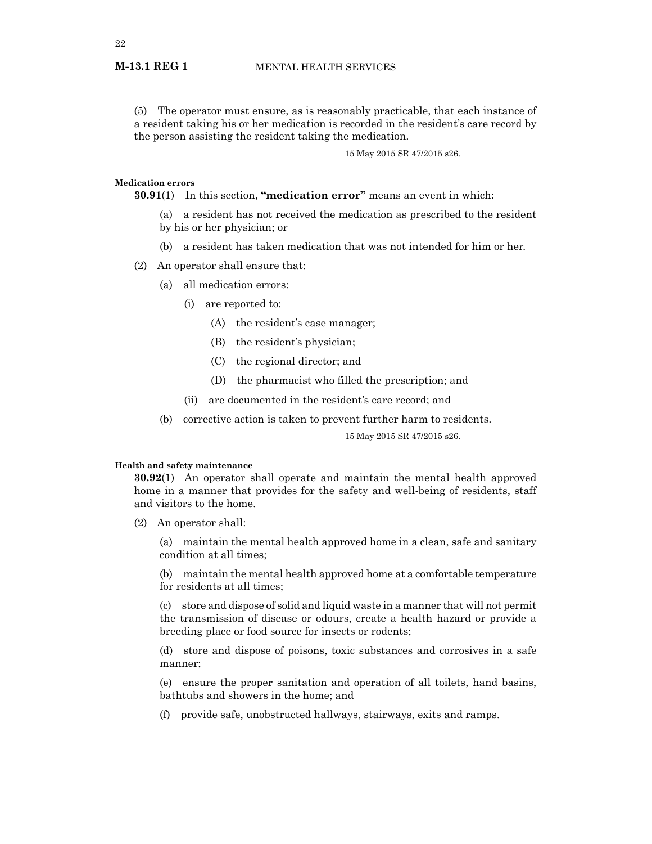(5) The operator must ensure, as is reasonably practicable, that each instance of a resident taking his or her medication is recorded in the resident's care record by the person assisting the resident taking the medication.

15 May 2015 SR 47/2015 s26.

#### **Medication errors**

**M-13.1 REG 1**

**30.91**(1) In this section, **"medication error"** means an event in which:

- (a) a resident has not received the medication as prescribed to the resident by his or her physician; or
- (b) a resident has taken medication that was not intended for him or her.
- (2) An operator shall ensure that:
	- (a) all medication errors:
		- (i) are reported to:
			- (A) the resident's case manager;
			- (B) the resident's physician;
			- (C) the regional director; and
			- (D) the pharmacist who filled the prescription; and
		- (ii) are documented in the resident's care record; and
	- (b) corrective action is taken to prevent further harm to residents.

15 May 2015 SR 47/2015 s26.

#### **Health and safety maintenance**

**30.92**(1) An operator shall operate and maintain the mental health approved home in a manner that provides for the safety and well-being of residents, staff and visitors to the home.

(2) An operator shall:

(a) maintain the mental health approved home in a clean, safe and sanitary condition at all times;

(b) maintain the mental health approved home at a comfortable temperature for residents at all times;

(c) store and dispose of solid and liquid waste in a manner that will not permit the transmission of disease or odours, create a health hazard or provide a breeding place or food source for insects or rodents;

(d) store and dispose of poisons, toxic substances and corrosives in a safe manner;

(e) ensure the proper sanitation and operation of all toilets, hand basins, bathtubs and showers in the home; and

(f) provide safe, unobstructed hallways, stairways, exits and ramps.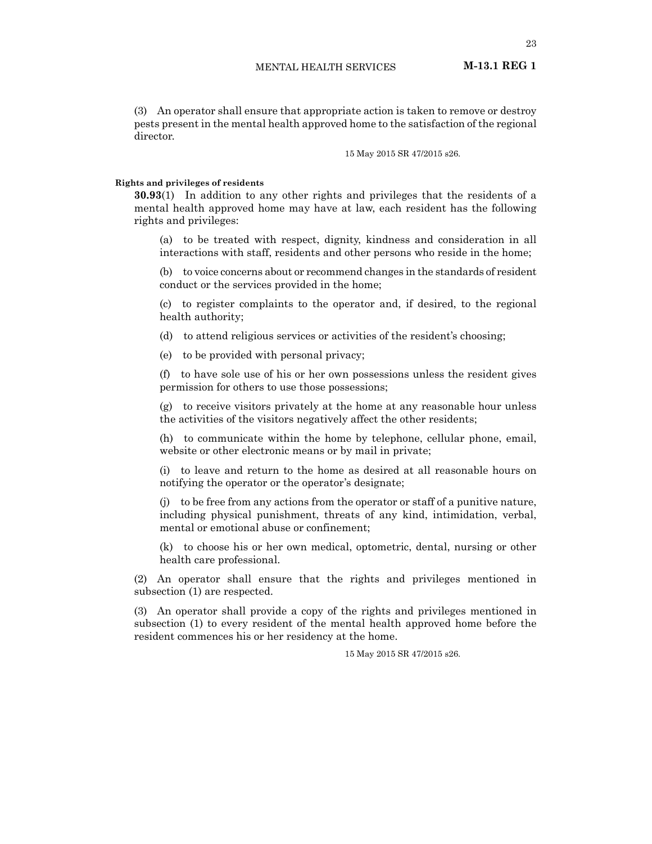(3) An operator shall ensure that appropriate action is taken to remove or destroy pests present in the mental health approved home to the satisfaction of the regional director.

15 May 2015 SR 47/2015 s26.

#### **Rights and privileges of residents**

**30.93**(1) In addition to any other rights and privileges that the residents of a mental health approved home may have at law, each resident has the following rights and privileges:

(a) to be treated with respect, dignity, kindness and consideration in all interactions with staff, residents and other persons who reside in the home;

(b) to voice concerns about or recommend changes in the standards of resident conduct or the services provided in the home;

(c) to register complaints to the operator and, if desired, to the regional health authority;

(d) to attend religious services or activities of the resident's choosing;

(e) to be provided with personal privacy;

(f) to have sole use of his or her own possessions unless the resident gives permission for others to use those possessions;

(g) to receive visitors privately at the home at any reasonable hour unless the activities of the visitors negatively affect the other residents;

(h) to communicate within the home by telephone, cellular phone, email, website or other electronic means or by mail in private;

(i) to leave and return to the home as desired at all reasonable hours on notifying the operator or the operator's designate;

(j) to be free from any actions from the operator or staff of a punitive nature, including physical punishment, threats of any kind, intimidation, verbal, mental or emotional abuse or confinement;

(k) to choose his or her own medical, optometric, dental, nursing or other health care professional.

(2) An operator shall ensure that the rights and privileges mentioned in subsection (1) are respected.

(3) An operator shall provide a copy of the rights and privileges mentioned in subsection (1) to every resident of the mental health approved home before the resident commences his or her residency at the home.

15 May 2015 SR 47/2015 s26.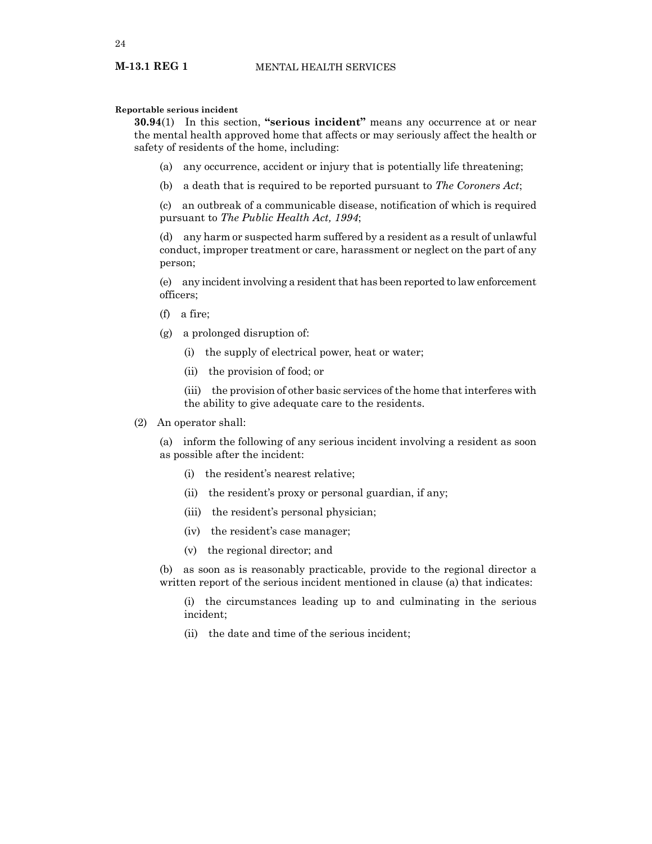#### **Reportable serious incident**

**30.94**(1) In this section, **"serious incident"** means any occurrence at or near the mental health approved home that affects or may seriously affect the health or safety of residents of the home, including:

- (a) any occurrence, accident or injury that is potentially life threatening;
- (b) a death that is required to be reported pursuant to *The Coroners Act*;

(c) an outbreak of a communicable disease, notification of which is required pursuant to *The Public Health Act, 1994*;

(d) any harm or suspected harm suffered by a resident as a result of unlawful conduct, improper treatment or care, harassment or neglect on the part of any person;

(e) any incident involving a resident that has been reported to law enforcement officers;

- (f) a fire;
- (g) a prolonged disruption of:
	- (i) the supply of electrical power, heat or water;
	- (ii) the provision of food; or
	- (iii) the provision of other basic services of the home that interferes with the ability to give adequate care to the residents.

### (2) An operator shall:

(a) inform the following of any serious incident involving a resident as soon as possible after the incident:

- (i) the resident's nearest relative;
- (ii) the resident's proxy or personal guardian, if any;
- (iii) the resident's personal physician;
- (iv) the resident's case manager;
- (v) the regional director; and

(b) as soon as is reasonably practicable, provide to the regional director a written report of the serious incident mentioned in clause (a) that indicates:

(i) the circumstances leading up to and culminating in the serious incident;

(ii) the date and time of the serious incident;

**M-13.1 REG 1**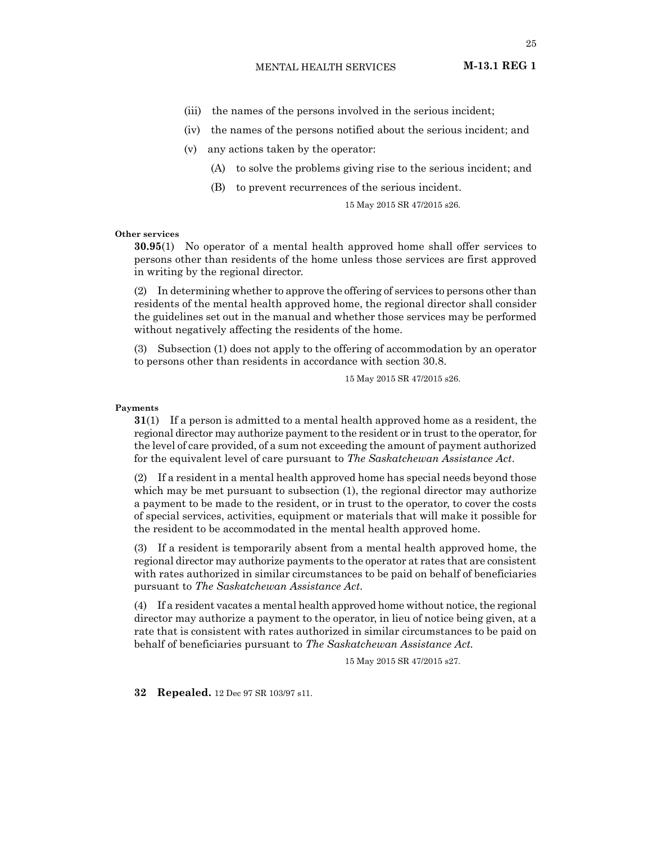- (iii) the names of the persons involved in the serious incident;
- (iv) the names of the persons notified about the serious incident; and
- (v) any actions taken by the operator:
	- (A) to solve the problems giving rise to the serious incident; and
	- (B) to prevent recurrences of the serious incident.

15 May 2015 SR 47/2015 s26.

### **Other services**

**30.95**(1) No operator of a mental health approved home shall offer services to persons other than residents of the home unless those services are first approved in writing by the regional director.

(2) In determining whether to approve the offering of services to persons other than residents of the mental health approved home, the regional director shall consider the guidelines set out in the manual and whether those services may be performed without negatively affecting the residents of the home.

(3) Subsection (1) does not apply to the offering of accommodation by an operator to persons other than residents in accordance with section 30.8.

15 May 2015 SR 47/2015 s26.

#### **Payments**

**31**(1) If a person is admitted to a mental health approved home as a resident, the regional director may authorize payment to the resident or in trust to the operator, for the level of care provided, of a sum not exceeding the amount of payment authorized for the equivalent level of care pursuant to *The Saskatchewan Assistance Act*.

(2) If a resident in a mental health approved home has special needs beyond those which may be met pursuant to subsection (1), the regional director may authorize a payment to be made to the resident, or in trust to the operator, to cover the costs of special services, activities, equipment or materials that will make it possible for the resident to be accommodated in the mental health approved home.

(3) If a resident is temporarily absent from a mental health approved home, the regional director may authorize payments to the operator at rates that are consistent with rates authorized in similar circumstances to be paid on behalf of beneficiaries pursuant to *The Saskatchewan Assistance Act*.

(4) If a resident vacates a mental health approved home without notice, the regional director may authorize a payment to the operator, in lieu of notice being given, at a rate that is consistent with rates authorized in similar circumstances to be paid on behalf of beneficiaries pursuant to *The Saskatchewan Assistance Act.*

15 May 2015 SR 47/2015 s27.

**32 Repealed.** 12 Dec 97 SR 103/97 s11.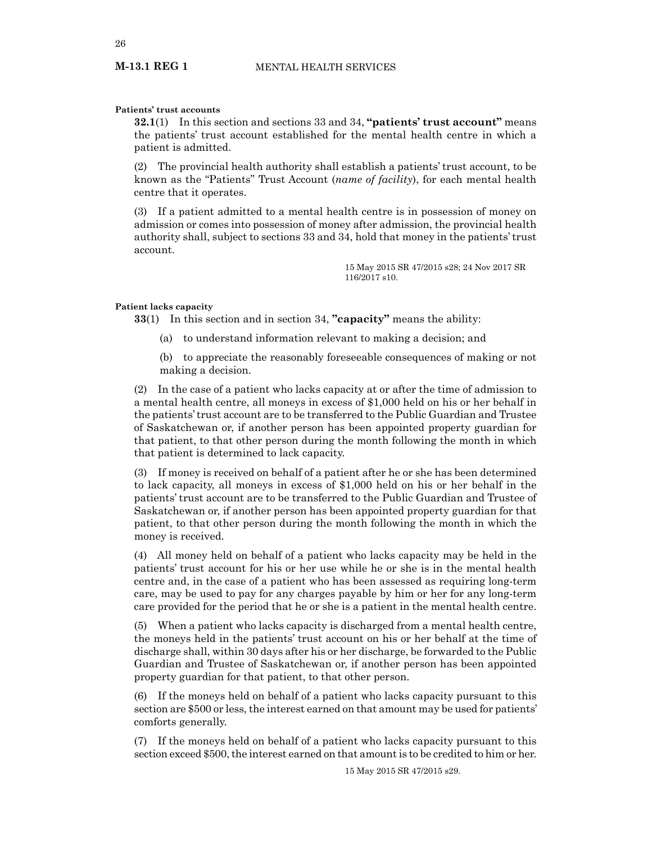#### **Patients' trust accounts**

**M-13.1 REG 1**

**32.1**(1) In this section and sections 33 and 34, **"patients' trust account"** means the patients' trust account established for the mental health centre in which a patient is admitted.

(2) The provincial health authority shall establish a patients' trust account, to be known as the "Patients" Trust Account (*name of facility*), for each mental health centre that it operates.

(3) If a patient admitted to a mental health centre is in possession of money on admission or comes into possession of money after admission, the provincial health authority shall, subject to sections 33 and 34, hold that money in the patients' trust account.

> 15 May 2015 SR 47/2015 s28; 24 Nov 2017 SR 116/2017 s10.

#### **Patient lacks capacity**

**33**(1) In this section and in section 34, **"capacity"** means the ability:

- (a) to understand information relevant to making a decision; and
- (b) to appreciate the reasonably foreseeable consequences of making or not making a decision.

(2) In the case of a patient who lacks capacity at or after the time of admission to a mental health centre, all moneys in excess of \$1,000 held on his or her behalf in the patients' trust account are to be transferred to the Public Guardian and Trustee of Saskatchewan or, if another person has been appointed property guardian for that patient, to that other person during the month following the month in which that patient is determined to lack capacity.

(3) If money is received on behalf of a patient after he or she has been determined to lack capacity, all moneys in excess of \$1,000 held on his or her behalf in the patients' trust account are to be transferred to the Public Guardian and Trustee of Saskatchewan or, if another person has been appointed property guardian for that patient, to that other person during the month following the month in which the money is received.

(4) All money held on behalf of a patient who lacks capacity may be held in the patients' trust account for his or her use while he or she is in the mental health centre and, in the case of a patient who has been assessed as requiring long-term care, may be used to pay for any charges payable by him or her for any long-term care provided for the period that he or she is a patient in the mental health centre.

(5) When a patient who lacks capacity is discharged from a mental health centre, the moneys held in the patients' trust account on his or her behalf at the time of discharge shall, within 30 days after his or her discharge, be forwarded to the Public Guardian and Trustee of Saskatchewan or, if another person has been appointed property guardian for that patient, to that other person.

(6) If the moneys held on behalf of a patient who lacks capacity pursuant to this section are \$500 or less, the interest earned on that amount may be used for patients' comforts generally.

(7) If the moneys held on behalf of a patient who lacks capacity pursuant to this section exceed \$500, the interest earned on that amount is to be credited to him or her.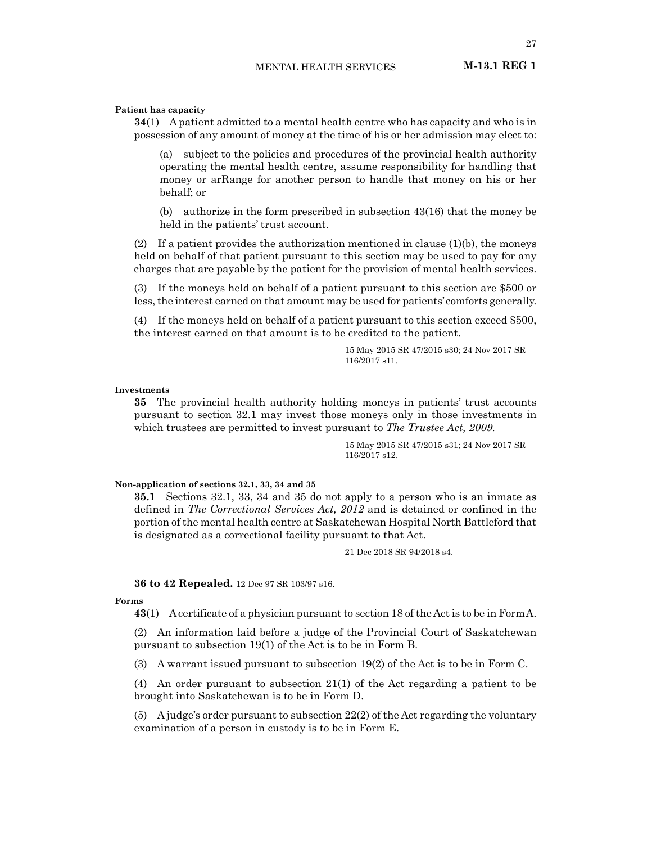**Patient has capacity**

**34**(1) A patient admitted to a mental health centre who has capacity and who is in possession of any amount of money at the time of his or her admission may elect to:

(a) subject to the policies and procedures of the provincial health authority operating the mental health centre, assume responsibility for handling that money or arRange for another person to handle that money on his or her behalf; or

(b) authorize in the form prescribed in subsection 43(16) that the money be held in the patients' trust account.

(2) If a patient provides the authorization mentioned in clause  $(1)(b)$ , the moneys held on behalf of that patient pursuant to this section may be used to pay for any charges that are payable by the patient for the provision of mental health services.

(3) If the moneys held on behalf of a patient pursuant to this section are \$500 or less, the interest earned on that amount may be used for patients' comforts generally.

(4) If the moneys held on behalf of a patient pursuant to this section exceed \$500, the interest earned on that amount is to be credited to the patient.

> 15 May 2015 SR 47/2015 s30; 24 Nov 2017 SR 116/2017 s11.

#### **Investments**

**35** The provincial health authority holding moneys in patients' trust accounts pursuant to section 32.1 may invest those moneys only in those investments in which trustees are permitted to invest pursuant to *The Trustee Act, 2009.*

> 15 May 2015 SR 47/2015 s31; 24 Nov 2017 SR 116/2017 s12.

#### **Non-application of sections 32.1, 33, 34 and 35**

**35.1** Sections 32.1, 33, 34 and 35 do not apply to a person who is an inmate as defined in *The Correctional Services Act, 2012* and is detained or confined in the portion of the mental health centre at Saskatchewan Hospital North Battleford that is designated as a correctional facility pursuant to that Act.

21 Dec 2018 SR 94/2018 s4.

**36 to 42 Repealed.** 12 Dec 97 SR 103/97 s16.

**Forms**

**43**(1) A certificate of a physician pursuant to section 18 of the Act is to be in FormA.

(2) An information laid before a judge of the Provincial Court of Saskatchewan pursuant to subsection 19(1) of the Act is to be in Form B.

(3) A warrant issued pursuant to subsection 19(2) of the Act is to be in Form C.

(4) An order pursuant to subsection 21(1) of the Act regarding a patient to be brought into Saskatchewan is to be in Form D.

(5) A judge's order pursuant to subsection 22(2) of the Act regarding the voluntary examination of a person in custody is to be in Form E.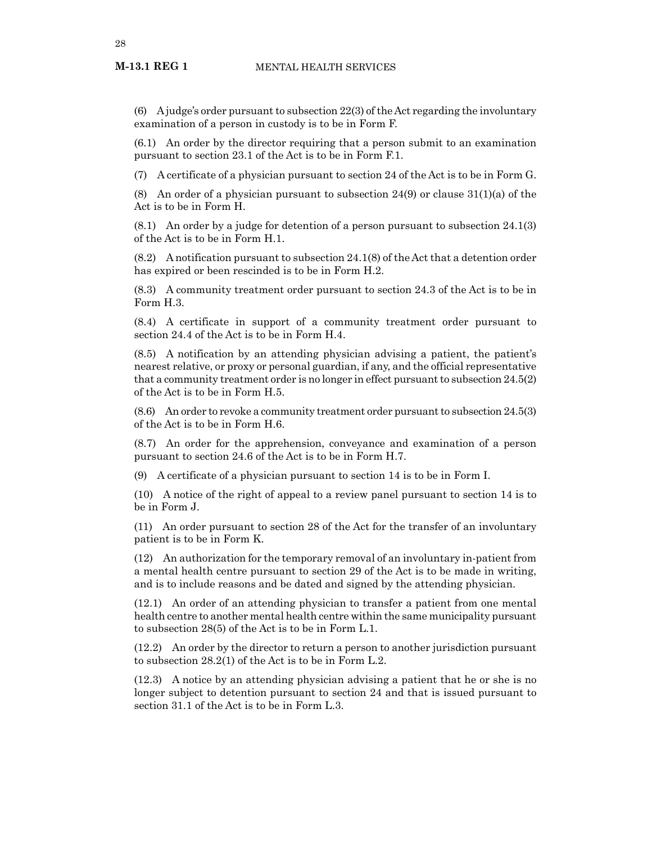(6) A judge's order pursuant to subsection 22(3) of the Act regarding the involuntary examination of a person in custody is to be in Form F.

(6.1) An order by the director requiring that a person submit to an examination pursuant to section 23.1 of the Act is to be in Form F.1.

(7) A certificate of a physician pursuant to section 24 of the Act is to be in Form G.

(8) An order of a physician pursuant to subsection 24(9) or clause 31(1)(a) of the Act is to be in Form H.

(8.1) An order by a judge for detention of a person pursuant to subsection 24.1(3) of the Act is to be in Form H.1.

(8.2) A notification pursuant to subsection 24.1(8) of the Act that a detention order has expired or been rescinded is to be in Form H.2.

(8.3) A community treatment order pursuant to section 24.3 of the Act is to be in Form H.3.

(8.4) A certificate in support of a community treatment order pursuant to section 24.4 of the Act is to be in Form H.4.

(8.5) A notification by an attending physician advising a patient, the patient's nearest relative, or proxy or personal guardian, if any, and the official representative that a community treatment order is no longer in effect pursuant to subsection 24.5(2) of the Act is to be in Form H.5.

(8.6) An order to revoke a community treatment order pursuant to subsection 24.5(3) of the Act is to be in Form H.6.

(8.7) An order for the apprehension, conveyance and examination of a person pursuant to section 24.6 of the Act is to be in Form H.7.

(9) A certificate of a physician pursuant to section 14 is to be in Form I.

(10) A notice of the right of appeal to a review panel pursuant to section 14 is to be in Form J.

(11) An order pursuant to section 28 of the Act for the transfer of an involuntary patient is to be in Form K.

(12) An authorization for the temporary removal of an involuntary in-patient from a mental health centre pursuant to section 29 of the Act is to be made in writing, and is to include reasons and be dated and signed by the attending physician.

(12.1) An order of an attending physician to transfer a patient from one mental health centre to another mental health centre within the same municipality pursuant to subsection 28(5) of the Act is to be in Form L.1.

(12.2) An order by the director to return a person to another jurisdiction pursuant to subsection 28.2(1) of the Act is to be in Form L.2.

(12.3) A notice by an attending physician advising a patient that he or she is no longer subject to detention pursuant to section 24 and that is issued pursuant to section 31.1 of the Act is to be in Form L.3.

**M-13.1 REG 1**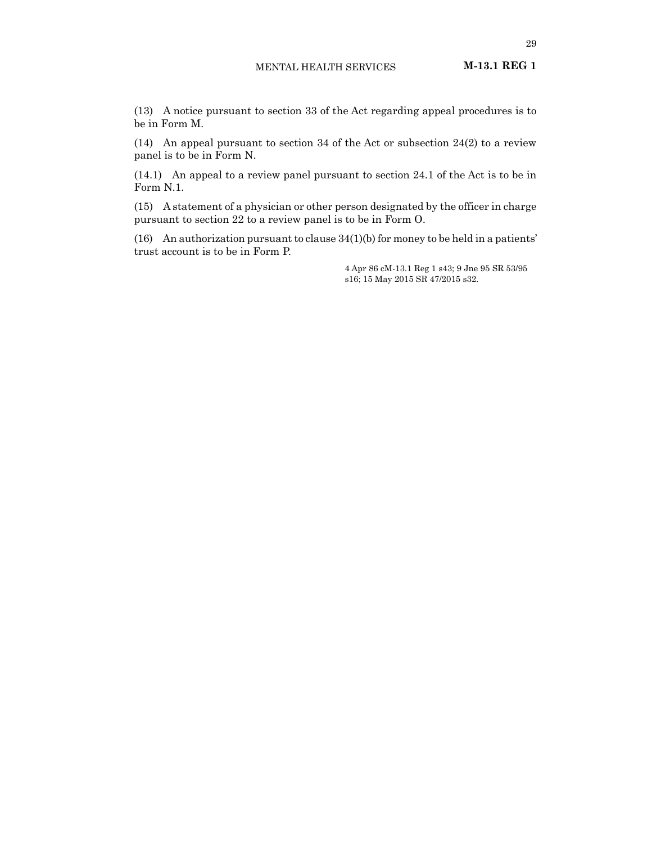(13) A notice pursuant to section 33 of the Act regarding appeal procedures is to be in Form M.

(14) An appeal pursuant to section 34 of the Act or subsection  $24(2)$  to a review panel is to be in Form N.

(14.1) An appeal to a review panel pursuant to section 24.1 of the Act is to be in Form N.1.

(15) A statement of a physician or other person designated by the officer in charge pursuant to section 22 to a review panel is to be in Form O.

(16) An authorization pursuant to clause 34(1)(b) for money to be held in a patients' trust account is to be in Form P.

> 4 Apr 86 cM-13.1 Reg 1 s43; 9 Jne 95 SR 53/95 s16; 15 May 2015 SR 47/2015 s32.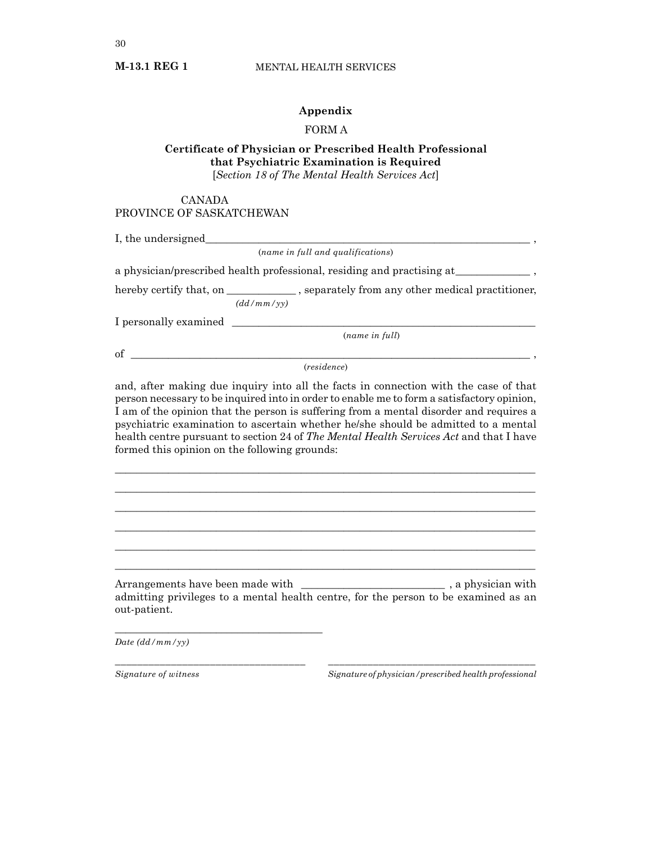**M-13.1 REG 1**

### **Appendix**

### FORM A

### **Certificate of Physician or Prescribed Health Professional that Psychiatric Examination is Required** [*Section 18 of The Mental Health Services Act*]

### CANADA PROVINCE OF SASKATCHEWAN

I, the undersigned

(*name in full and qualifications*)

a physician/prescribed health professional, residing and practising at  $\qquad \qquad$ ,

hereby certify that, on \_\_\_\_\_\_\_\_\_\_\_\_\_, separately from any other medical practitioner, *(dd/mm/yy)*

I personally examined

(*name in full*)

 $\circ$  f

(*residence*)

and, after making due inquiry into all the facts in connection with the case of that person necessary to be inquired into in order to enable me to form a satisfactory opinion, I am of the opinion that the person is suffering from a mental disorder and requires a psychiatric examination to ascertain whether he/she should be admitted to a mental health centre pursuant to section 24 of *The Mental Health Services Act* and that I have formed this opinion on the following grounds:

\_\_\_\_\_\_\_\_\_\_\_\_\_\_\_\_\_\_\_\_\_\_\_\_\_\_\_\_\_\_\_\_\_\_\_\_\_\_\_\_\_\_\_\_\_\_\_\_\_\_\_\_\_\_\_\_\_\_\_\_\_\_\_\_\_\_\_\_\_\_\_\_\_\_\_\_\_\_\_ \_\_\_\_\_\_\_\_\_\_\_\_\_\_\_\_\_\_\_\_\_\_\_\_\_\_\_\_\_\_\_\_\_\_\_\_\_\_\_\_\_\_\_\_\_\_\_\_\_\_\_\_\_\_\_\_\_\_\_\_\_\_\_\_\_\_\_\_\_\_\_\_\_\_\_\_\_\_\_ \_\_\_\_\_\_\_\_\_\_\_\_\_\_\_\_\_\_\_\_\_\_\_\_\_\_\_\_\_\_\_\_\_\_\_\_\_\_\_\_\_\_\_\_\_\_\_\_\_\_\_\_\_\_\_\_\_\_\_\_\_\_\_\_\_\_\_\_\_\_\_\_\_\_\_\_\_\_\_ \_\_\_\_\_\_\_\_\_\_\_\_\_\_\_\_\_\_\_\_\_\_\_\_\_\_\_\_\_\_\_\_\_\_\_\_\_\_\_\_\_\_\_\_\_\_\_\_\_\_\_\_\_\_\_\_\_\_\_\_\_\_\_\_\_\_\_\_\_\_\_\_\_\_\_\_\_\_\_ \_\_\_\_\_\_\_\_\_\_\_\_\_\_\_\_\_\_\_\_\_\_\_\_\_\_\_\_\_\_\_\_\_\_\_\_\_\_\_\_\_\_\_\_\_\_\_\_\_\_\_\_\_\_\_\_\_\_\_\_\_\_\_\_\_\_\_\_\_\_\_\_\_\_\_\_\_\_\_ \_\_\_\_\_\_\_\_\_\_\_\_\_\_\_\_\_\_\_\_\_\_\_\_\_\_\_\_\_\_\_\_\_\_\_\_\_\_\_\_\_\_\_\_\_\_\_\_\_\_\_\_\_\_\_\_\_\_\_\_\_\_\_\_\_\_\_\_\_\_\_\_\_\_\_\_\_\_\_

Arrangements have been made with \_\_\_\_\_\_\_\_\_\_\_\_\_\_\_\_\_\_\_\_\_\_\_\_\_\_\_ , a physician with admitting privileges to a mental health centre, for the person to be examined as an out-patient.

*\_\_\_\_\_\_\_\_\_\_\_\_\_\_\_\_\_\_\_\_\_\_\_\_\_\_\_\_\_\_\_\_\_\_ \_\_\_\_\_\_\_\_\_\_\_\_\_\_\_\_\_\_\_\_\_\_\_\_\_\_\_\_\_\_\_\_\_\_\_\_\_*

*Date (dd/mm/yy)*

\_\_\_\_\_\_\_\_\_\_\_\_\_\_\_\_\_\_\_\_\_\_\_\_\_\_\_\_\_\_\_\_\_\_\_\_\_\_\_

*Signature of witness Signature of physician/prescribed health professional*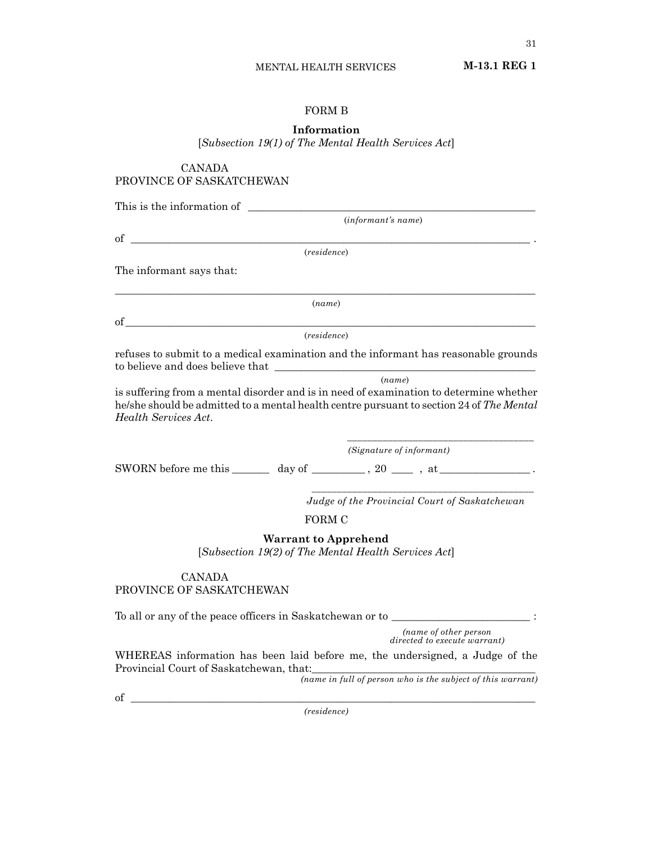#### MENTAL HEALTH SERVICES

**M-13.1 REG 1**

### FORM B

**Information**

[*Subsection 19(1) of The Mental Health Services Act*]

### CANADA PROVINCE OF SASKATCHEWAN

This is the information of

(*informant's name*)

 $\circ$  f

(*residence*)

The informant says that:

of \_\_\_\_\_\_\_\_\_\_\_\_\_\_\_\_\_\_\_\_\_\_\_\_\_\_\_\_\_\_\_\_\_\_\_\_\_\_\_\_\_\_\_\_\_\_\_\_\_\_\_\_\_\_\_\_\_\_\_\_\_\_\_\_\_\_\_\_\_\_\_\_\_\_\_\_\_

\_\_\_\_\_\_\_\_\_\_\_\_\_\_\_\_\_\_\_\_\_\_\_\_\_\_\_\_\_\_\_\_\_\_\_\_\_\_\_\_\_\_\_\_\_\_\_\_\_\_\_\_\_\_\_\_\_\_\_\_\_\_\_\_\_\_\_\_\_\_\_\_\_\_\_\_\_\_\_ (*name*)

(*residence*)

refuses to submit to a medical examination and the informant has reasonable grounds to believe and does believe that \_\_\_\_\_\_\_\_\_\_\_\_\_\_\_\_\_\_\_\_\_\_\_\_\_\_\_\_\_\_\_\_\_\_\_\_\_\_\_\_\_\_\_\_\_\_\_\_\_

(*name*)

is suffering from a mental disorder and is in need of examination to determine whether he/she should be admitted to a mental health centre pursuant to section 24 of *The Mental Health Services Act*.

*(Signature of informant)*

SWORN before me this  $\_\_\_\_\_\$  day of  $\_\_\_\_\_$ , 20  $\_\_\_\$ , at  $\_\_\_\_\_\_\_\_$ .

\_\_\_\_\_\_\_\_\_\_\_\_\_\_\_\_\_\_\_\_\_\_\_\_\_\_\_\_\_\_\_\_\_\_\_\_\_\_\_\_\_\_\_\_ *Judge of the Provincial Court of Saskatchewan*

\_\_\_\_\_\_\_\_\_\_\_\_\_\_\_\_\_\_\_\_\_\_\_\_\_\_\_\_\_\_\_\_\_\_\_\_\_

FORM C

**Warrant to Apprehend**

[*Subsection 19(2) of The Mental Health Services Act*]

### CANADA PROVINCE OF SASKATCHEWAN

To all or any of the peace officers in Saskatchewan or to \_\_\_\_\_\_\_\_\_\_\_\_\_\_\_\_\_\_\_\_\_\_\_\_\_\_ :

*(name of other person directed to execute warrant)*

WHEREAS information has been laid before me, the undersigned, a Judge of the Provincial Court of Saskatchewan, that:

*(name in full of person who is the subject of this warrant)*

 $of \_\_$ 

*(residence)*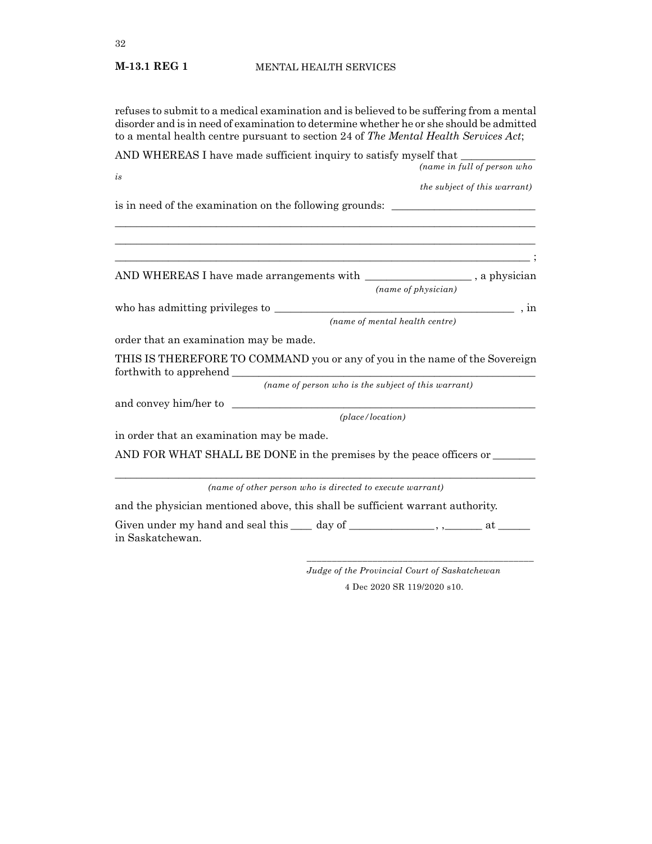refuses to submit to a medical examination and is believed to be suffering from a mental disorder and is in need of examination to determine whether he or she should be admitted to a mental health centre pursuant to section 24 of *The Mental Health Services Act*; AND WHEREAS I have made sufficient inquiry to satisfy myself that \_\_\_\_\_\_\_\_\_\_\_\_\_\_

| AND WHEREAS I have made sufficient inquiry to satisfy myself that                                        |
|----------------------------------------------------------------------------------------------------------|
| (name in full of person who<br>is                                                                        |
| <i>the subject of this warrant</i> )                                                                     |
| is in need of the examination on the following grounds:                                                  |
|                                                                                                          |
|                                                                                                          |
|                                                                                                          |
| AND WHEREAS I have made arrangements with _______________________, a physician                           |
| (name of physician)                                                                                      |
|                                                                                                          |
| (name of mental health centre)                                                                           |
| order that an examination may be made.                                                                   |
| THIS IS THEREFORE TO COMMAND you or any of you in the name of the Sovereign                              |
| (name of person who is the subject of this warrant)                                                      |
|                                                                                                          |
| (place/location)                                                                                         |
| in order that an examination may be made.                                                                |
| AND FOR WHAT SHALL BE DONE in the premises by the peace officers or                                      |
|                                                                                                          |
| (name of other person who is directed to execute warrant)                                                |
| and the physician mentioned above, this shall be sufficient warrant authority.                           |
| Given under my hand and seal this _____ day of ________________, , _______ at ______<br>in Saskatchewan. |
|                                                                                                          |

*Judge of the Provincial Court of Saskatchewan* 4 Dec 2020 SR 119/2020 s10.

*\_\_\_\_\_\_\_\_\_\_\_\_\_\_\_\_\_\_\_\_\_\_\_\_\_\_\_\_\_\_\_\_\_\_\_\_\_\_\_\_\_\_\_\_\_*

**M-13.1 REG 1**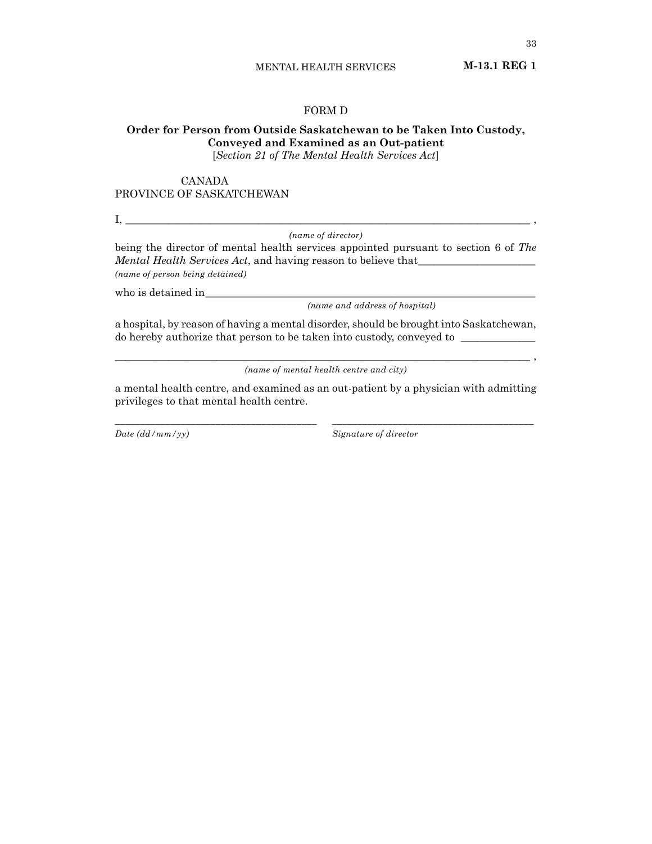#### MENTAL HEALTH SERVICES

**M-13.1 REG 1**

### FORM D

# **Order for Person from Outside Saskatchewan to be Taken Into Custody, Conveyed and Examined as an Out-patient**

[*Section 21 of The Mental Health Services Act*]

### CANADA PROVINCE OF SASKATCHEWAN

 $I, \Box$ 

*(name of director)*

being the director of mental health services appointed pursuant to section 6 of *The Mental Health Services Act*, and having reason to believe that *(name of person being detained)*

who is detained in

*(name and address of hospital)*

a hospital, by reason of having a mental disorder, should be brought into Saskatchewan, do hereby authorize that person to be taken into custody, conveyed to \_\_\_\_\_\_\_\_\_\_\_

\_\_\_\_\_\_\_\_\_\_\_\_\_\_\_\_\_\_\_\_\_\_\_\_\_\_\_\_\_\_\_\_\_\_\_\_\_\_\_\_\_\_\_\_\_\_\_\_\_\_\_\_\_\_\_\_\_\_\_\_\_\_\_\_\_\_\_\_\_\_\_\_\_\_\_\_\_\_ , *(name of mental health centre and city)*

a mental health centre, and examined as an out-patient by a physician with admitting privileges to that mental health centre.

*\_\_\_\_\_\_\_\_\_\_\_\_\_\_\_\_\_\_\_\_\_\_\_\_\_\_\_\_\_\_\_\_\_\_\_\_\_\_\_\_ \_\_\_\_\_\_\_\_\_\_\_\_\_\_\_\_\_\_\_\_\_\_\_\_\_\_\_\_\_\_\_\_\_\_\_\_\_\_\_\_*

*Date (dd/mm/yy) Signature of director*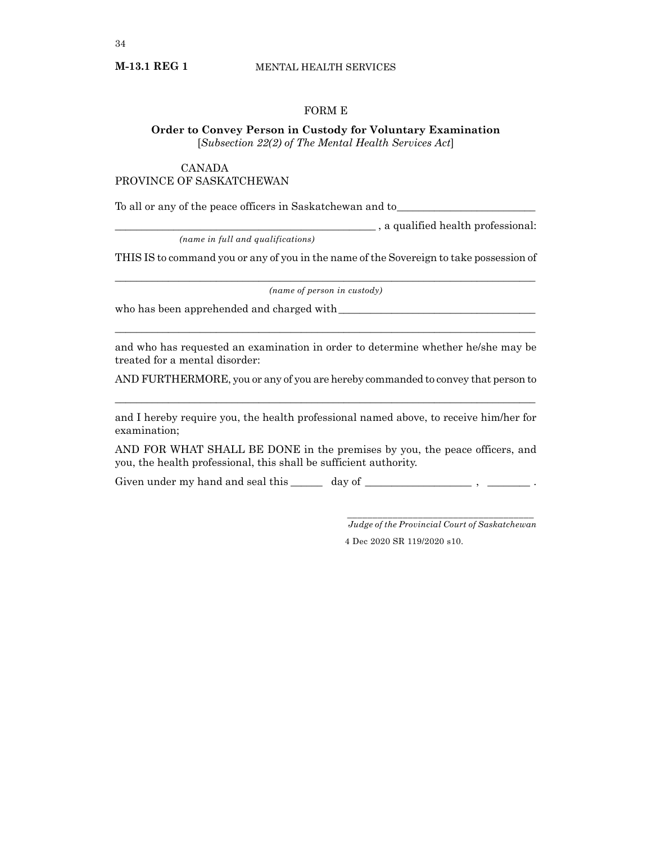### FORM E

**Order to Convey Person in Custody for Voluntary Examination** [*Subsection 22(2) of The Mental Health Services Act*]

### CANADA PROVINCE OF SASKATCHEWAN

To all or any of the peace officers in Saskatchewan and to\_\_\_\_\_\_\_\_\_\_\_\_\_\_\_\_\_\_\_\_\_\_

\_\_\_\_\_\_\_\_\_\_\_\_\_\_\_\_\_\_\_\_\_\_\_\_\_\_\_\_\_\_\_\_\_\_\_\_\_\_\_\_\_\_\_\_\_\_\_\_\_ , a qualified health professional:

*(name in full and qualifications)*

THIS IS to command you or any of you in the name of the Sovereign to take possession of

\_\_\_\_\_\_\_\_\_\_\_\_\_\_\_\_\_\_\_\_\_\_\_\_\_\_\_\_\_\_\_\_\_\_\_\_\_\_\_\_\_\_\_\_\_\_\_\_\_\_\_\_\_\_\_\_\_\_\_\_\_\_\_\_\_\_\_\_\_\_\_\_\_\_\_\_\_\_\_ *(name of person in custody)*

who has been apprehended and charged with\_\_\_\_\_\_\_\_\_\_\_\_\_\_\_\_\_\_\_\_\_\_\_\_\_\_\_\_\_\_\_\_\_\_\_\_\_

and who has requested an examination in order to determine whether he/she may be treated for a mental disorder:

\_\_\_\_\_\_\_\_\_\_\_\_\_\_\_\_\_\_\_\_\_\_\_\_\_\_\_\_\_\_\_\_\_\_\_\_\_\_\_\_\_\_\_\_\_\_\_\_\_\_\_\_\_\_\_\_\_\_\_\_\_\_\_\_\_\_\_\_\_\_\_\_\_\_\_\_\_\_\_

AND FURTHERMORE, you or any of you are hereby commanded to convey that person to \_\_\_\_\_\_\_\_\_\_\_\_\_\_\_\_\_\_\_\_\_\_\_\_\_\_\_\_\_\_\_\_\_\_\_\_\_\_\_\_\_\_\_\_\_\_\_\_\_\_\_\_\_\_\_\_\_\_\_\_\_\_\_\_\_\_\_\_\_\_\_\_\_\_\_\_\_\_\_

and I hereby require you, the health professional named above, to receive him/her for examination;

AND FOR WHAT SHALL BE DONE in the premises by you, the peace officers, and you, the health professional, this shall be sufficient authority.

Given under my hand and seal this  $\qquad \qquad$  day of  $\qquad \qquad$  ,  $\qquad \qquad$  .

*\_\_\_\_\_\_\_\_\_\_\_\_\_\_\_\_\_\_\_\_\_\_\_\_\_\_\_\_\_\_\_\_\_\_\_\_\_ Judge of the Provincial Court of Saskatchewan*

4 Dec 2020 SR 119/2020 s10.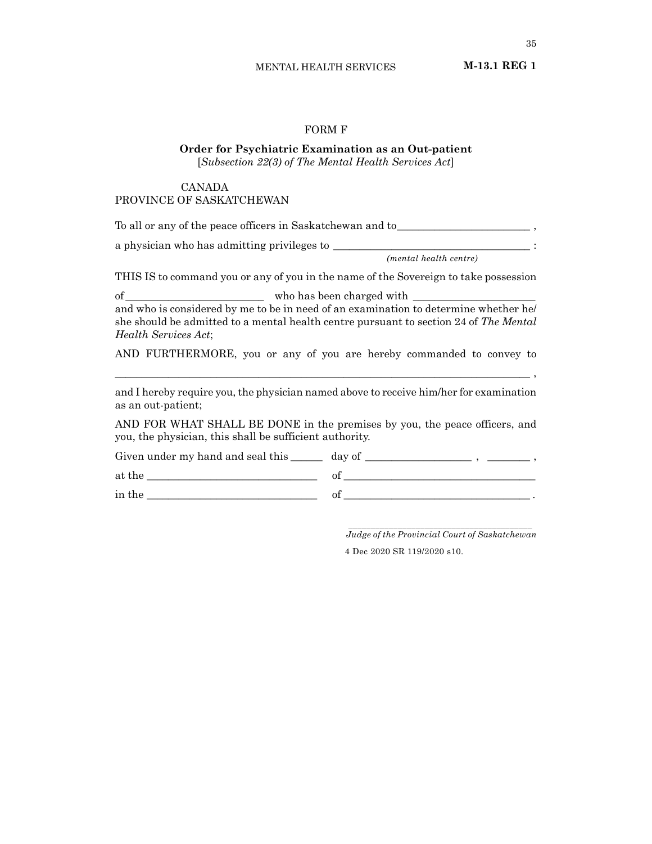**M-13.1 REG 1**

### FORM F

### **Order for Psychiatric Examination as an Out-patient**

[*Subsection 22(3) of The Mental Health Services Act*]

### CANADA PROVINCE OF SASKATCHEWAN

To all or any of the peace officers in Saskatchewan and to\_\_\_\_\_\_\_\_\_\_\_\_\_\_\_\_\_\_\_\_\_\_

a physician who has admitting privileges to \_\_\_\_\_\_\_\_\_\_\_\_\_\_\_\_\_\_\_\_\_\_\_\_\_\_\_\_\_\_\_\_\_\_\_\_\_ :

*(mental health centre)*

THIS IS to command you or any of you in the name of the Sovereign to take possession

of \_\_\_\_\_\_\_\_\_\_\_\_\_\_\_\_\_\_\_\_\_\_\_\_\_\_ who has been charged with \_\_\_\_\_\_\_\_\_\_\_\_\_\_\_\_\_\_\_\_\_\_\_

and who is considered by me to be in need of an examination to determine whether he/ she should be admitted to a mental health centre pursuant to section 24 of *The Mental Health Services Act*;

AND FURTHERMORE, you or any of you are hereby commanded to convey to \_\_\_\_\_\_\_\_\_\_\_\_\_\_\_\_\_\_\_\_\_\_\_\_\_\_\_\_\_\_\_\_\_\_\_\_\_\_\_\_\_\_\_\_\_\_\_\_\_\_\_\_\_\_\_\_\_\_\_\_\_\_\_\_\_\_\_\_\_\_\_\_\_\_\_\_\_\_ ,

and I hereby require you, the physician named above to receive him/her for examination as an out-patient;

AND FOR WHAT SHALL BE DONE in the premises by you, the peace officers, and you, the physician, this shall be sufficient authority.

Given under my hand and seal this  $\frac{1}{\sqrt{2}}$  day of  $\frac{1}{\sqrt{2}}$  ,  $\frac{1}{\sqrt{2}}$  ,

at the \_\_\_\_\_\_\_\_\_\_\_\_\_\_\_\_\_\_\_\_\_\_\_\_\_\_\_\_\_\_\_\_ of \_\_\_\_\_\_\_\_\_\_\_\_\_\_\_\_\_\_\_\_\_\_\_\_\_\_\_\_\_\_\_\_\_\_\_\_

in the  $\hskip 10.5cm$  of  $\hskip 10.5cm \ldots$ 

*\_\_\_\_\_\_\_\_\_\_\_\_\_\_\_\_\_\_\_\_\_\_\_\_\_\_\_\_\_\_\_\_\_\_\_\_\_\_\_\_\_ Judge of the Provincial Court of Saskatchewan*

4 Dec 2020 SR 119/2020 s10.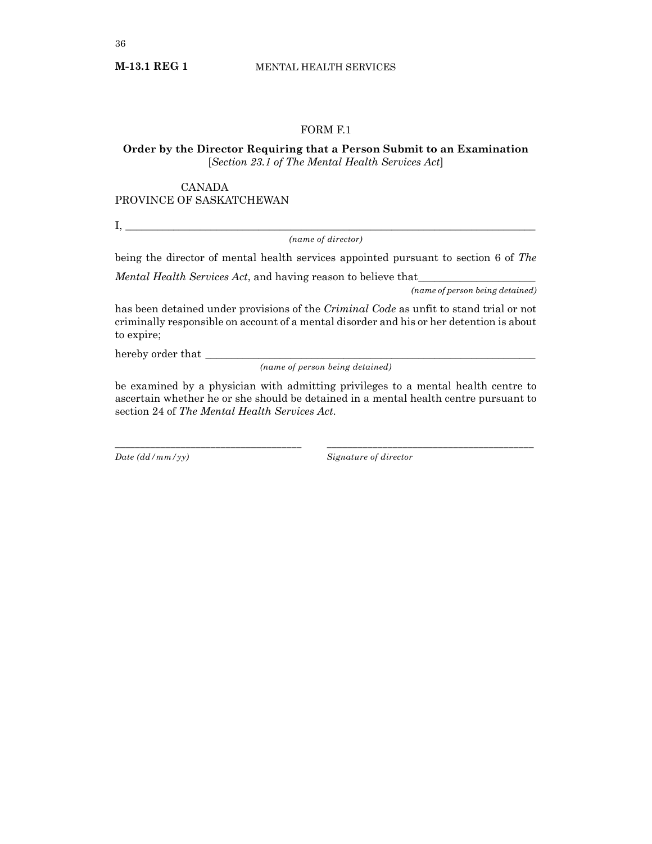**M-13.1 REG 1**

#### MENTAL HEALTH SERVICES

### FORM F.1

### **Order by the Director Requiring that a Person Submit to an Examination** [*Section 23.1 of The Mental Health Services Act*]

### CANADA PROVINCE OF SASKATCHEWAN

 $\rm I,\_\_$ 

*(name of director)*

being the director of mental health services appointed pursuant to section 6 of *The*

*Mental Health Services Act*, and having reason to believe that

*(name of person being detained)*

has been detained under provisions of the *Criminal Code* as unfit to stand trial or not criminally responsible on account of a mental disorder and his or her detention is about to expire;

hereby order that \_\_\_\_\_\_\_\_\_\_\_\_\_\_\_\_\_\_\_\_\_\_\_\_\_\_\_\_\_\_\_\_\_\_\_\_\_\_\_\_\_\_\_\_\_\_\_\_\_\_\_\_\_\_\_\_\_\_\_\_\_\_

*(name of person being detained)*

be examined by a physician with admitting privileges to a mental health centre to ascertain whether he or she should be detained in a mental health centre pursuant to section 24 of *The Mental Health Services Act*.

*\_\_\_\_\_\_\_\_\_\_\_\_\_\_\_\_\_\_\_\_\_\_\_\_\_\_\_\_\_\_\_\_\_\_\_\_\_ \_\_\_\_\_\_\_\_\_\_\_\_\_\_\_\_\_\_\_\_\_\_\_\_\_\_\_\_\_\_\_\_\_\_\_\_\_\_\_\_\_*

*Date (dd/mm/yy) Signature of director*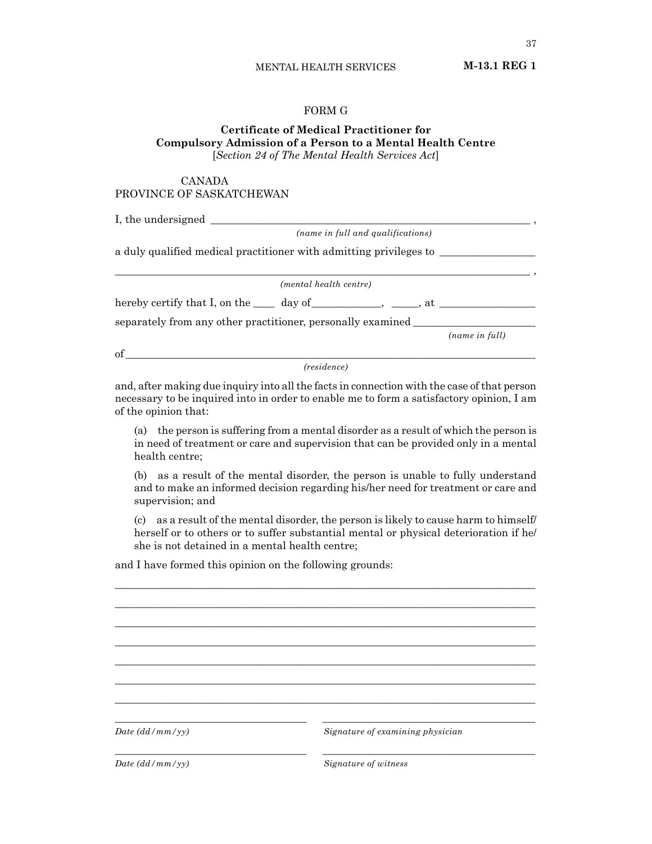#### MENTAL HEALTH SERVICES

**M-13.1 REG 1**

### FORM G

### **Certificate of Medical Practitioner for Compulsory Admission of a Person to a Mental Health Centre** [*Section 24 of The Mental Health Services Act*]

### CANADA PROVINCE OF SASKATCHEWAN

I, the undersigned \_\_\_\_\_\_\_\_\_\_\_\_\_\_\_\_\_\_\_\_\_\_\_\_\_\_\_\_\_\_\_\_\_\_\_\_\_\_\_\_\_\_\_\_\_\_\_\_\_\_\_\_\_\_\_\_\_\_\_\_ , *(name in full and qualifications)* a duly qualified medical practitioner with admitting privileges to \_\_\_\_\_\_\_\_\_\_\_\_\_\_ \_\_\_\_\_\_\_\_\_\_\_\_\_\_\_\_\_\_\_\_\_\_\_\_\_\_\_\_\_\_\_\_\_\_\_\_\_\_\_\_\_\_\_\_\_\_\_\_\_\_\_\_\_\_\_\_\_\_\_\_\_\_\_\_\_\_\_\_\_\_\_\_\_\_\_\_\_\_ , *(mental health centre)* hereby certify that I, on the  $\_\_\_$  day of  $\_\_\_\_\_\_\_\_\_\_\_\_\_\_\_$ , at  $\_\_\_\_\_\_\_\_\_\_\_\_\_\_\_\_\_$ separately from any other practitioner, personally examined \_\_\_\_\_\_\_\_\_\_\_\_\_\_\_\_\_\_\_\_\_ *(name in full)*  $of \_\_$ 

*(residence)*

and, after making due inquiry into all the facts in connection with the case of that person necessary to be inquired into in order to enable me to form a satisfactory opinion, I am of the opinion that:

(a) the person is suffering from a mental disorder as a result of which the person is in need of treatment or care and supervision that can be provided only in a mental health centre;

(b) as a result of the mental disorder, the person is unable to fully understand and to make an informed decision regarding his/her need for treatment or care and supervision; and

(c) as a result of the mental disorder, the person is likely to cause harm to himself/ herself or to others or to suffer substantial mental or physical deterioration if he/ she is not detained in a mental health centre;

\_\_\_\_\_\_\_\_\_\_\_\_\_\_\_\_\_\_\_\_\_\_\_\_\_\_\_\_\_\_\_\_\_\_\_\_\_\_\_\_\_\_\_\_\_\_\_\_\_\_\_\_\_\_\_\_\_\_\_\_\_\_\_\_\_\_\_\_\_\_\_\_\_\_\_\_\_\_\_ \_\_\_\_\_\_\_\_\_\_\_\_\_\_\_\_\_\_\_\_\_\_\_\_\_\_\_\_\_\_\_\_\_\_\_\_\_\_\_\_\_\_\_\_\_\_\_\_\_\_\_\_\_\_\_\_\_\_\_\_\_\_\_\_\_\_\_\_\_\_\_\_\_\_\_\_\_\_\_ \_\_\_\_\_\_\_\_\_\_\_\_\_\_\_\_\_\_\_\_\_\_\_\_\_\_\_\_\_\_\_\_\_\_\_\_\_\_\_\_\_\_\_\_\_\_\_\_\_\_\_\_\_\_\_\_\_\_\_\_\_\_\_\_\_\_\_\_\_\_\_\_\_\_\_\_\_\_\_ \_\_\_\_\_\_\_\_\_\_\_\_\_\_\_\_\_\_\_\_\_\_\_\_\_\_\_\_\_\_\_\_\_\_\_\_\_\_\_\_\_\_\_\_\_\_\_\_\_\_\_\_\_\_\_\_\_\_\_\_\_\_\_\_\_\_\_\_\_\_\_\_\_\_\_\_\_\_\_ \_\_\_\_\_\_\_\_\_\_\_\_\_\_\_\_\_\_\_\_\_\_\_\_\_\_\_\_\_\_\_\_\_\_\_\_\_\_\_\_\_\_\_\_\_\_\_\_\_\_\_\_\_\_\_\_\_\_\_\_\_\_\_\_\_\_\_\_\_\_\_\_\_\_\_\_\_\_\_ \_\_\_\_\_\_\_\_\_\_\_\_\_\_\_\_\_\_\_\_\_\_\_\_\_\_\_\_\_\_\_\_\_\_\_\_\_\_\_\_\_\_\_\_\_\_\_\_\_\_\_\_\_\_\_\_\_\_\_\_\_\_\_\_\_\_\_\_\_\_\_\_\_\_\_\_\_\_\_ \_\_\_\_\_\_\_\_\_\_\_\_\_\_\_\_\_\_\_\_\_\_\_\_\_\_\_\_\_\_\_\_\_\_\_\_\_\_\_\_\_\_\_\_\_\_\_\_\_\_\_\_\_\_\_\_\_\_\_\_\_\_\_\_\_\_\_\_\_\_\_\_\_\_\_\_\_\_\_ \_\_\_\_\_\_\_\_\_\_\_\_\_\_\_\_\_\_\_\_\_\_\_\_\_\_\_\_\_\_\_\_\_\_\_\_ \_\_\_\_\_\_\_\_\_\_\_\_\_\_\_\_\_\_\_\_\_\_\_\_\_\_\_\_\_\_\_\_\_\_\_\_\_\_\_\_

\_\_\_\_\_\_\_\_\_\_\_\_\_\_\_\_\_\_\_\_\_\_\_\_\_\_\_\_\_\_\_\_\_\_\_\_ \_\_\_\_\_\_\_\_\_\_\_\_\_\_\_\_\_\_\_\_\_\_\_\_\_\_\_\_\_\_\_\_\_\_\_\_\_\_\_\_

and I have formed this opinion on the following grounds:

*Date (dd/mm/yy) Signature of examining physician*

*Date (dd/mm/yy) Signature of witness*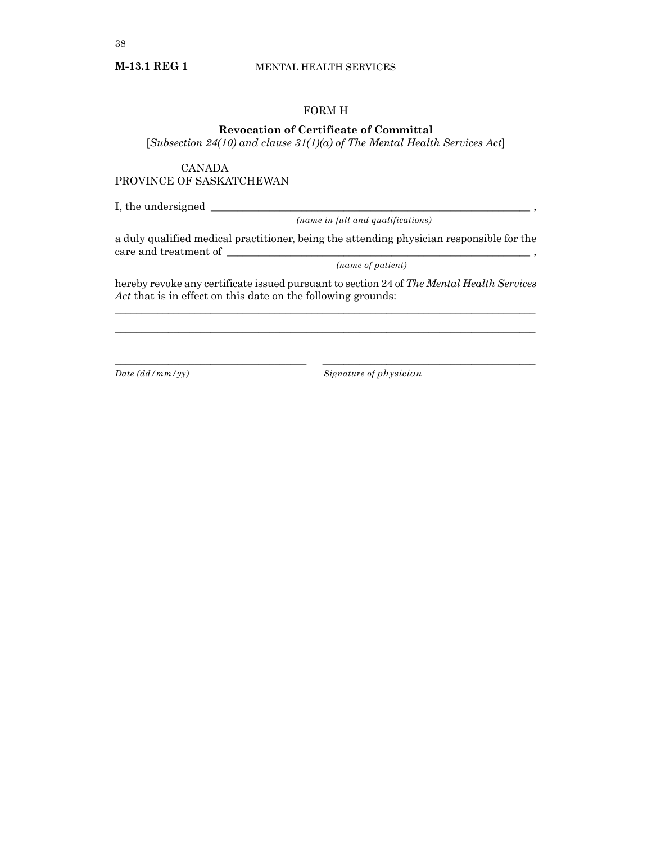### FORM H

### **Revocation of Certificate of Committal**

[*Subsection 24(10) and clause 31(1)(a) of The Mental Health Services Act*]

### CANADA PROVINCE OF SASKATCHEWAN

I, the undersigned \_\_\_\_\_\_\_\_\_\_\_\_\_\_\_\_\_\_\_\_\_\_\_\_\_\_\_\_\_\_\_\_\_\_\_\_\_\_\_\_\_\_\_\_\_\_\_\_\_\_\_\_\_\_\_\_\_\_\_\_ ,

*(name in full and qualifications)*

a duly qualified medical practitioner, being the attending physician responsible for the care and treatment of \_\_\_\_\_\_\_\_\_\_\_\_\_\_\_\_\_\_\_\_\_\_\_\_\_\_\_\_\_\_\_\_\_\_\_\_\_\_\_\_\_\_\_\_\_\_\_\_\_\_\_\_\_\_\_\_\_ ,

*(name of patient)*

hereby revoke any certificate issued pursuant to section 24 of *The Mental Health Services Act* that is in effect on this date on the following grounds: \_\_\_\_\_\_\_\_\_\_\_\_\_\_\_\_\_\_\_\_\_\_\_\_\_\_\_\_\_\_\_\_\_\_\_\_\_\_\_\_\_\_\_\_\_\_\_\_\_\_\_\_\_\_\_\_\_\_\_\_\_\_\_\_\_\_\_\_\_\_\_\_\_\_\_\_\_\_\_

\_\_\_\_\_\_\_\_\_\_\_\_\_\_\_\_\_\_\_\_\_\_\_\_\_\_\_\_\_\_\_\_\_\_\_\_\_\_\_\_\_\_\_\_\_\_\_\_\_\_\_\_\_\_\_\_\_\_\_\_\_\_\_\_\_\_\_\_\_\_\_\_\_\_\_\_\_\_\_

\_\_\_\_\_\_\_\_\_\_\_\_\_\_\_\_\_\_\_\_\_\_\_\_\_\_\_\_\_\_\_\_\_\_\_\_ \_\_\_\_\_\_\_\_\_\_\_\_\_\_\_\_\_\_\_\_\_\_\_\_\_\_\_\_\_\_\_\_\_\_\_\_\_\_\_\_

*Date (dd/mm/yy) Signature of physician*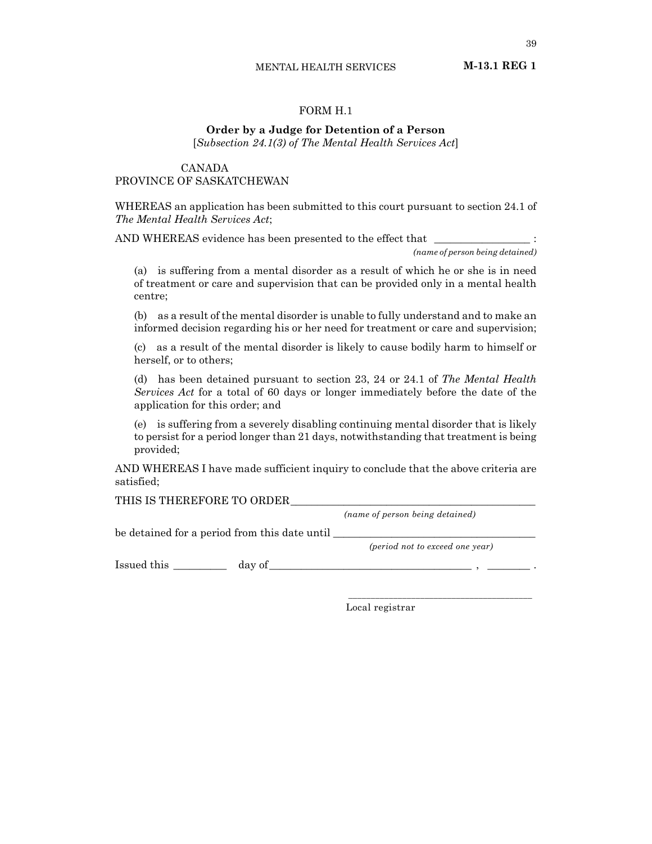**M-13.1 REG 1**

### FORM H.1

# **Order by a Judge for Detention of a Person**

[*Subsection 24.1(3) of The Mental Health Services Act*]

### CANADA PROVINCE OF SASKATCHEWAN

WHEREAS an application has been submitted to this court pursuant to section 24.1 of *The Mental Health Services Act*;

AND WHEREAS evidence has been presented to the effect that \_\_\_\_\_\_\_\_\_\_\_\_\_\_\_\_\_\_\_\_\_\_

*(name of person being detained)*

(a) is suffering from a mental disorder as a result of which he or she is in need of treatment or care and supervision that can be provided only in a mental health centre;

(b) as a result of the mental disorder is unable to fully understand and to make an informed decision regarding his or her need for treatment or care and supervision;

(c) as a result of the mental disorder is likely to cause bodily harm to himself or herself, or to others;

(d) has been detained pursuant to section 23, 24 or 24.1 of *The Mental Health Services Act* for a total of 60 days or longer immediately before the date of the application for this order; and

(e) is suffering from a severely disabling continuing mental disorder that is likely to persist for a period longer than 21 days, notwithstanding that treatment is being provided;

AND WHEREAS I have made sufficient inquiry to conclude that the above criteria are satisfied;

THIS IS THEREFORE TO ORDER

*(name of person being detained)*

be detained for a period from this date until \_\_\_\_\_\_\_\_\_\_\_\_\_\_\_\_\_\_\_\_\_\_\_\_\_\_\_\_\_\_\_\_\_\_\_

*(period not to exceed one year)*

*\_\_\_\_\_\_\_\_\_\_\_\_\_\_\_\_\_\_\_\_\_\_\_\_\_\_\_\_\_\_\_\_\_\_\_\_\_\_\_\_\_*

Issued this \_\_\_\_\_\_\_\_\_\_ day of\_\_\_\_\_\_\_\_\_\_\_\_\_\_\_\_\_\_\_\_\_\_\_\_\_\_\_\_\_\_\_\_\_\_\_\_\_\_ , \_\_\_\_\_\_\_\_ .

Local registrar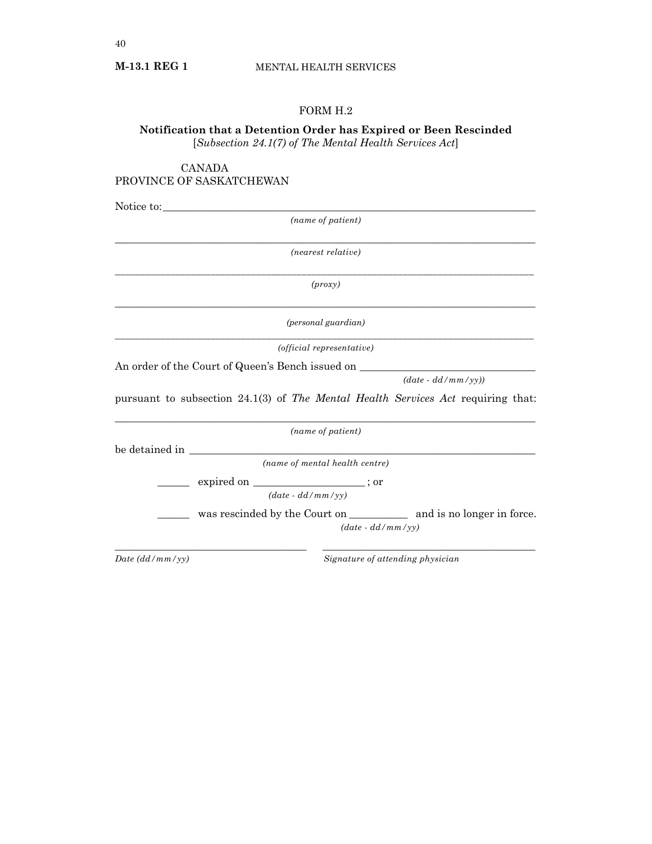### FORM H.2

### **Notification that a Detention Order has Expired or Been Rescinded** [*Subsection 24.1(7) of The Mental Health Services Act*]

### CANADA PROVINCE OF SASKATCHEWAN

Notice to:\_\_\_\_\_\_\_\_\_\_\_\_\_\_\_\_\_\_\_\_\_\_\_\_\_\_\_\_\_\_\_\_\_\_\_\_\_\_\_\_\_\_\_\_\_\_\_\_\_\_\_\_\_\_\_\_\_\_\_\_\_\_\_\_\_\_\_\_\_\_

*(name of patient)*

|                |                                                                                  | (nearest relative)                 |                                       |
|----------------|----------------------------------------------------------------------------------|------------------------------------|---------------------------------------|
|                |                                                                                  | (proxy)                            |                                       |
|                |                                                                                  | <i>(personal guardian)</i>         |                                       |
|                |                                                                                  | ( <i>official representative</i> ) |                                       |
|                |                                                                                  |                                    |                                       |
|                |                                                                                  |                                    |                                       |
|                | An order of the Court of Queen's Bench issued on                                 |                                    | $(data \cdot dd/mm / \gamma \gamma))$ |
|                | pursuant to subsection 24.1(3) of The Mental Health Services Act requiring that: |                                    |                                       |
|                |                                                                                  | (name of patient)                  |                                       |
| be detained in |                                                                                  |                                    |                                       |
|                |                                                                                  | (name of mental health centre)     |                                       |
|                | expired on ____________________; or                                              |                                    |                                       |
|                | $(data - dd/mm/yy)$                                                              |                                    |                                       |
|                |                                                                                  |                                    |                                       |

*Date (dd/mm/yy) Signature of attending physician*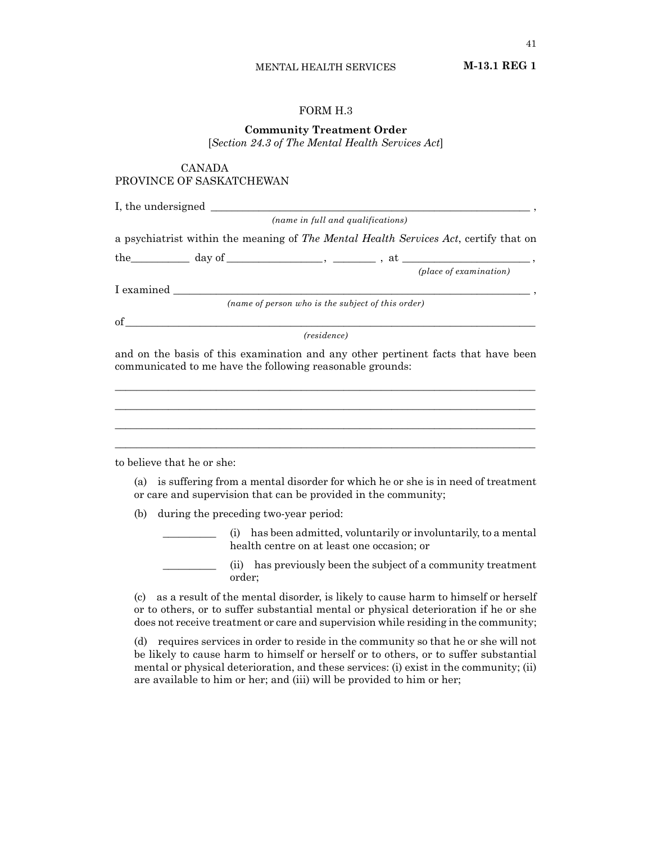**M-13.1 REG 1**

### FORM H.3

### **Community Treatment Order** [*Section 24.3 of The Mental Health Services Act*]

### CANADA PROVINCE OF SASKATCHEWAN

I, the undersigned

*(name in full and qualifications)*

a psychiatrist within the meaning of *The Mental Health Services Act*, certify that on

the\_\_\_\_\_\_\_\_\_\_\_ day of \_\_\_\_\_\_\_\_\_\_\_\_\_\_\_\_\_\_, \_\_\_\_\_\_\_\_ , at \_\_\_\_\_\_\_\_\_\_\_\_\_\_\_\_\_\_\_\_\_\_\_\_ ,

*(place of examination)*

I examined \_\_\_\_\_\_\_\_\_\_\_\_\_\_\_\_\_\_\_\_\_\_\_\_\_\_\_\_\_\_\_\_\_\_\_\_\_\_\_\_\_\_\_\_\_\_\_\_\_\_\_\_\_\_\_\_\_\_\_\_\_\_\_\_\_\_\_ ,

*(name of person who is the subject of this order)*

of \_\_\_\_\_\_\_\_\_\_\_\_\_\_\_\_\_\_\_\_\_\_\_\_\_\_\_\_\_\_\_\_\_\_\_\_\_\_\_\_\_\_\_\_\_\_\_\_\_\_\_\_\_\_\_\_\_\_\_\_\_\_\_\_\_\_\_\_\_\_\_\_\_\_\_\_\_

*(residence)*

and on the basis of this examination and any other pertinent facts that have been communicated to me have the following reasonable grounds:

\_\_\_\_\_\_\_\_\_\_\_\_\_\_\_\_\_\_\_\_\_\_\_\_\_\_\_\_\_\_\_\_\_\_\_\_\_\_\_\_\_\_\_\_\_\_\_\_\_\_\_\_\_\_\_\_\_\_\_\_\_\_\_\_\_\_\_\_\_\_\_\_\_\_\_\_\_\_\_ \_\_\_\_\_\_\_\_\_\_\_\_\_\_\_\_\_\_\_\_\_\_\_\_\_\_\_\_\_\_\_\_\_\_\_\_\_\_\_\_\_\_\_\_\_\_\_\_\_\_\_\_\_\_\_\_\_\_\_\_\_\_\_\_\_\_\_\_\_\_\_\_\_\_\_\_\_\_\_ \_\_\_\_\_\_\_\_\_\_\_\_\_\_\_\_\_\_\_\_\_\_\_\_\_\_\_\_\_\_\_\_\_\_\_\_\_\_\_\_\_\_\_\_\_\_\_\_\_\_\_\_\_\_\_\_\_\_\_\_\_\_\_\_\_\_\_\_\_\_\_\_\_\_\_\_\_\_\_ \_\_\_\_\_\_\_\_\_\_\_\_\_\_\_\_\_\_\_\_\_\_\_\_\_\_\_\_\_\_\_\_\_\_\_\_\_\_\_\_\_\_\_\_\_\_\_\_\_\_\_\_\_\_\_\_\_\_\_\_\_\_\_\_\_\_\_\_\_\_\_\_\_\_\_\_\_\_\_

to believe that he or she:

(a) is suffering from a mental disorder for which he or she is in need of treatment or care and supervision that can be provided in the community;

(b) during the preceding two-year period:

\_\_\_\_\_\_\_\_\_\_ (i) has been admitted, voluntarily or involuntarily, to a mental health centre on at least one occasion; or

\_\_\_\_\_\_\_\_\_\_ (ii) has previously been the subject of a community treatment order;

(c) as a result of the mental disorder, is likely to cause harm to himself or herself or to others, or to suffer substantial mental or physical deterioration if he or she does not receive treatment or care and supervision while residing in the community;

(d) requires services in order to reside in the community so that he or she will not be likely to cause harm to himself or herself or to others, or to suffer substantial mental or physical deterioration, and these services: (i) exist in the community; (ii) are available to him or her; and (iii) will be provided to him or her;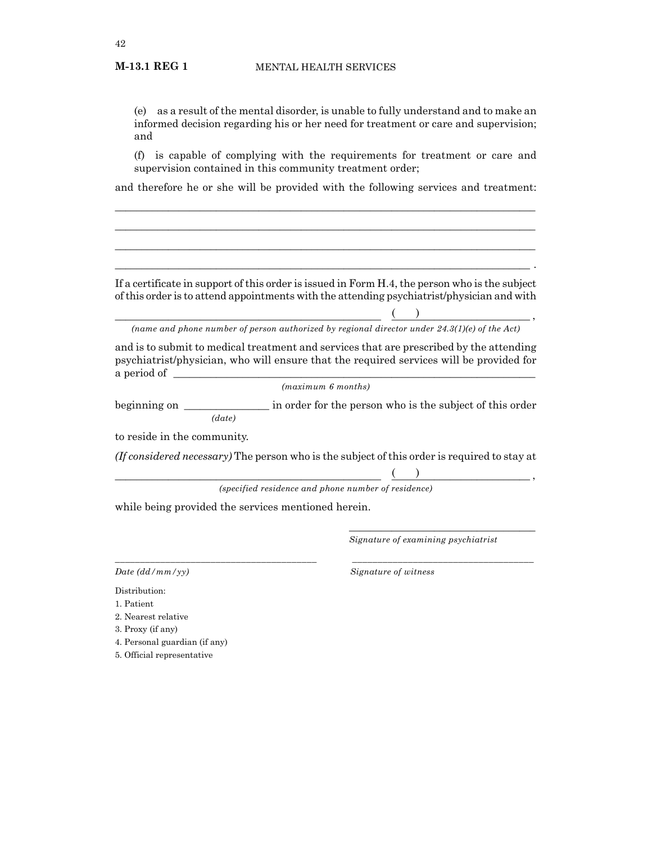(e) as a result of the mental disorder, is unable to fully understand and to make an informed decision regarding his or her need for treatment or care and supervision; and

(f) is capable of complying with the requirements for treatment or care and supervision contained in this community treatment order;

and therefore he or she will be provided with the following services and treatment: \_\_\_\_\_\_\_\_\_\_\_\_\_\_\_\_\_\_\_\_\_\_\_\_\_\_\_\_\_\_\_\_\_\_\_\_\_\_\_\_\_\_\_\_\_\_\_\_\_\_\_\_\_\_\_\_\_\_\_\_\_\_\_\_\_\_\_\_\_\_\_\_\_\_\_\_\_\_\_

\_\_\_\_\_\_\_\_\_\_\_\_\_\_\_\_\_\_\_\_\_\_\_\_\_\_\_\_\_\_\_\_\_\_\_\_\_\_\_\_\_\_\_\_\_\_\_\_\_\_\_\_\_\_\_\_\_\_\_\_\_\_\_\_\_\_\_\_\_\_\_\_\_\_\_\_\_\_\_ \_\_\_\_\_\_\_\_\_\_\_\_\_\_\_\_\_\_\_\_\_\_\_\_\_\_\_\_\_\_\_\_\_\_\_\_\_\_\_\_\_\_\_\_\_\_\_\_\_\_\_\_\_\_\_\_\_\_\_\_\_\_\_\_\_\_\_\_\_\_\_\_\_\_\_\_\_\_\_ \_\_\_\_\_\_\_\_\_\_\_\_\_\_\_\_\_\_\_\_\_\_\_\_\_\_\_\_\_\_\_\_\_\_\_\_\_\_\_\_\_\_\_\_\_\_\_\_\_\_\_\_\_\_\_\_\_\_\_\_\_\_\_\_\_\_\_\_\_\_\_\_\_\_\_\_\_\_ .

If a certificate in support of this order is issued in Form H.4, the person who is the subject of this order is to attend appointments with the attending psychiatrist/physician and with

 $\qquad \qquad \qquad \qquad \qquad \qquad \qquad \qquad \qquad \qquad \qquad \qquad .$ *(name and phone number of person authorized by regional director under 24.3(1)(e) of the Act)*

and is to submit to medical treatment and services that are prescribed by the attending psychiatrist/physician, who will ensure that the required services will be provided for a period of \_\_\_\_\_\_\_\_\_\_\_\_\_\_\_\_\_\_\_\_\_\_\_\_\_\_\_\_\_\_\_\_\_\_\_\_\_\_\_\_\_\_\_\_\_\_\_\_\_\_\_\_\_\_\_\_\_\_\_\_\_\_\_\_\_\_\_\_

*(maximum 6 months)*

beginning on \_\_\_\_\_\_\_\_\_\_\_\_\_\_\_\_ in order for the person who is the subject of this order *(date)*

to reside in the community.

*(If considered necessary)* The person who is the subject of this order is required to stay at

 $\qquad \qquad \qquad \qquad \qquad \qquad \qquad \qquad \qquad \qquad \qquad \qquad .$ *(specified residence and phone number of residence)*

*\_\_\_\_\_\_\_\_\_\_\_\_\_\_\_\_\_\_\_\_\_\_\_\_\_\_\_\_\_\_\_\_\_\_\_\_\_\_\_\_ \_\_\_\_\_\_\_\_\_\_\_\_\_\_\_\_\_\_\_\_\_\_\_\_\_\_\_\_\_\_\_\_\_\_\_\_*

while being provided the services mentioned herein.

 $($ 

 $($ 

\_\_\_\_\_\_\_\_\_\_\_\_\_\_\_\_\_\_\_\_\_\_\_\_\_\_\_\_\_\_\_\_\_\_\_

*Signature of examining psychiatrist*

*Date (dd/mm/yy) Signature of witness*

Distribution:

- 1. Patient
- 2. Nearest relative
- 3. Proxy (if any)
- 4. Personal guardian (if any)
- 5. Official representative

42

**M-13.1 REG 1**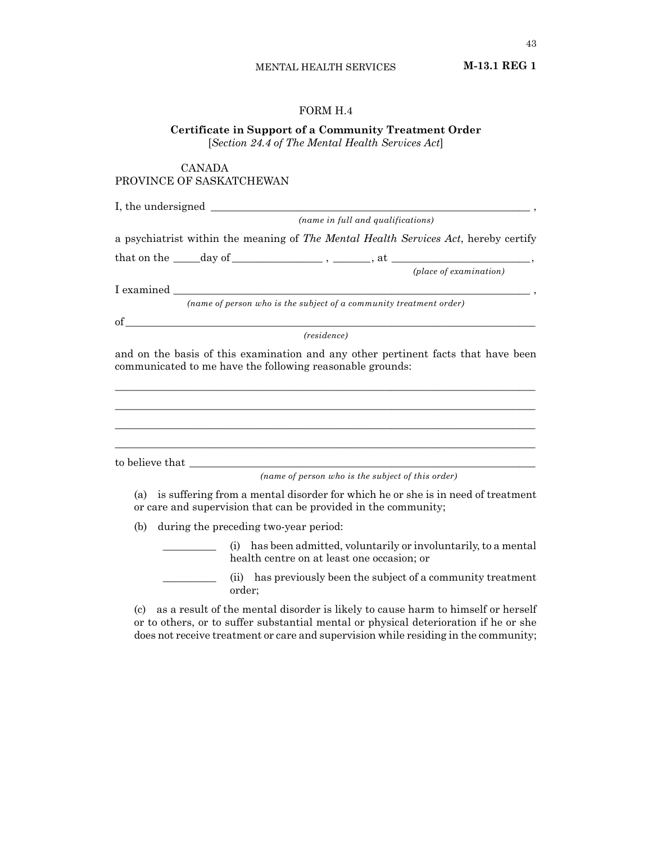### FORM H.4

### **Certificate in Support of a Community Treatment Order** [*Section 24.4 of The Mental Health Services Act*]

### CANADA PROVINCE OF SASKATCHEWAN

|     | (name in full and qualifications)                                                                                                                     |
|-----|-------------------------------------------------------------------------------------------------------------------------------------------------------|
|     | a psychiatrist within the meaning of The Mental Health Services Act, hereby certify                                                                   |
|     |                                                                                                                                                       |
|     | (place of examination)                                                                                                                                |
|     |                                                                                                                                                       |
|     | (name of person who is the subject of a community treatment order)                                                                                    |
|     |                                                                                                                                                       |
|     | (residence)                                                                                                                                           |
|     | and on the basis of this examination and any other pertinent facts that have been<br>communicated to me have the following reasonable grounds:        |
|     |                                                                                                                                                       |
|     | (name of person who is the subject of this order)                                                                                                     |
|     | (a) is suffering from a mental disorder for which he or she is in need of treatment<br>or care and supervision that can be provided in the community; |
| (b) | during the preceding two-year period:                                                                                                                 |
|     | (i) has been admitted, voluntarily or involuntarily, to a mental<br>health centre on at least one occasion; or                                        |
|     | (ii) has previously been the subject of a community treatment<br>order;                                                                               |
|     | (c) as a result of the mental disorder is likely to cause harm to himself or herealf                                                                  |

(c) as a result of the mental disorder is likely to cause harm to himself or herself or to others, or to suffer substantial mental or physical deterioration if he or she does not receive treatment or care and supervision while residing in the community;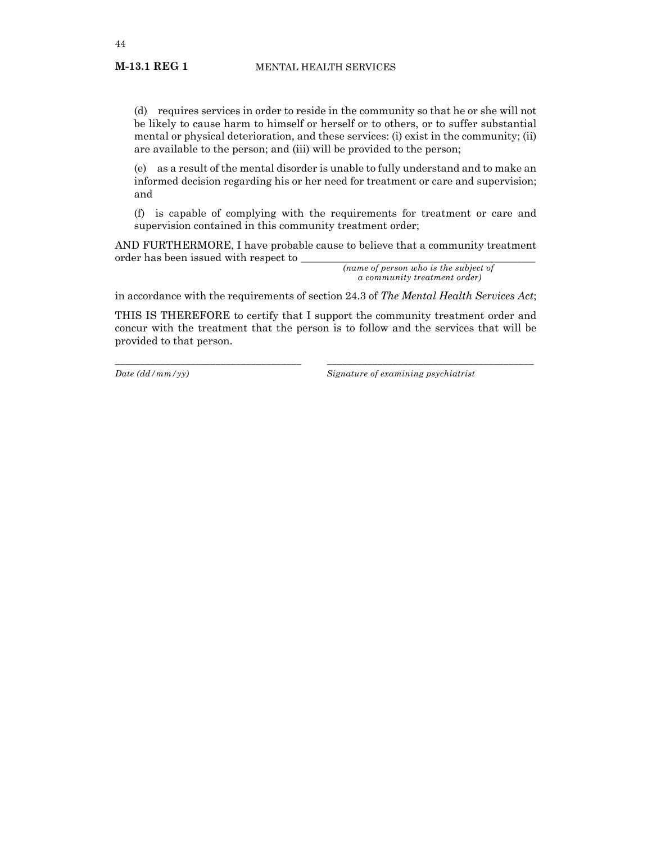(d) requires services in order to reside in the community so that he or she will not be likely to cause harm to himself or herself or to others, or to suffer substantial mental or physical deterioration, and these services: (i) exist in the community; (ii) are available to the person; and (iii) will be provided to the person;

(e) as a result of the mental disorder is unable to fully understand and to make an informed decision regarding his or her need for treatment or care and supervision; and

(f) is capable of complying with the requirements for treatment or care and supervision contained in this community treatment order;

AND FURTHERMORE, I have probable cause to believe that a community treatment order has been issued with respect to \_

*(name of person who is the subject of a community treatment order)*

in accordance with the requirements of section 24.3 of *The Mental Health Services Act*;

THIS IS THEREFORE to certify that I support the community treatment order and concur with the treatment that the person is to follow and the services that will be provided to that person.

*\_\_\_\_\_\_\_\_\_\_\_\_\_\_\_\_\_\_\_\_\_\_\_\_\_\_\_\_\_\_\_\_\_\_\_\_\_ \_\_\_\_\_\_\_\_\_\_\_\_\_\_\_\_\_\_\_\_\_\_\_\_\_\_\_\_\_\_\_\_\_\_\_\_\_\_\_\_\_*

*Date (dd/mm/yy) Signature of examining psychiatrist*

**M-13.1 REG 1**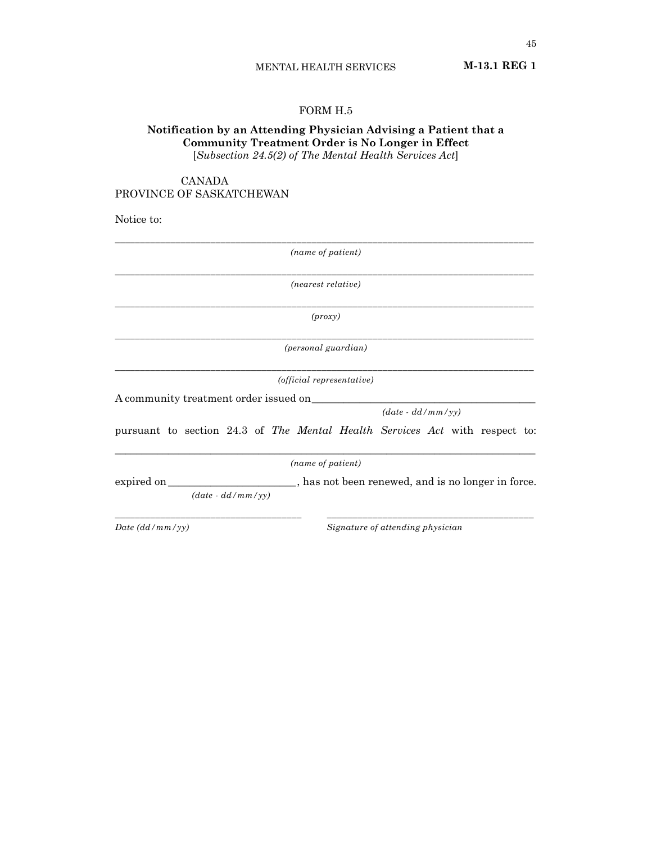### MENTAL HEALTH SERVICES

**M-13.1 REG 1**

### FORM H.5

### **Notification by an Attending Physician Advising a Patient that a Community Treatment Order is No Longer in Effect** [*Subsection 24.5(2) of The Mental Health Services Act*]

### CANADA PROVINCE OF SASKATCHEWAN

Notice to:

|                                                                             |                       |  | (name of patient)         |                                  |                                                  |
|-----------------------------------------------------------------------------|-----------------------|--|---------------------------|----------------------------------|--------------------------------------------------|
|                                                                             |                       |  | (nearest relative)        |                                  |                                                  |
|                                                                             |                       |  | $(p\cos y)$               |                                  |                                                  |
|                                                                             |                       |  | (personal guardian)       |                                  |                                                  |
|                                                                             |                       |  | (official representative) |                                  |                                                  |
| A community treatment order issued on                                       |                       |  |                           |                                  |                                                  |
|                                                                             |                       |  |                           | $(data - dd/mm/yy)$              |                                                  |
| pursuant to section 24.3 of The Mental Health Services Act with respect to: |                       |  |                           |                                  |                                                  |
|                                                                             |                       |  | (name of patient)         |                                  |                                                  |
| expired on                                                                  |                       |  |                           |                                  | has not been renewed, and is no longer in force. |
|                                                                             | $(data - dd/mm / yy)$ |  |                           |                                  |                                                  |
| Date $(dd/mm/yy)$                                                           |                       |  |                           | Signature of attending physician |                                                  |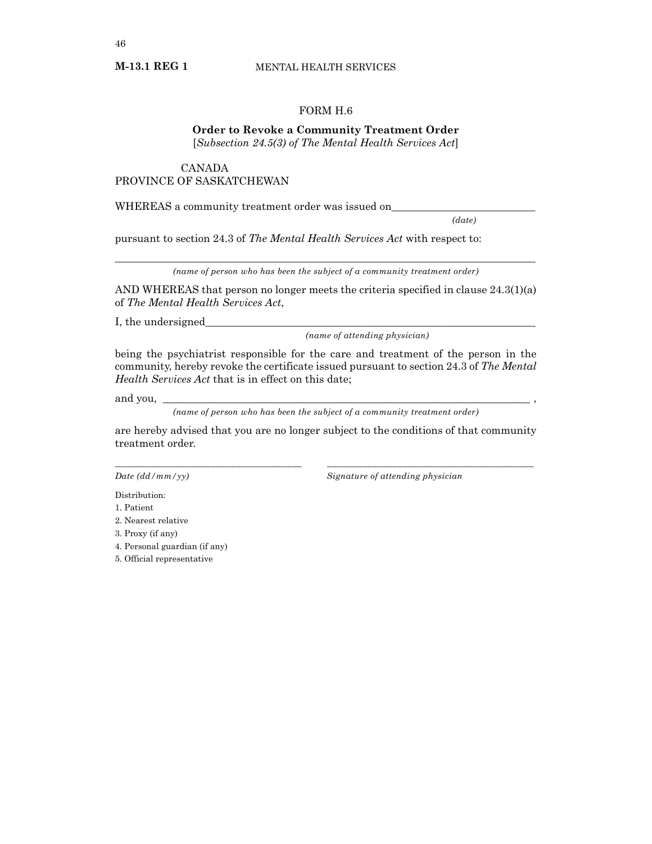#### MENTAL HEALTH SERVICES

#### FORM H.6

### **Order to Revoke a Community Treatment Order** [*Subsection 24.5(3) of The Mental Health Services Act*]

### CANADA PROVINCE OF SASKATCHEWAN

WHEREAS a community treatment order was issued on\_

*(date)*

pursuant to section 24.3 of *The Mental Health Services Act* with respect to:

\_\_\_\_\_\_\_\_\_\_\_\_\_\_\_\_\_\_\_\_\_\_\_\_\_\_\_\_\_\_\_\_\_\_\_\_\_\_\_\_\_\_\_\_\_\_\_\_\_\_\_\_\_\_\_\_\_\_\_\_\_\_\_\_\_\_\_\_\_\_\_\_\_\_\_\_\_\_\_ *(name of person who has been the subject of a community treatment order)*

AND WHEREAS that person no longer meets the criteria specified in clause 24.3(1)(a) of *The Mental Health Services Act*,

I, the undersigned\_

*(name of attending physician)*

being the psychiatrist responsible for the care and treatment of the person in the community, hereby revoke the certificate issued pursuant to section 24.3 of *The Mental Health Services Act* that is in effect on this date;

and you, \_

*(name of person who has been the subject of a community treatment order)*

are hereby advised that you are no longer subject to the conditions of that community treatment order.

*\_\_\_\_\_\_\_\_\_\_\_\_\_\_\_\_\_\_\_\_\_\_\_\_\_\_\_\_\_\_\_\_\_\_\_\_\_ \_\_\_\_\_\_\_\_\_\_\_\_\_\_\_\_\_\_\_\_\_\_\_\_\_\_\_\_\_\_\_\_\_\_\_\_\_\_\_\_\_*

*Date (dd/mm/yy) Signature of attending physician*

Distribution: 1. Patient

2. Nearest relative

3. Proxy (if any)

4. Personal guardian (if any)

5. Official representative

**M-13.1 REG 1**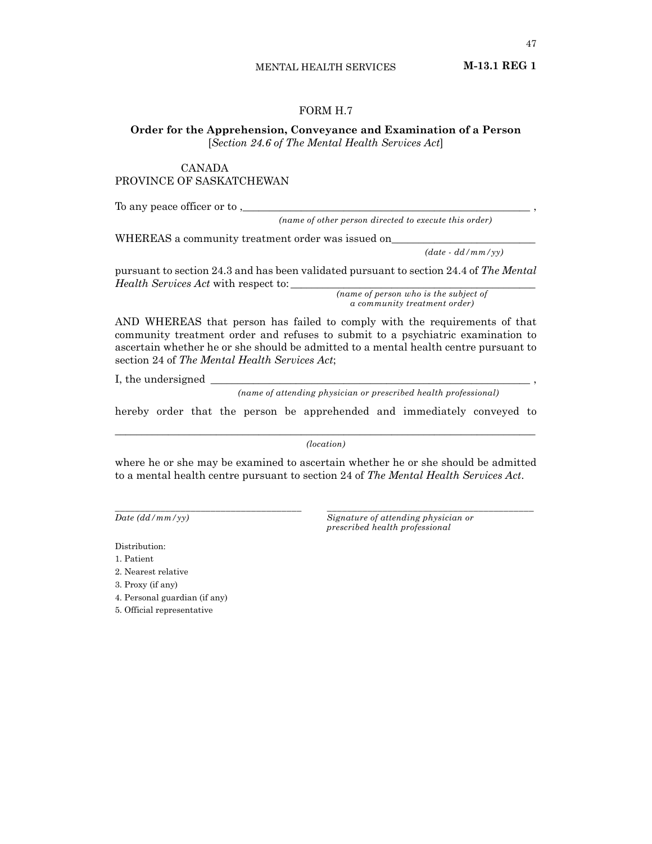### FORM H.7

### **Order for the Apprehension, Conveyance and Examination of a Person** [*Section 24.6 of The Mental Health Services Act*]

### CANADA PROVINCE OF SASKATCHEWAN

To any peace officer or to,

*(name of other person directed to execute this order)*

WHEREAS a community treatment order was issued on

*(date - dd/mm/yy)*

pursuant to section 24.3 and has been validated pursuant to section 24.4 of *The Mental Health Services Act* with respect to:

*(name of person who is the subject of a community treatment order)*

AND WHEREAS that person has failed to comply with the requirements of that community treatment order and refuses to submit to a psychiatric examination to ascertain whether he or she should be admitted to a mental health centre pursuant to section 24 of *The Mental Health Services Act*;

I, the undersigned

*(name of attending physician or prescribed health professional)*

hereby order that the person be apprehended and immediately conveyed to

\_\_\_\_\_\_\_\_\_\_\_\_\_\_\_\_\_\_\_\_\_\_\_\_\_\_\_\_\_\_\_\_\_\_\_\_\_\_\_\_\_\_\_\_\_\_\_\_\_\_\_\_\_\_\_\_\_\_\_\_\_\_\_\_\_\_\_\_\_\_\_\_\_\_\_\_\_\_\_ *(location)*

where he or she may be examined to ascertain whether he or she should be admitted to a mental health centre pursuant to section 24 of *The Mental Health Services Act*.

*\_\_\_\_\_\_\_\_\_\_\_\_\_\_\_\_\_\_\_\_\_\_\_\_\_\_\_\_\_\_\_\_\_\_\_\_\_ \_\_\_\_\_\_\_\_\_\_\_\_\_\_\_\_\_\_\_\_\_\_\_\_\_\_\_\_\_\_\_\_\_\_\_\_\_\_\_\_\_*

*Date (dd/mm/yy) Signature of attending physician or prescribed health professional*

Distribution:

1. Patient

2. Nearest relative

3. Proxy (if any)

4. Personal guardian (if any)

5. Official representative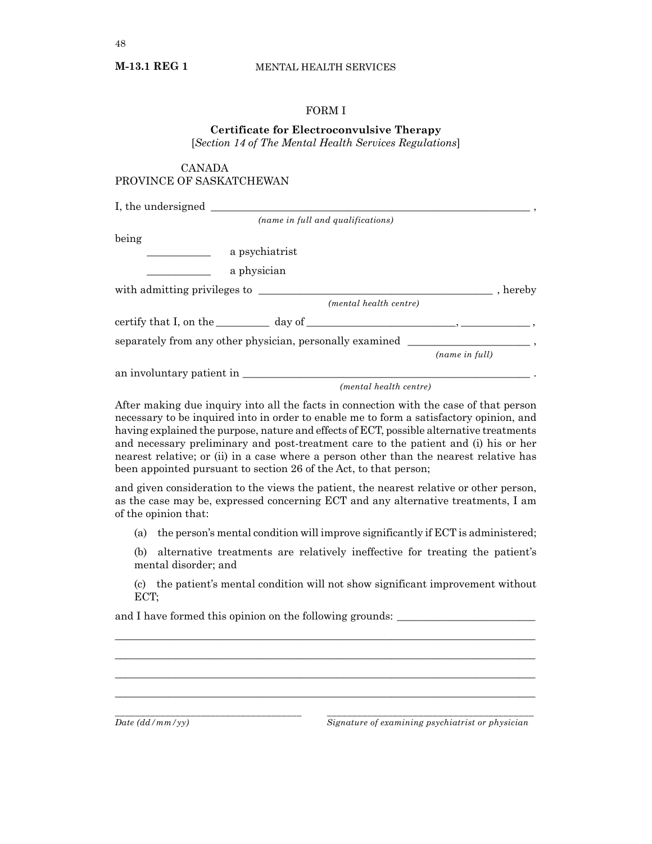### FORM I

### **Certificate for Electroconvulsive Therapy** [*Section 14 of The Mental Health Services Regulations*]

### CANADA PROVINCE OF SASKATCHEWAN

| I, the undersigned                                                               |                                   |                        |                |  |
|----------------------------------------------------------------------------------|-----------------------------------|------------------------|----------------|--|
|                                                                                  | (name in full and qualifications) |                        |                |  |
| being                                                                            |                                   |                        |                |  |
|                                                                                  | a psychiatrist                    |                        |                |  |
|                                                                                  | a physician                       |                        |                |  |
|                                                                                  |                                   |                        | hereby,        |  |
|                                                                                  |                                   | (mental health centre) |                |  |
| certify that I, on the $\qquad \qquad \text{day of} \qquad \qquad \text{---}$    |                                   |                        |                |  |
| separately from any other physician, personally examined _______________________ |                                   |                        |                |  |
|                                                                                  |                                   |                        | (name in full) |  |
|                                                                                  |                                   |                        |                |  |
|                                                                                  |                                   | (mental health centre) |                |  |

After making due inquiry into all the facts in connection with the case of that person necessary to be inquired into in order to enable me to form a satisfactory opinion, and having explained the purpose, nature and effects of ECT, possible alternative treatments and necessary preliminary and post-treatment care to the patient and (i) his or her nearest relative; or (ii) in a case where a person other than the nearest relative has been appointed pursuant to section 26 of the Act, to that person;

and given consideration to the views the patient, the nearest relative or other person, as the case may be, expressed concerning ECT and any alternative treatments, I am of the opinion that:

(a) the person's mental condition will improve significantly if ECT is administered;

(b) alternative treatments are relatively ineffective for treating the patient's mental disorder; and

(c) the patient's mental condition will not show significant improvement without ECT;

and I have formed this opinion on the following grounds: \_\_\_\_\_\_\_\_\_\_\_\_\_\_\_\_\_\_\_\_\_\_\_

\_\_\_\_\_\_\_\_\_\_\_\_\_\_\_\_\_\_\_\_\_\_\_\_\_\_\_\_\_\_\_\_\_\_\_\_\_\_\_\_\_\_\_\_\_\_\_\_\_\_\_\_\_\_\_\_\_\_\_\_\_\_\_\_\_\_\_\_\_\_\_\_\_\_\_\_\_\_\_ \_\_\_\_\_\_\_\_\_\_\_\_\_\_\_\_\_\_\_\_\_\_\_\_\_\_\_\_\_\_\_\_\_\_\_\_\_\_\_\_\_\_\_\_\_\_\_\_\_\_\_\_\_\_\_\_\_\_\_\_\_\_\_\_\_\_\_\_\_\_\_\_\_\_\_\_\_\_\_ \_\_\_\_\_\_\_\_\_\_\_\_\_\_\_\_\_\_\_\_\_\_\_\_\_\_\_\_\_\_\_\_\_\_\_\_\_\_\_\_\_\_\_\_\_\_\_\_\_\_\_\_\_\_\_\_\_\_\_\_\_\_\_\_\_\_\_\_\_\_\_\_\_\_\_\_\_\_\_ \_\_\_\_\_\_\_\_\_\_\_\_\_\_\_\_\_\_\_\_\_\_\_\_\_\_\_\_\_\_\_\_\_\_\_\_\_\_\_\_\_\_\_\_\_\_\_\_\_\_\_\_\_\_\_\_\_\_\_\_\_\_\_\_\_\_\_\_\_\_\_\_\_\_\_\_\_\_\_ *\_\_\_\_\_\_\_\_\_\_\_\_\_\_\_\_\_\_\_\_\_\_\_\_\_\_\_\_\_\_\_\_\_\_\_\_\_ \_\_\_\_\_\_\_\_\_\_\_\_\_\_\_\_\_\_\_\_\_\_\_\_\_\_\_\_\_\_\_\_\_\_\_\_\_\_\_\_\_*

**M-13.1 REG 1**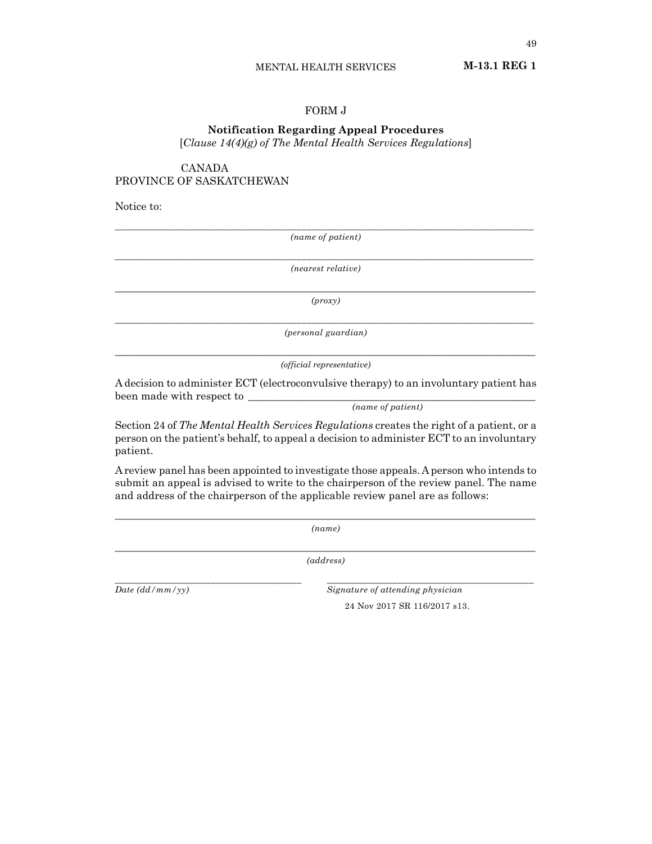#### MENTAL HEALTH SERVICES

**M-13.1 REG 1**

### FORM J

### **Notification Regarding Appeal Procedures** [*Clause 14(4)(g) of The Mental Health Services Regulations*]

### CANADA PROVINCE OF SASKATCHEWAN

Notice to:

| (name of patient)         |
|---------------------------|
|                           |
|                           |
| (nearest relative)        |
|                           |
|                           |
| (prows)                   |
|                           |
|                           |
|                           |
| (personal guardian)       |
|                           |
|                           |
| (official representative) |
|                           |

A decision to administer ECT (electroconvulsive therapy) to an involuntary patient has been made with respect to \_\_\_\_\_\_\_\_\_\_\_\_\_\_\_\_\_\_\_\_\_\_\_\_\_\_\_\_\_\_\_\_\_\_\_\_\_\_\_\_\_\_\_\_\_\_\_\_\_\_\_\_\_\_

*(name of patient)*

Section 24 of *The Mental Health Services Regulations* creates the right of a patient, or a person on the patient's behalf, to appeal a decision to administer ECT to an involuntary patient.

A review panel has been appointed to investigate those appeals. A person who intends to submit an appeal is advised to write to the chairperson of the review panel. The name and address of the chairperson of the applicable review panel are as follows:

\_\_\_\_\_\_\_\_\_\_\_\_\_\_\_\_\_\_\_\_\_\_\_\_\_\_\_\_\_\_\_\_\_\_\_\_\_\_\_\_\_\_\_\_\_\_\_\_\_\_\_\_\_\_\_\_\_\_\_\_\_\_\_\_\_\_\_\_\_\_\_\_\_\_\_\_\_\_\_ *(name)*

\_\_\_\_\_\_\_\_\_\_\_\_\_\_\_\_\_\_\_\_\_\_\_\_\_\_\_\_\_\_\_\_\_\_\_\_\_\_\_\_\_\_\_\_\_\_\_\_\_\_\_\_\_\_\_\_\_\_\_\_\_\_\_\_\_\_\_\_\_\_\_\_\_\_\_\_\_\_\_ *(address) \_\_\_\_\_\_\_\_\_\_\_\_\_\_\_\_\_\_\_\_\_\_\_\_\_\_\_\_\_\_\_\_\_\_\_\_\_ \_\_\_\_\_\_\_\_\_\_\_\_\_\_\_\_\_\_\_\_\_\_\_\_\_\_\_\_\_\_\_\_\_\_\_\_\_\_\_\_\_*

*Date (dd/mm/yy) Signature of attending physician* 24 Nov 2017 SR 116/2017 s13.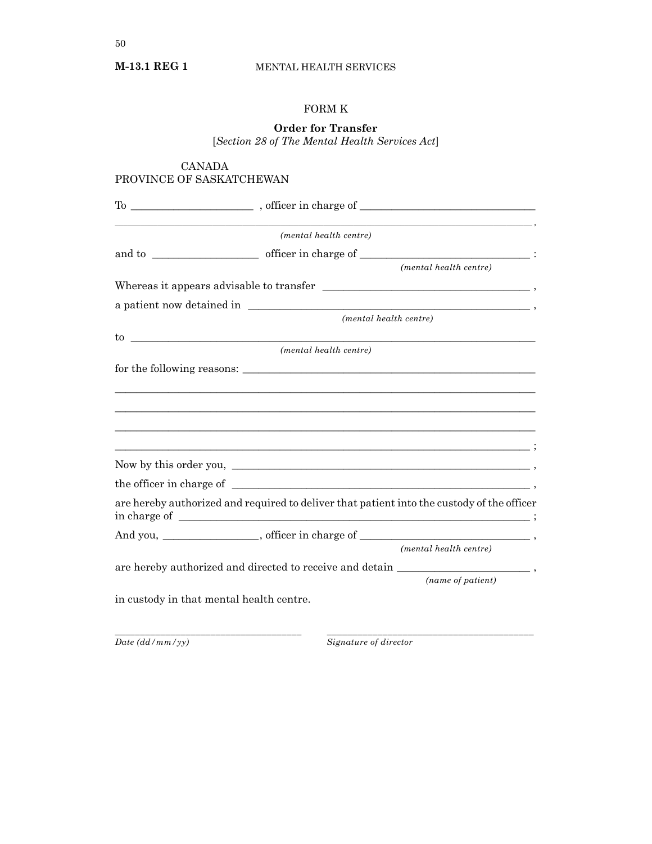### FORM K

### **Order for Transfer** [*Section 28 of The Mental Health Services Act*]

### CANADA PROVINCE OF SASKATCHEWAN

| $\begin{CD} \text{To} \begin{CD} \end{CD} \end{CD} \end{CD} \end{CD} \end{CD} \begin{CD} \text{where in charge of } \begin{CD} \end{CD} \end{CD} \end{CD} \begin{CD} \text{where} \begin{CD} \end{CD} \end{CD} \end{CD} \begin{CD} \text{and} \begin{CD} \end{CD} \end{CD} \end{CD} \begin{CD} \text{and} \begin{CD} \end{CD} \end{CD} \begin{CD} \text{and} \begin{CD} \end{CD} \end{CD} \begin{CD} \text{and} \begin{CD} \end{CD} \end{CD} \end{CD} \begin{CD} \text$ |                                                                                           |
|-------------------------------------------------------------------------------------------------------------------------------------------------------------------------------------------------------------------------------------------------------------------------------------------------------------------------------------------------------------------------------------------------------------------------------------------------------------------------|-------------------------------------------------------------------------------------------|
| (mental health centre)                                                                                                                                                                                                                                                                                                                                                                                                                                                  | the control of the control of the control of the control of the control of the control of |
|                                                                                                                                                                                                                                                                                                                                                                                                                                                                         |                                                                                           |
|                                                                                                                                                                                                                                                                                                                                                                                                                                                                         | (mental health centre)                                                                    |
|                                                                                                                                                                                                                                                                                                                                                                                                                                                                         |                                                                                           |
|                                                                                                                                                                                                                                                                                                                                                                                                                                                                         |                                                                                           |
| (mental health centre)                                                                                                                                                                                                                                                                                                                                                                                                                                                  |                                                                                           |
| to $\overline{\phantom{a}}$                                                                                                                                                                                                                                                                                                                                                                                                                                             |                                                                                           |
| (mental health centre)                                                                                                                                                                                                                                                                                                                                                                                                                                                  |                                                                                           |
| for the following reasons:                                                                                                                                                                                                                                                                                                                                                                                                                                              |                                                                                           |
|                                                                                                                                                                                                                                                                                                                                                                                                                                                                         |                                                                                           |
|                                                                                                                                                                                                                                                                                                                                                                                                                                                                         |                                                                                           |
|                                                                                                                                                                                                                                                                                                                                                                                                                                                                         |                                                                                           |
|                                                                                                                                                                                                                                                                                                                                                                                                                                                                         |                                                                                           |
| $\frac{1}{2}$                                                                                                                                                                                                                                                                                                                                                                                                                                                           |                                                                                           |
|                                                                                                                                                                                                                                                                                                                                                                                                                                                                         |                                                                                           |
| $\label{thm:rel}$ the officer in charge of $\begin{array}{ccc} \begin{array}{ccc} \text{} & \text{} & \text{} & \text{} \end{array} \end{array}$                                                                                                                                                                                                                                                                                                                        |                                                                                           |
| are hereby authorized and required to deliver that patient into the custody of the officer                                                                                                                                                                                                                                                                                                                                                                              |                                                                                           |
| And you, __________________, officer in charge of _______________________________,                                                                                                                                                                                                                                                                                                                                                                                      |                                                                                           |
|                                                                                                                                                                                                                                                                                                                                                                                                                                                                         | (mental health centre)                                                                    |
| are hereby authorized and directed to receive and detain $\begin{array}{ c c c }\hline \end{array}$ ,                                                                                                                                                                                                                                                                                                                                                                   |                                                                                           |
|                                                                                                                                                                                                                                                                                                                                                                                                                                                                         | (name of patient)                                                                         |
| in custody in that mental health centre.                                                                                                                                                                                                                                                                                                                                                                                                                                |                                                                                           |

*Date (dd/mm/yy) Signature of director*

*\_\_\_\_\_\_\_\_\_\_\_\_\_\_\_\_\_\_\_\_\_\_\_\_\_\_\_\_\_\_\_\_\_\_\_\_\_ \_\_\_\_\_\_\_\_\_\_\_\_\_\_\_\_\_\_\_\_\_\_\_\_\_\_\_\_\_\_\_\_\_\_\_\_\_\_\_\_\_*

**M-13.1 REG 1**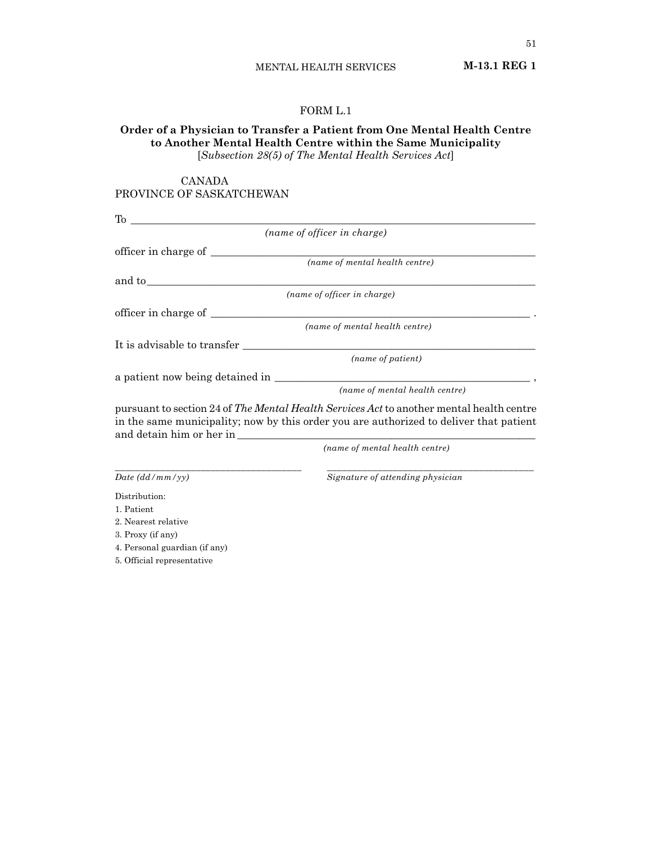### MENTAL HEALTH SERVICES

**M-13.1 REG 1**

### FORM L.1

### **Order of a Physician to Transfer a Patient from One Mental Health Centre to Another Mental Health Centre within the Same Municipality** [*Subsection 28(5) of The Mental Health Services Act*]

CANADA PROVINCE OF SASKATCHEWAN

| To                                                                                                                                                                                                                             |                                                                                                                                                                                    |
|--------------------------------------------------------------------------------------------------------------------------------------------------------------------------------------------------------------------------------|------------------------------------------------------------------------------------------------------------------------------------------------------------------------------------|
|                                                                                                                                                                                                                                | (name of officer in charge)                                                                                                                                                        |
|                                                                                                                                                                                                                                |                                                                                                                                                                                    |
|                                                                                                                                                                                                                                | (name of mental health centre)                                                                                                                                                     |
| and to analysis and to analysis and to be a set of the set of the set of the set of the set of the set of the set of the set of the set of the set of the set of the set of the set of the set of the set of the set of the se |                                                                                                                                                                                    |
|                                                                                                                                                                                                                                | (name of officer in charge)                                                                                                                                                        |
|                                                                                                                                                                                                                                |                                                                                                                                                                                    |
|                                                                                                                                                                                                                                | (name of mental health centre)                                                                                                                                                     |
|                                                                                                                                                                                                                                |                                                                                                                                                                                    |
|                                                                                                                                                                                                                                | (name of patient)                                                                                                                                                                  |
|                                                                                                                                                                                                                                |                                                                                                                                                                                    |
|                                                                                                                                                                                                                                | (name of mental health centre)                                                                                                                                                     |
|                                                                                                                                                                                                                                | pursuant to section 24 of The Mental Health Services Act to another mental health centre<br>in the same municipality; now by this order you are authorized to deliver that patient |
|                                                                                                                                                                                                                                | (name of mental health centre)                                                                                                                                                     |
| Date $(dd/mm/yy)$                                                                                                                                                                                                              | Signature of attending physician                                                                                                                                                   |
| Distribution:                                                                                                                                                                                                                  |                                                                                                                                                                                    |
| 1. Patient                                                                                                                                                                                                                     |                                                                                                                                                                                    |
| 2. Nearest relative                                                                                                                                                                                                            |                                                                                                                                                                                    |
| 3. Proxy (if any)                                                                                                                                                                                                              |                                                                                                                                                                                    |
| 4. Personal guardian (if any)                                                                                                                                                                                                  |                                                                                                                                                                                    |
| 5. Official representative                                                                                                                                                                                                     |                                                                                                                                                                                    |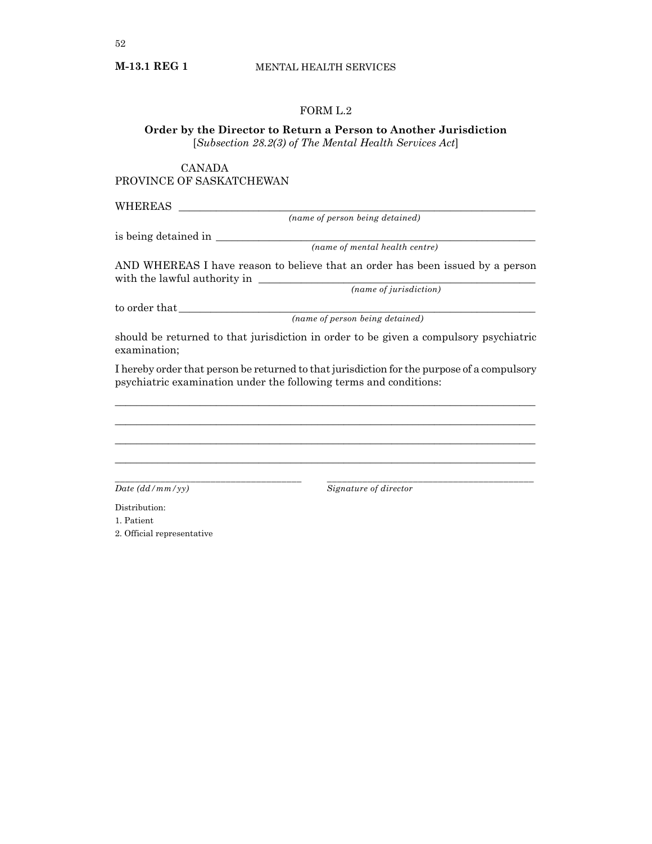### FORM L.2

### **Order by the Director to Return a Person to Another Jurisdiction** [*Subsection 28.2(3) of The Mental Health Services Act*]

CANADA PROVINCE OF SASKATCHEWAN

WHEREAS \_\_\_\_\_\_\_\_\_\_\_\_\_\_\_\_\_\_\_\_\_\_\_\_\_\_\_\_\_\_\_\_\_\_\_\_\_\_\_\_\_\_\_\_\_\_\_\_\_\_\_\_\_\_\_\_\_\_\_\_\_\_\_\_\_\_\_

*(name of person being detained)*

is being detained in \_\_\_\_\_\_\_\_\_\_\_\_\_\_\_\_\_\_\_\_\_\_\_\_\_\_\_\_\_\_\_\_\_\_\_\_\_\_\_\_\_\_\_\_\_\_\_\_\_\_\_\_\_\_\_\_\_\_\_\_

*(name of mental health centre)*

AND WHEREAS I have reason to believe that an order has been issued by a person with the lawful authority in \_\_\_\_\_\_\_\_\_\_\_\_\_\_\_\_\_\_\_\_\_\_\_\_\_\_\_\_\_\_\_\_\_\_\_\_\_\_\_\_\_\_\_\_\_\_\_\_\_\_\_\_

to order that \_\_\_\_\_\_\_\_\_\_\_\_\_\_\_\_\_\_\_\_\_\_\_\_\_\_\_\_\_\_\_\_\_\_\_\_\_\_\_\_\_\_\_\_\_\_\_\_\_\_\_\_\_\_\_\_\_\_\_\_\_\_\_\_\_\_\_

*(name of jurisdiction)*

*(name of person being detained)*

should be returned to that jurisdiction in order to be given a compulsory psychiatric examination;

I hereby order that person be returned to that jurisdiction for the purpose of a compulsory psychiatric examination under the following terms and conditions:

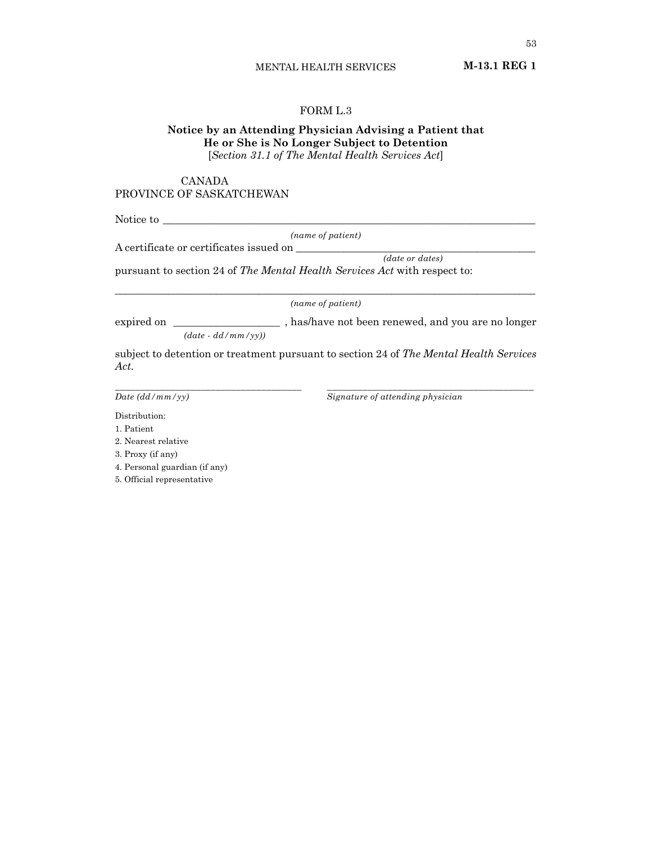#### MENTAL HEALTH SERVICES

**M-13.1 REG 1**

### FORM L.3

### **Notice by an Attending Physician Advising a Patient that He or She is No Longer Subject to Detention** [*Section 31.1 of The Mental Health Services Act*]

### CANADA PROVINCE OF SASKATCHEWAN

Notice to \_\_\_\_\_\_\_\_\_\_\_\_\_\_\_\_\_\_\_\_\_\_\_\_\_\_\_\_\_\_\_\_\_\_\_\_\_\_\_\_\_\_\_\_\_\_\_\_\_\_\_\_\_\_\_\_\_\_\_\_\_\_\_\_\_\_\_\_\_\_

*(name of patient)*

A certificate or certificates issued on

pursuant to section 24 of *The Mental Health Services Act* with respect to:

\_\_\_\_\_\_\_\_\_\_\_\_\_\_\_\_\_\_\_\_\_\_\_\_\_\_\_\_\_\_\_\_\_\_\_\_\_\_\_\_\_\_\_\_\_\_\_\_\_\_\_\_\_\_\_\_\_\_\_\_\_\_\_\_\_\_\_\_\_\_\_\_\_\_\_\_\_\_\_ *(name of patient)*

expired on \_\_\_\_\_\_\_\_\_\_\_\_\_\_\_\_\_\_\_\_\_\_\_\_\_\_\_, has/have not been renewed, and you are no longer

*(date - dd/mm/yy))*

subject to detention or treatment pursuant to section 24 of *The Mental Health Services Act*.

*\_\_\_\_\_\_\_\_\_\_\_\_\_\_\_\_\_\_\_\_\_\_\_\_\_\_\_\_\_\_\_\_\_\_\_\_\_ \_\_\_\_\_\_\_\_\_\_\_\_\_\_\_\_\_\_\_\_\_\_\_\_\_\_\_\_\_\_\_\_\_\_\_\_\_\_\_\_\_*

*Date (dd/mm/yy) Signature of attending physician*

*(date or dates)*

Distribution:

1. Patient

2. Nearest relative

3. Proxy (if any)

4. Personal guardian (if any)

5. Official representative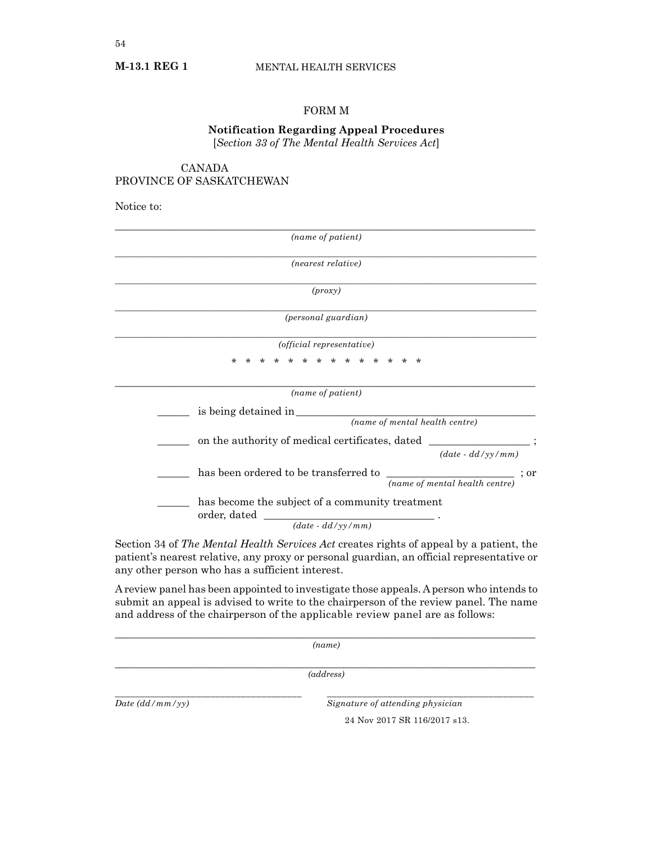#### FORM M

### **Notification Regarding Appeal Procedures** [*Section 33 of The Mental Health Services Act*]

### CANADA PROVINCE OF SASKATCHEWAN

Notice to:

| (name of patient)                                                                            |
|----------------------------------------------------------------------------------------------|
| (nearest relative)                                                                           |
| (proxy)                                                                                      |
| <i>(personal guardian)</i>                                                                   |
| (official representative)                                                                    |
| $\star$<br>$\star$<br>$\star$<br>$*$ *<br>* * * *<br>$\star$<br>÷<br>$\star$<br>$\star$<br>÷ |
| (name of patient)                                                                            |
| is being detained in                                                                         |
| (name of mental health centre)                                                               |
| on the authority of medical certificates, dated<br>$(data - dd/yy/mm)$                       |
| has been ordered to be transferred to<br>$:$ or<br>(name of mental health centre)            |
| has become the subject of a community treatment<br>order, dated                              |
| $(data - dd/yy/mm)$                                                                          |

Section 34 of *The Mental Health Services Act* creates rights of appeal by a patient, the patient's nearest relative, any proxy or personal guardian, an official representative or any other person who has a sufficient interest.

A review panel has been appointed to investigate those appeals. A person who intends to submit an appeal is advised to write to the chairperson of the review panel. The name and address of the chairperson of the applicable review panel are as follows:

| (name)                           |  |
|----------------------------------|--|
|                                  |  |
| (address)                        |  |
| Signature of attending physician |  |
| 24 Nov 2017 SR 116/2017 s13.     |  |
|                                  |  |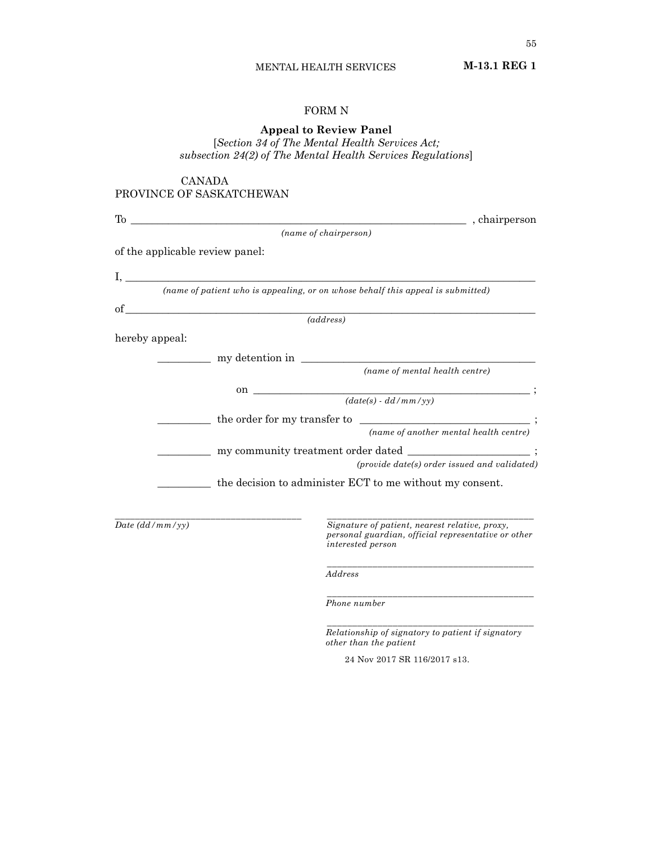### MENTAL HEALTH SERVICES

**M-13.1 REG 1**

### FORM N

### **Appeal to Review Panel**

[*Section 34 of The Mental Health Services Act; subsection 24(2) of The Mental Health Services Regulations*]

### CANADA PROVINCE OF SASKATCHEWAN

| Tо                                                                                                                               | , chairperson                                                                                                                     |
|----------------------------------------------------------------------------------------------------------------------------------|-----------------------------------------------------------------------------------------------------------------------------------|
|                                                                                                                                  | (name of chairperson)                                                                                                             |
| of the applicable review panel:                                                                                                  |                                                                                                                                   |
| $\mathbf{I}$ ,<br><u> 1989 - Johann Barbara, martxa alemaniar arg</u>                                                            |                                                                                                                                   |
|                                                                                                                                  | (name of patient who is appealing, or on whose behalf this appeal is submitted)                                                   |
| $\sigma$<br><u> 1980 - Jan Stein Stein Stein Stein Stein Stein Stein Stein Stein Stein Stein Stein Stein Stein Stein Stein S</u> |                                                                                                                                   |
|                                                                                                                                  | $\overline{(address)}$                                                                                                            |
| hereby appeal:                                                                                                                   |                                                                                                                                   |
|                                                                                                                                  |                                                                                                                                   |
|                                                                                                                                  | (name of mental health centre)                                                                                                    |
|                                                                                                                                  | on $\overbrace{\text{(date(s) - dd/mm/yy)}}$                                                                                      |
|                                                                                                                                  |                                                                                                                                   |
|                                                                                                                                  |                                                                                                                                   |
|                                                                                                                                  | (name of another mental health centre)                                                                                            |
|                                                                                                                                  |                                                                                                                                   |
|                                                                                                                                  | (provide date(s) order issued and validated)                                                                                      |
|                                                                                                                                  | the decision to administer ECT to me without my consent.                                                                          |
|                                                                                                                                  |                                                                                                                                   |
| Date $(dd/mm/yy)$                                                                                                                | Signature of patient, nearest relative, proxy,<br>personal guardian, official representative or other<br><i>interested person</i> |
|                                                                                                                                  | Address                                                                                                                           |
|                                                                                                                                  | Phone number                                                                                                                      |
|                                                                                                                                  | Relationship of signatory to patient if signatory<br>other than the patient                                                       |

24 Nov 2017 SR 116/2017 s13.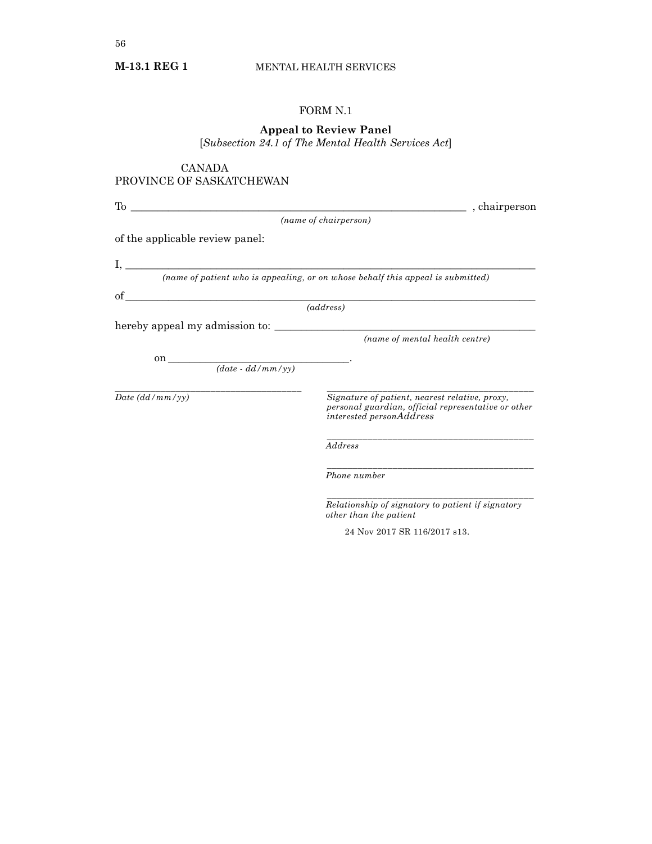### FORM N.1

# **Appeal to Review Panel**

[*Subsection 24.1 of The Mental Health Services Act*]

### CANADA PROVINCE OF SASKATCHEWAN

*(name of chairperson)*

 $T$  , chairperson

of the applicable review panel:

 $I, \_\_$ 

*(name of patient who is appealing, or on whose behalf this appeal is submitted)*

 $of$   $\_$ 

*(address)*

*\_\_\_\_\_\_\_\_\_\_\_\_\_\_\_\_\_\_\_\_\_\_\_\_\_\_\_\_\_\_\_\_\_\_\_\_\_ \_\_\_\_\_\_\_\_\_\_\_\_\_\_\_\_\_\_\_\_\_\_\_\_\_\_\_\_\_\_\_\_\_\_\_\_\_\_\_\_\_*

hereby appeal my admission to: \_\_\_\_\_\_\_\_\_\_\_\_\_\_\_\_\_\_\_\_\_\_\_\_\_\_\_\_\_\_\_\_\_\_\_\_\_\_\_\_\_\_\_\_\_\_\_\_\_

on \_\_\_\_\_\_\_\_\_\_\_\_\_\_\_\_\_\_\_\_\_\_\_\_\_\_\_\_\_\_\_\_\_\_.

*(date - dd/mm/yy)*

*Date (dd/mm/yy) Signature of patient, nearest relative, proxy, personal guardian, official representative or other interested personAddress*

*\_\_\_\_\_\_\_\_\_\_\_\_\_\_\_\_\_\_\_\_\_\_\_\_\_\_\_\_\_\_\_\_\_\_\_\_\_\_\_\_\_*

*\_\_\_\_\_\_\_\_\_\_\_\_\_\_\_\_\_\_\_\_\_\_\_\_\_\_\_\_\_\_\_\_\_\_\_\_\_\_\_\_\_*

*(name of mental health centre)*

*Address*

*Phone number*

*\_\_\_\_\_\_\_\_\_\_\_\_\_\_\_\_\_\_\_\_\_\_\_\_\_\_\_\_\_\_\_\_\_\_\_\_\_\_\_\_\_ Relationship of signatory to patient if signatory other than the patient*

24 Nov 2017 SR 116/2017 s13.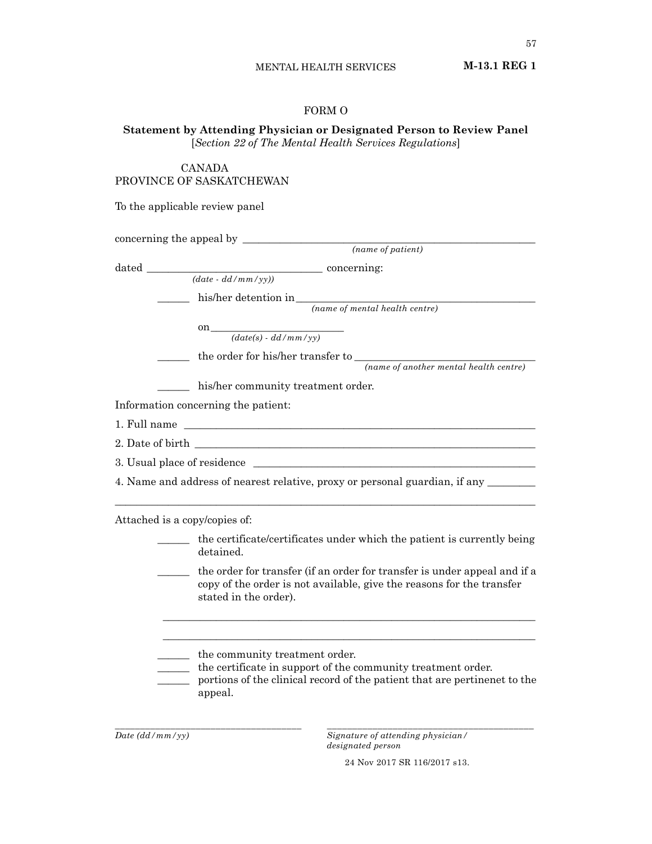### FORM O

### **Statement by Attending Physician or Designated Person to Review Panel** [*Section 22 of The Mental Health Services Regulations*]

### CANADA PROVINCE OF SASKATCHEWAN

To the applicable review panel

|       | (name of patient)                                                                                                                                                                                                                                                                                                                                                                                                                                                                                       |
|-------|---------------------------------------------------------------------------------------------------------------------------------------------------------------------------------------------------------------------------------------------------------------------------------------------------------------------------------------------------------------------------------------------------------------------------------------------------------------------------------------------------------|
| dated | $\frac{1}{(date \cdot dd /mm/yy))}$ concerning:                                                                                                                                                                                                                                                                                                                                                                                                                                                         |
|       |                                                                                                                                                                                                                                                                                                                                                                                                                                                                                                         |
|       | his/her detention in<br>(name of mental health centre)                                                                                                                                                                                                                                                                                                                                                                                                                                                  |
|       |                                                                                                                                                                                                                                                                                                                                                                                                                                                                                                         |
|       | $\frac{(\text{date}(s) \cdot \text{dd}/\text{mm}/\text{yy})}{\frac{(\text{date}(s) \cdot \text{dd}/\text{mm}/\text{yy})}{\frac{(\text{day})}{\frac{(\text{day})}{\frac{(\text{day})}{\frac{(\text{day})}{\frac{(\text{day})}{\frac{(\text{day})}{\frac{(\text{day})}{\frac{(\text{day})}{\frac{(\text{day})}{\frac{(\text{day})}{\frac{(\text{day})}{\frac{(\text{day})}{\frac{(\text{day})}{\frac{(\text{day})}{\frac{(\text{day})}{\frac{(\text{day})}{\frac{(\text{day})}{\frac{(\text{day})}{\frac$ |
|       |                                                                                                                                                                                                                                                                                                                                                                                                                                                                                                         |
|       | the order for his/her transfer to $\frac{1}{\sqrt{1-\frac{1}{n}}\left(\frac{1}{n}\right)}$ (name of another mental health centre)                                                                                                                                                                                                                                                                                                                                                                       |
|       |                                                                                                                                                                                                                                                                                                                                                                                                                                                                                                         |
|       | his/her community treatment order.                                                                                                                                                                                                                                                                                                                                                                                                                                                                      |
|       | Information concerning the patient:                                                                                                                                                                                                                                                                                                                                                                                                                                                                     |
|       |                                                                                                                                                                                                                                                                                                                                                                                                                                                                                                         |
|       |                                                                                                                                                                                                                                                                                                                                                                                                                                                                                                         |
|       |                                                                                                                                                                                                                                                                                                                                                                                                                                                                                                         |
|       |                                                                                                                                                                                                                                                                                                                                                                                                                                                                                                         |
|       | 4. Name and address of nearest relative, proxy or personal guardian, if any                                                                                                                                                                                                                                                                                                                                                                                                                             |
|       |                                                                                                                                                                                                                                                                                                                                                                                                                                                                                                         |
|       | Attached is a copy/copies of:                                                                                                                                                                                                                                                                                                                                                                                                                                                                           |
|       | the certificate/certificates under which the patient is currently being<br>detained.                                                                                                                                                                                                                                                                                                                                                                                                                    |
|       | the order for transfer (if an order for transfer is under appeal and if a<br>copy of the order is not available, give the reasons for the transfer<br>stated in the order).                                                                                                                                                                                                                                                                                                                             |
|       | the community treatment order.<br>the certificate in support of the community treatment order.<br>portions of the clinical record of the patient that are pertinenet to the<br>appeal.                                                                                                                                                                                                                                                                                                                  |

*Date (dd/mm/yy) Signature of attending physician/ designated person*

24 Nov 2017 SR 116/2017 s13.